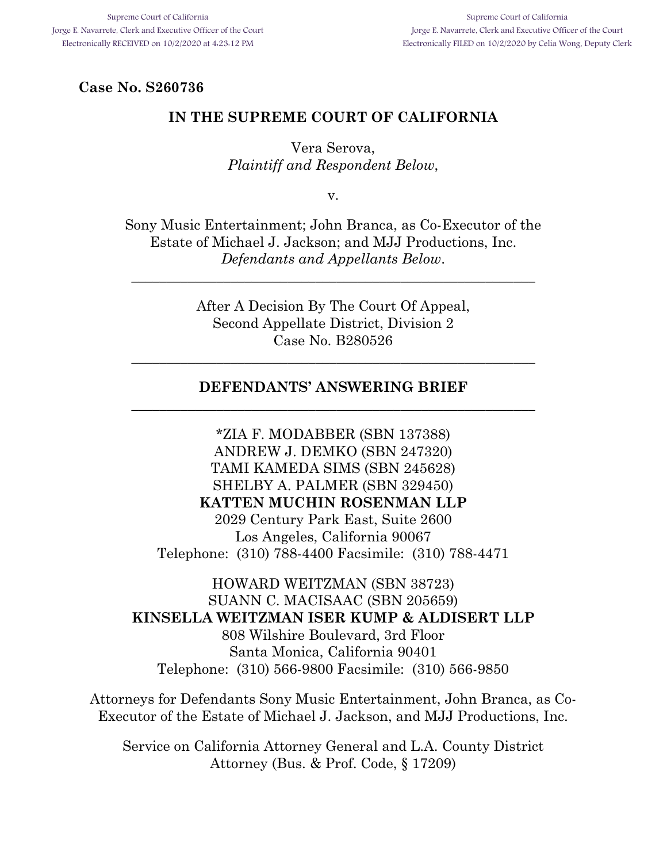**Case No. S260736** 

## **IN THE SUPREME COURT OF CALIFORNIA**

Vera Serova, *Plaintiff and Respondent Below*,

v.

Sony Music Entertainment; John Branca, as Co-Executor of the Estate of Michael J. Jackson; and MJJ Productions, Inc. *Defendants and Appellants Below*.

\_\_\_\_\_\_\_\_\_\_\_\_\_\_\_\_\_\_\_\_\_\_\_\_\_\_\_\_\_\_\_\_\_\_\_\_\_\_\_\_\_\_\_\_\_\_\_\_\_\_\_\_\_\_\_\_\_

After A Decision By The Court Of Appeal, Second Appellate District, Division 2 Case No. B280526

\_\_\_\_\_\_\_\_\_\_\_\_\_\_\_\_\_\_\_\_\_\_\_\_\_\_\_\_\_\_\_\_\_\_\_\_\_\_\_\_\_\_\_\_\_\_\_\_\_\_\_\_\_\_\_\_\_

## **DEFENDANTS' ANSWERING BRIEF**  \_\_\_\_\_\_\_\_\_\_\_\_\_\_\_\_\_\_\_\_\_\_\_\_\_\_\_\_\_\_\_\_\_\_\_\_\_\_\_\_\_\_\_\_\_\_\_\_\_\_\_\_\_\_\_\_\_

\*ZIA F. MODABBER (SBN 137388) ANDREW J. DEMKO (SBN 247320) TAMI KAMEDA SIMS (SBN 245628) SHELBY A. PALMER (SBN 329450) **KATTEN MUCHIN ROSENMAN LLP**  2029 Century Park East, Suite 2600 Los Angeles, California 90067 Telephone: (310) 788-4400 Facsimile: (310) 788-4471

HOWARD WEITZMAN (SBN 38723) SUANN C. MACISAAC (SBN 205659) **KINSELLA WEITZMAN ISER KUMP & ALDISERT LLP**  808 Wilshire Boulevard, 3rd Floor Santa Monica, California 90401 Telephone: (310) 566-9800 Facsimile: (310) 566-9850

Attorneys for Defendants Sony Music Entertainment, John Branca, as Co-Executor of the Estate of Michael J. Jackson, and MJJ Productions, Inc.

Service on California Attorney General and L.A. County District Attorney (Bus. & Prof. Code, § 17209)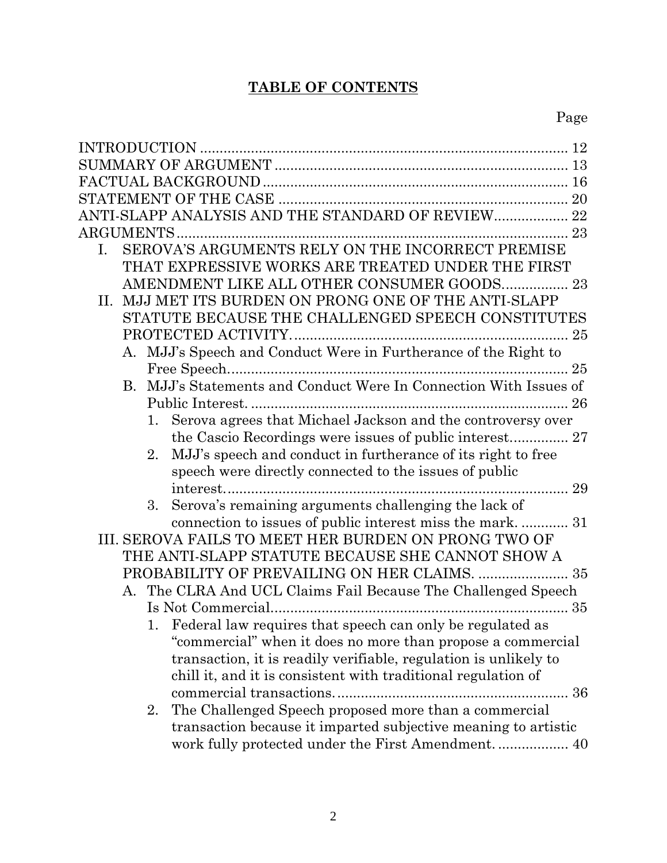# **TABLE OF CONTENTS**

| ANTI-SLAPP ANALYSIS AND THE STANDARD OF REVIEW 22                                                                      |
|------------------------------------------------------------------------------------------------------------------------|
|                                                                                                                        |
| SEROVA'S ARGUMENTS RELY ON THE INCORRECT PREMISE<br>$\mathbf{I}$ .                                                     |
| THAT EXPRESSIVE WORKS ARE TREATED UNDER THE FIRST                                                                      |
|                                                                                                                        |
| MJJ MET ITS BURDEN ON PRONG ONE OF THE ANTI-SLAPP<br>П.                                                                |
| STATUTE BECAUSE THE CHALLENGED SPEECH CONSTITUTES                                                                      |
|                                                                                                                        |
| A. MJJ's Speech and Conduct Were in Furtherance of the Right to                                                        |
|                                                                                                                        |
| B. MJJ's Statements and Conduct Were In Connection With Issues of                                                      |
|                                                                                                                        |
| Serova agrees that Michael Jackson and the controversy over<br>1.                                                      |
| the Cascio Recordings were issues of public interest 27<br>2.                                                          |
| MJJ's speech and conduct in furtherance of its right to free<br>speech were directly connected to the issues of public |
|                                                                                                                        |
| 3.<br>Serova's remaining arguments challenging the lack of                                                             |
| connection to issues of public interest miss the mark.  31                                                             |
| III. SEROVA FAILS TO MEET HER BURDEN ON PRONG TWO OF                                                                   |
| THE ANTI-SLAPP STATUTE BECAUSE SHE CANNOT SHOW A                                                                       |
| PROBABILITY OF PREVAILING ON HER CLAIMS.  35                                                                           |
| A. The CLRA And UCL Claims Fail Because The Challenged Speech                                                          |
|                                                                                                                        |
| 1. Federal law requires that speech can only be regulated as                                                           |
| "commercial" when it does no more than propose a commercial                                                            |
| transaction, it is readily verifiable, regulation is unlikely to                                                       |
| chill it, and it is consistent with traditional regulation of                                                          |
|                                                                                                                        |
| The Challenged Speech proposed more than a commercial<br>2.                                                            |
| transaction because it imparted subjective meaning to artistic                                                         |
| work fully protected under the First Amendment 40                                                                      |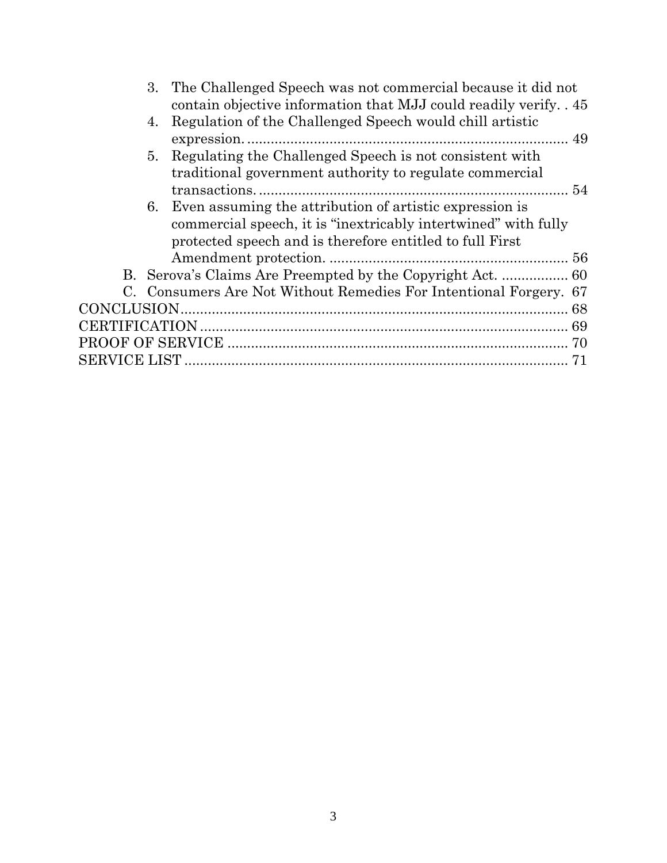| contain objective information that MJJ could readily verify. 45<br>Regulation of the Challenged Speech would chill artistic<br>4.<br>Regulating the Challenged Speech is not consistent with<br>5.<br>traditional government authority to regulate commercial<br>6. Even assuming the attribution of artistic expression is<br>commercial speech, it is "inextricably intertwined" with fully |
|-----------------------------------------------------------------------------------------------------------------------------------------------------------------------------------------------------------------------------------------------------------------------------------------------------------------------------------------------------------------------------------------------|
|                                                                                                                                                                                                                                                                                                                                                                                               |
|                                                                                                                                                                                                                                                                                                                                                                                               |
|                                                                                                                                                                                                                                                                                                                                                                                               |
|                                                                                                                                                                                                                                                                                                                                                                                               |
|                                                                                                                                                                                                                                                                                                                                                                                               |
|                                                                                                                                                                                                                                                                                                                                                                                               |
|                                                                                                                                                                                                                                                                                                                                                                                               |
| protected speech and is therefore entitled to full First                                                                                                                                                                                                                                                                                                                                      |
|                                                                                                                                                                                                                                                                                                                                                                                               |
|                                                                                                                                                                                                                                                                                                                                                                                               |
| C. Consumers Are Not Without Remedies For Intentional Forgery. 67                                                                                                                                                                                                                                                                                                                             |
|                                                                                                                                                                                                                                                                                                                                                                                               |
|                                                                                                                                                                                                                                                                                                                                                                                               |
|                                                                                                                                                                                                                                                                                                                                                                                               |
|                                                                                                                                                                                                                                                                                                                                                                                               |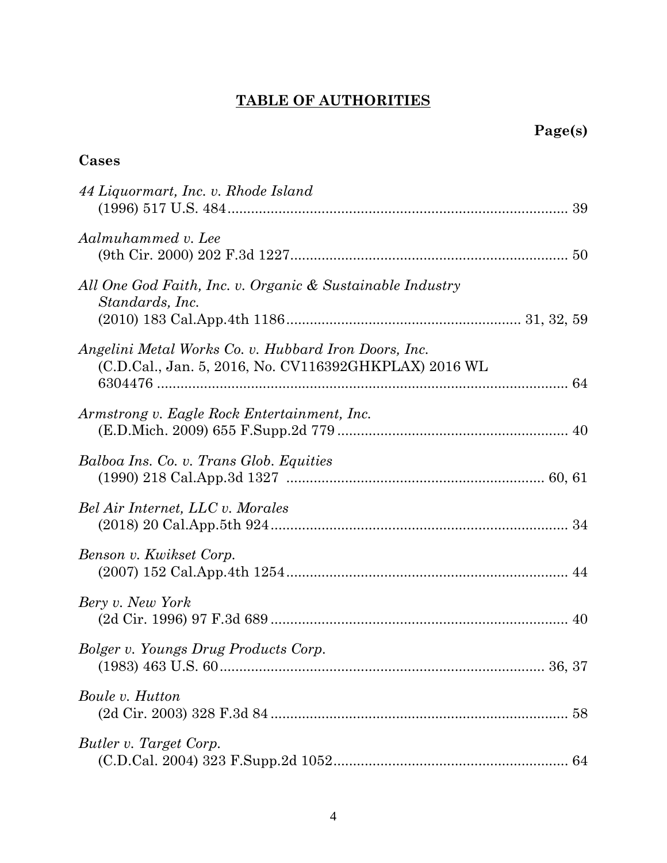# **TABLE OF AUTHORITIES**

| Cases<br>۰. |
|-------------|
|-------------|

| 44 Liquormart, Inc. v. Rhode Island                                                                           |
|---------------------------------------------------------------------------------------------------------------|
| Aalmuhammed v. Lee                                                                                            |
| All One God Faith, Inc. v. Organic & Sustainable Industry<br>Standards, Inc.                                  |
| Angelini Metal Works Co. v. Hubbard Iron Doors, Inc.<br>(C.D.Cal., Jan. 5, 2016, No. CV116392GHKPLAX) 2016 WL |
| Armstrong v. Eagle Rock Entertainment, Inc.                                                                   |
| Balboa Ins. Co. v. Trans Glob. Equities                                                                       |
| Bel Air Internet, LLC v. Morales                                                                              |
| Benson v. Kwikset Corp.                                                                                       |
| Bery v. New York                                                                                              |
| Bolger v. Youngs Drug Products Corp.                                                                          |
| Boule v. Hutton                                                                                               |
| Butler v. Target Corp.                                                                                        |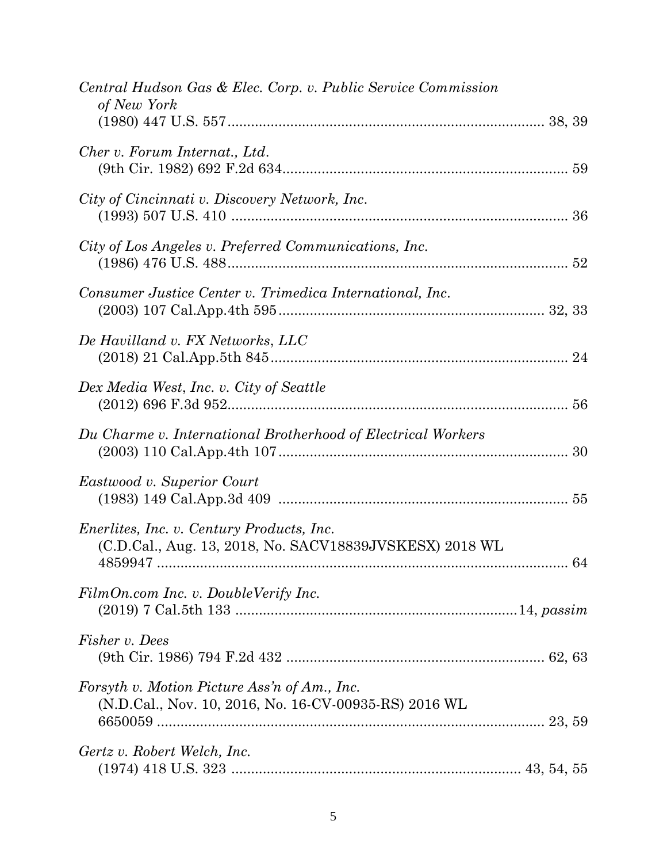| Central Hudson Gas & Elec. Corp. v. Public Service Commission<br>of New York                                |
|-------------------------------------------------------------------------------------------------------------|
| Cher v. Forum Internat., Ltd.                                                                               |
| City of Cincinnati v. Discovery Network, Inc.                                                               |
| City of Los Angeles v. Preferred Communications, Inc.                                                       |
| Consumer Justice Center v. Trimedica International, Inc.                                                    |
| De Havilland v. FX Networks, LLC                                                                            |
| Dex Media West, Inc. v. City of Seattle                                                                     |
| Du Charme v. International Brotherhood of Electrical Workers                                                |
| Eastwood v. Superior Court                                                                                  |
| <i>Enerlites, Inc. v. Century Products, Inc.</i><br>(C.D.Cal., Aug. 13, 2018, No. SACV18839JVSKESX) 2018 WL |
| FilmOn.com Inc. v. DoubleVerify Inc.                                                                        |
| Fisher v. Dees                                                                                              |
| Forsyth v. Motion Picture Ass'n of Am., Inc.<br>(N.D.Cal., Nov. 10, 2016, No. 16-CV-00935-RS) 2016 WL       |
| Gertz v. Robert Welch, Inc.                                                                                 |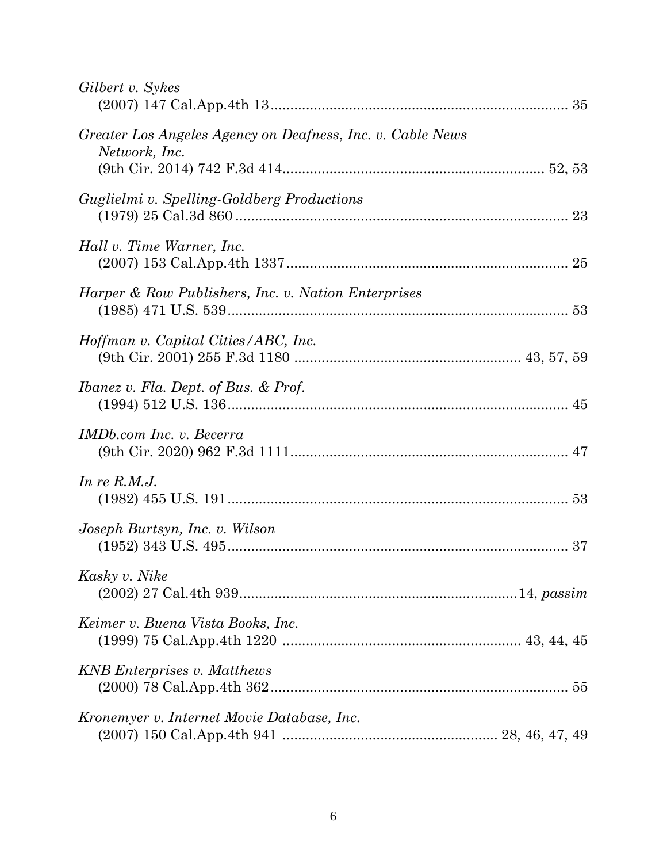| Gilbert v. Sykes                                                            |
|-----------------------------------------------------------------------------|
| Greater Los Angeles Agency on Deafness, Inc. v. Cable News<br>Network, Inc. |
| Guglielmi v. Spelling-Goldberg Productions                                  |
| Hall v. Time Warner, Inc.                                                   |
| Harper & Row Publishers, Inc. v. Nation Enterprises                         |
| Hoffman v. Capital Cities/ABC, Inc.                                         |
| Ibanez v. Fla. Dept. of Bus. & Prof.                                        |
| IMDb.com Inc. v. Becerra                                                    |
| In re $R.M.J.$                                                              |
| Joseph Burtsyn, Inc. v. Wilson                                              |
| Kasky v. Nike                                                               |
| Keimer v. Buena Vista Books, Inc.                                           |
| <b>KNB</b> Enterprises v. Matthews                                          |
| Kronemyer v. Internet Movie Database, Inc.                                  |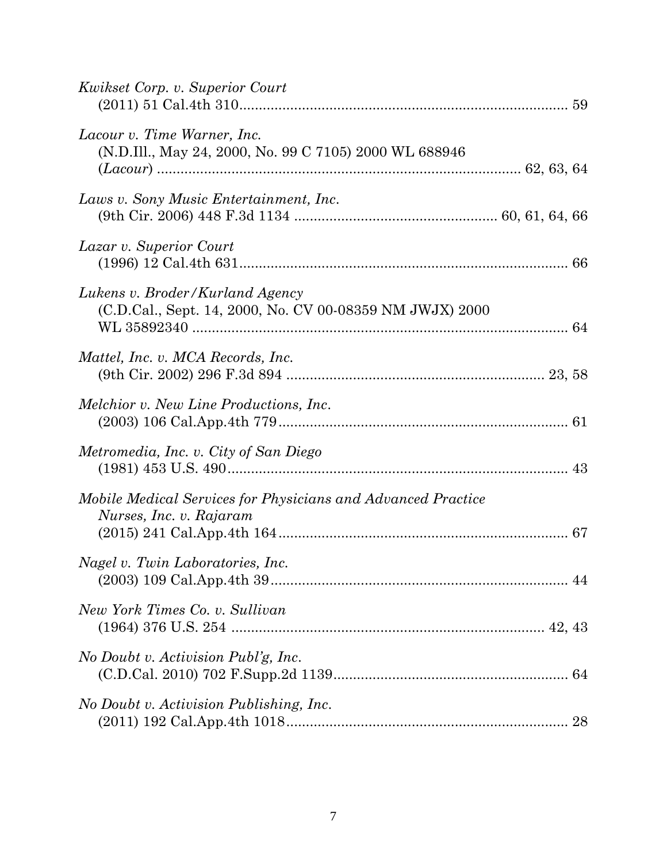| <i>Kwikset Corp. v. Superior Court</i>                                                      |
|---------------------------------------------------------------------------------------------|
| Lacour v. Time Warner, Inc.<br>(N.D.Ill., May 24, 2000, No. 99 C 7105) 2000 WL 688946       |
| Laws v. Sony Music Entertainment, Inc.                                                      |
| Lazar v. Superior Court                                                                     |
| Lukens v. Broder/Kurland Agency<br>(C.D.Cal., Sept. 14, 2000, No. CV 00-08359 NM JWJX) 2000 |
| Mattel, Inc. v. MCA Records, Inc.                                                           |
| <i>Melchior v. New Line Productions, Inc.</i>                                               |
| Metromedia, Inc. v. City of San Diego                                                       |
| Mobile Medical Services for Physicians and Advanced Practice<br>Nurses, Inc. v. Rajaram     |
| Nagel v. Twin Laboratories, Inc.                                                            |
| New York Times Co. v. Sullivan                                                              |
| No Doubt v. Activision Publ'g, Inc.                                                         |
| No Doubt v. Activision Publishing, Inc.                                                     |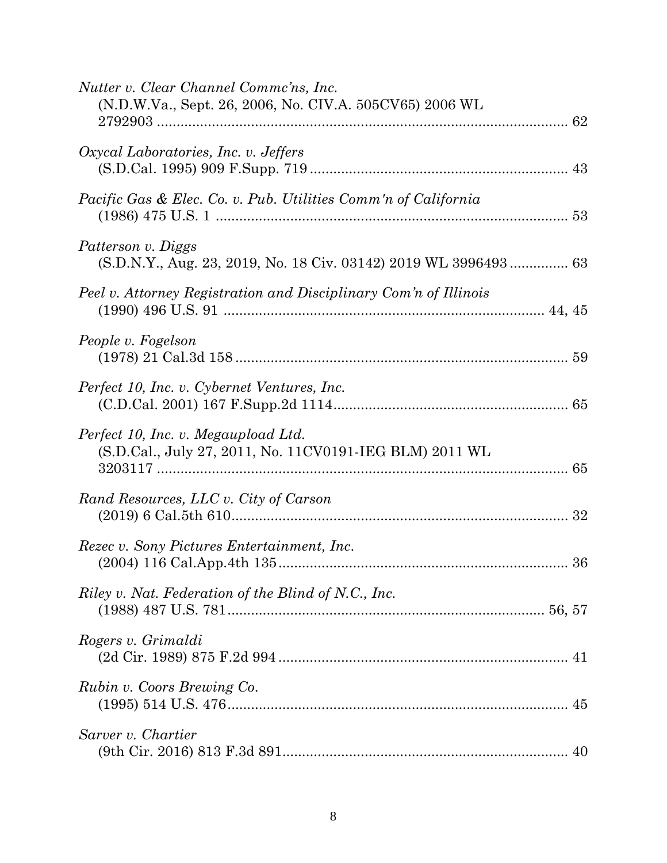| Nutter v. Clear Channel Commc'ns, Inc.<br>(N.D.W.Va., Sept. 26, 2006, No. CIV.A. 505CV65) 2006 WL |
|---------------------------------------------------------------------------------------------------|
| Oxycal Laboratories, Inc. v. Jeffers                                                              |
| Pacific Gas & Elec. Co. v. Pub. Utilities Comm'n of California                                    |
| Patterson v. Diggs<br>(S.D.N.Y., Aug. 23, 2019, No. 18 Civ. 03142) 2019 WL 3996493 63             |
| Peel v. Attorney Registration and Disciplinary Com'n of Illinois                                  |
| People v. Fogelson                                                                                |
| Perfect 10, Inc. v. Cybernet Ventures, Inc.                                                       |
| Perfect 10, Inc. v. Megaupload Ltd.<br>(S.D.Cal., July 27, 2011, No. 11CV0191-IEG BLM) 2011 WL    |
| Rand Resources, LLC v. City of Carson                                                             |
| Rezec v. Sony Pictures Entertainment, Inc.                                                        |
| Riley v. Nat. Federation of the Blind of N.C., Inc.                                               |
| Rogers v. Grimaldi                                                                                |
| Rubin v. Coors Brewing Co.                                                                        |
| Sarver v. Chartier                                                                                |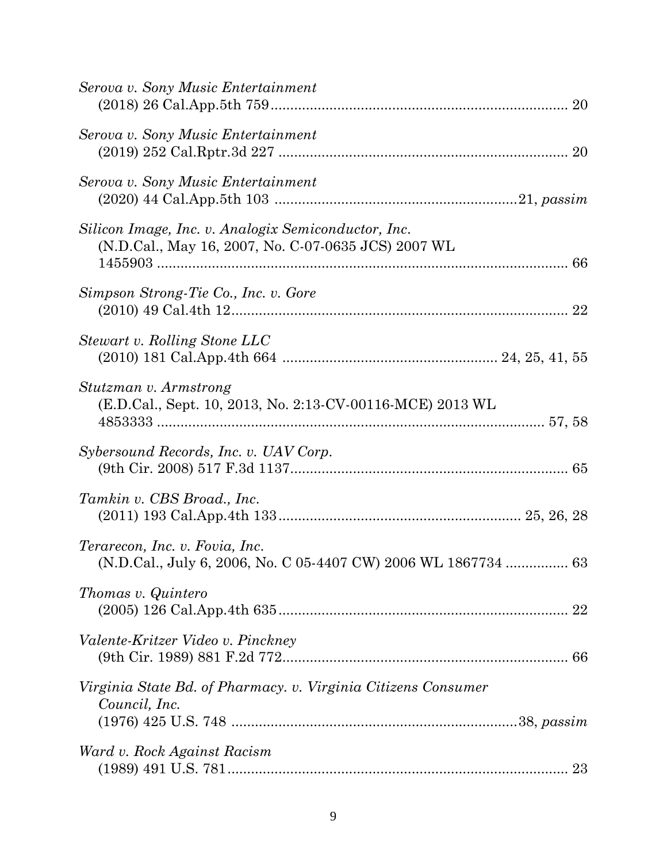| Serova v. Sony Music Entertainment                                                                         |
|------------------------------------------------------------------------------------------------------------|
| Serova v. Sony Music Entertainment                                                                         |
| Serova v. Sony Music Entertainment                                                                         |
| Silicon Image, Inc. v. Analogix Semiconductor, Inc.<br>(N.D.Cal., May 16, 2007, No. C-07-0635 JCS) 2007 WL |
| Simpson Strong-Tie Co., Inc. v. Gore                                                                       |
| Stewart v. Rolling Stone LLC                                                                               |
| Stutzman v. Armstrong<br>(E.D.Cal., Sept. 10, 2013, No. 2:13-CV-00116-MCE) 2013 WL                         |
| Sybersound Records, Inc. v. UAV Corp.                                                                      |
| Tamkin v. CBS Broad., Inc.                                                                                 |
| Terarecon, Inc. v. Fovia, Inc.<br>(N.D.Cal., July 6, 2006, No. C 05-4407 CW) 2006 WL 1867734  63           |
| <i>Thomas v. Quintero</i><br>22                                                                            |
| Valente-Kritzer Video v. Pinckney                                                                          |
| Virginia State Bd. of Pharmacy. v. Virginia Citizens Consumer<br>Council, Inc.                             |
| Ward v. Rock Against Racism<br>23                                                                          |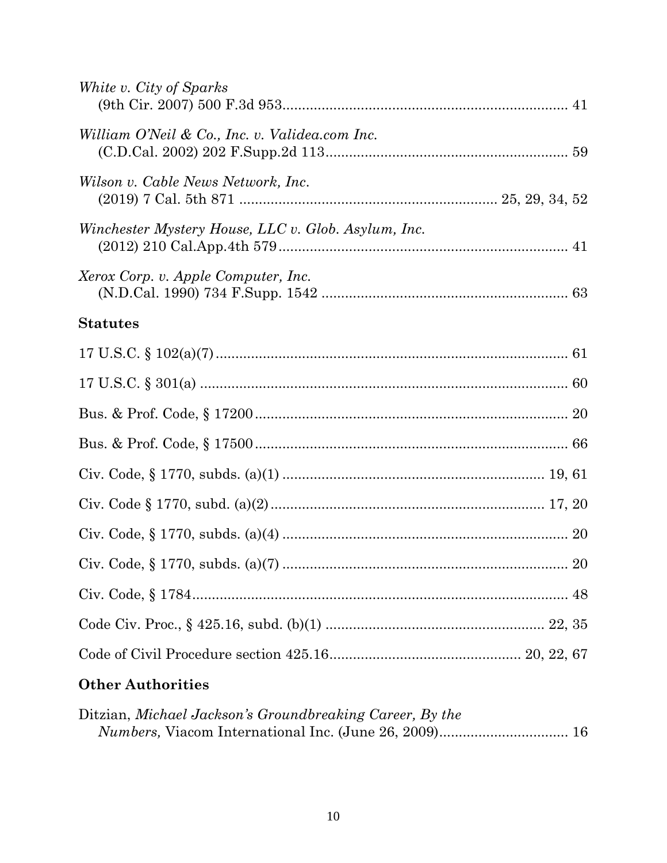| White v. City of Sparks                             |
|-----------------------------------------------------|
| William O'Neil & Co., Inc. v. Validea.com Inc.      |
| Wilson v. Cable News Network, Inc.                  |
| Winchester Mystery House, LLC v. Glob. Asylum, Inc. |
| Xerox Corp. v. Apple Computer, Inc.                 |
| <b>Statutes</b>                                     |
|                                                     |
|                                                     |
|                                                     |
|                                                     |
|                                                     |
|                                                     |
|                                                     |
|                                                     |
|                                                     |
|                                                     |
|                                                     |

# **Other Authorities**

| Ditzian, Michael Jackson's Groundbreaking Career, By the |  |
|----------------------------------------------------------|--|
|                                                          |  |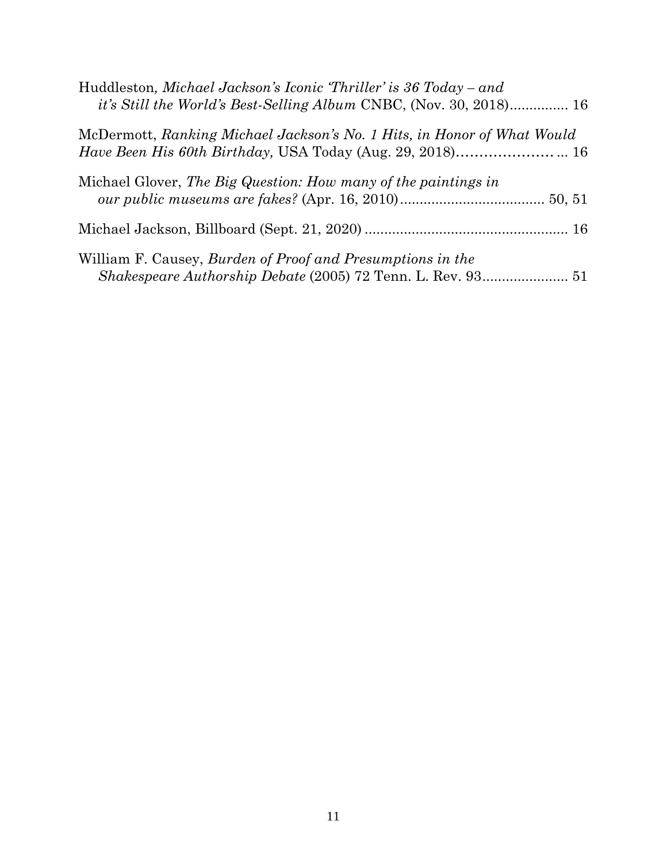| Huddleston, Michael Jackson's Iconic 'Thriller' is 36 Today – and<br>it's Still the World's Best-Selling Album CNBC, (Nov. 30, 2018) 16     |
|---------------------------------------------------------------------------------------------------------------------------------------------|
| McDermott, Ranking Michael Jackson's No. 1 Hits, in Honor of What Would<br><i>Have Been His 60th Birthday, USA Today (Aug. 29, 2018)</i> 16 |
| Michael Glover, The Big Question: How many of the paintings in                                                                              |
|                                                                                                                                             |
| William F. Causey, Burden of Proof and Presumptions in the                                                                                  |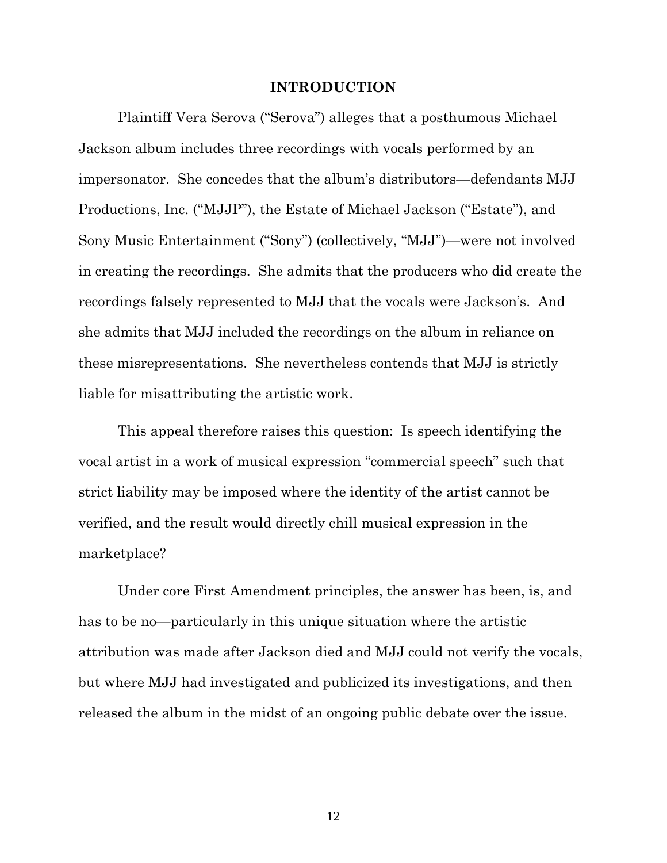#### **INTRODUCTION**

Plaintiff Vera Serova ("Serova") alleges that a posthumous Michael Jackson album includes three recordings with vocals performed by an impersonator. She concedes that the album's distributors—defendants MJJ Productions, Inc. ("MJJP"), the Estate of Michael Jackson ("Estate"), and Sony Music Entertainment ("Sony") (collectively, "MJJ")—were not involved in creating the recordings. She admits that the producers who did create the recordings falsely represented to MJJ that the vocals were Jackson's. And she admits that MJJ included the recordings on the album in reliance on these misrepresentations. She nevertheless contends that MJJ is strictly liable for misattributing the artistic work.

This appeal therefore raises this question: Is speech identifying the vocal artist in a work of musical expression "commercial speech" such that strict liability may be imposed where the identity of the artist cannot be verified, and the result would directly chill musical expression in the marketplace?

Under core First Amendment principles, the answer has been, is, and has to be no—particularly in this unique situation where the artistic attribution was made after Jackson died and MJJ could not verify the vocals, but where MJJ had investigated and publicized its investigations, and then released the album in the midst of an ongoing public debate over the issue.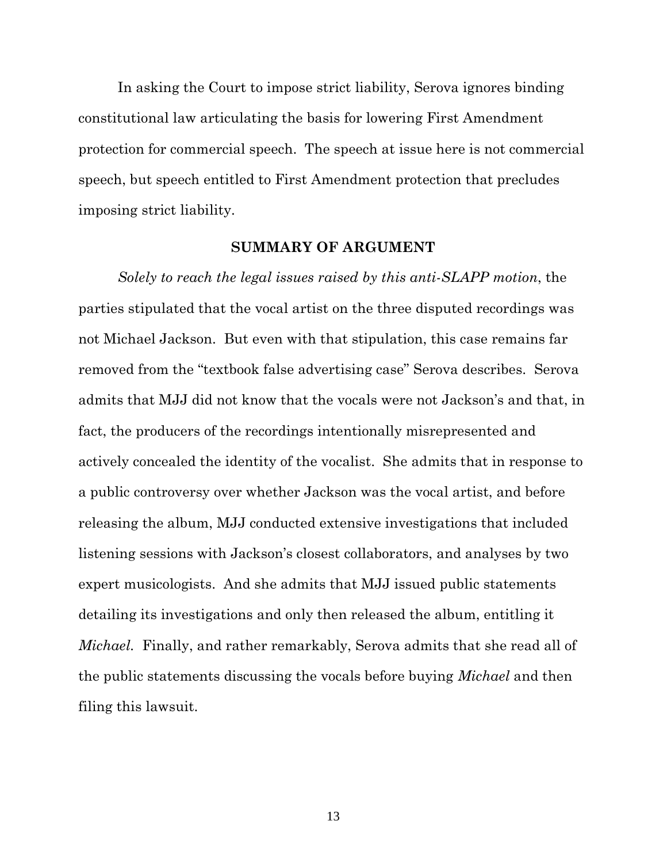In asking the Court to impose strict liability, Serova ignores binding constitutional law articulating the basis for lowering First Amendment protection for commercial speech. The speech at issue here is not commercial speech, but speech entitled to First Amendment protection that precludes imposing strict liability.

## **SUMMARY OF ARGUMENT**

*Solely to reach the legal issues raised by this anti-SLAPP motion*, the parties stipulated that the vocal artist on the three disputed recordings was not Michael Jackson. But even with that stipulation, this case remains far removed from the "textbook false advertising case" Serova describes. Serova admits that MJJ did not know that the vocals were not Jackson's and that, in fact, the producers of the recordings intentionally misrepresented and actively concealed the identity of the vocalist. She admits that in response to a public controversy over whether Jackson was the vocal artist, and before releasing the album, MJJ conducted extensive investigations that included listening sessions with Jackson's closest collaborators, and analyses by two expert musicologists. And she admits that MJJ issued public statements detailing its investigations and only then released the album, entitling it *Michael.* Finally, and rather remarkably, Serova admits that she read all of the public statements discussing the vocals before buying *Michael* and then filing this lawsuit.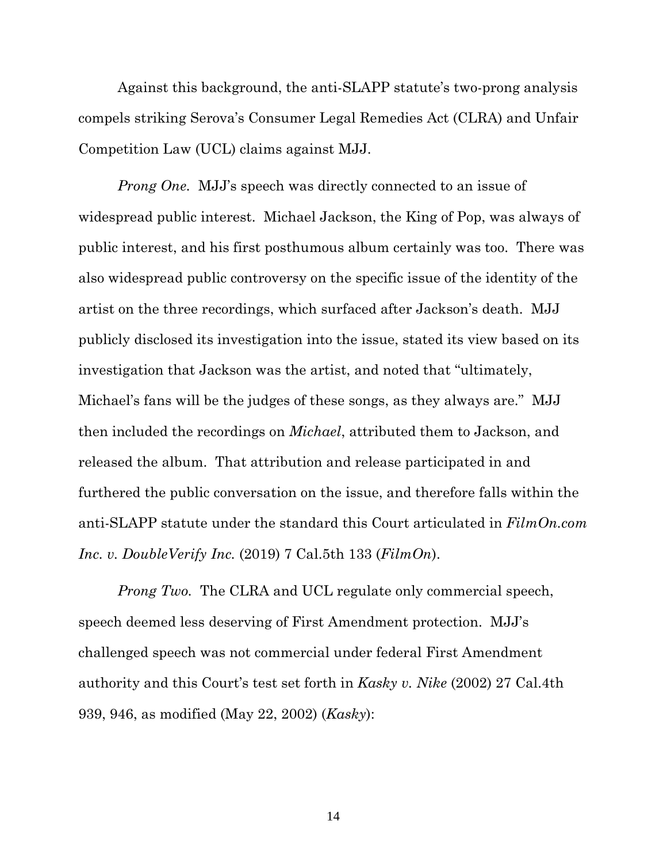Against this background, the anti-SLAPP statute's two-prong analysis compels striking Serova's Consumer Legal Remedies Act (CLRA) and Unfair Competition Law (UCL) claims against MJJ.

*Prong One.* MJJ's speech was directly connected to an issue of widespread public interest. Michael Jackson, the King of Pop, was always of public interest, and his first posthumous album certainly was too. There was also widespread public controversy on the specific issue of the identity of the artist on the three recordings, which surfaced after Jackson's death. MJJ publicly disclosed its investigation into the issue, stated its view based on its investigation that Jackson was the artist, and noted that "ultimately, Michael's fans will be the judges of these songs, as they always are." MJJ then included the recordings on *Michael*, attributed them to Jackson, and released the album. That attribution and release participated in and furthered the public conversation on the issue, and therefore falls within the anti-SLAPP statute under the standard this Court articulated in *FilmOn.com Inc. v. DoubleVerify Inc.* (2019) 7 Cal.5th 133 (*FilmOn*).

*Prong Two.* The CLRA and UCL regulate only commercial speech, speech deemed less deserving of First Amendment protection. MJJ's challenged speech was not commercial under federal First Amendment authority and this Court's test set forth in *Kasky v. Nike* (2002) 27 Cal.4th 939, 946, as modified (May 22, 2002) (*Kasky*):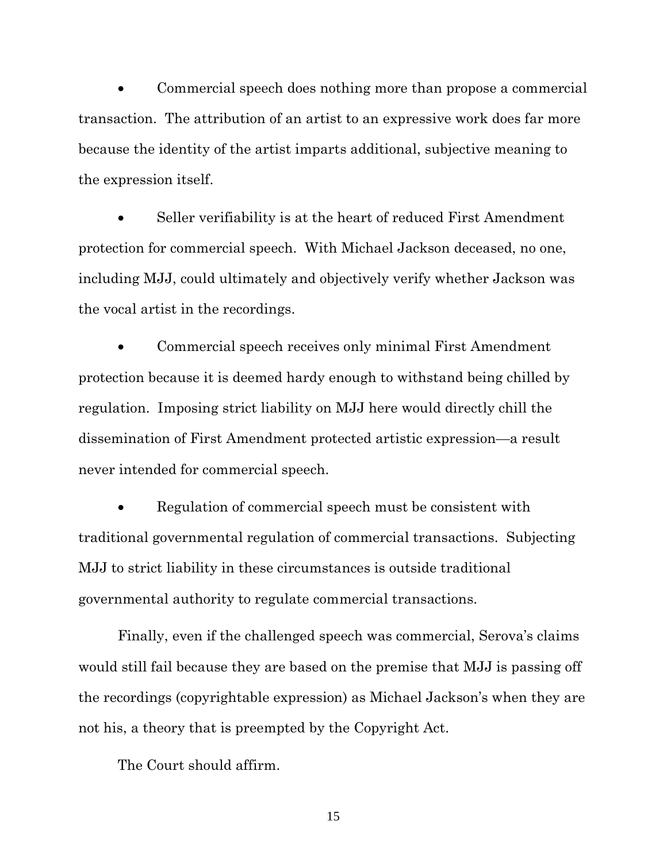Commercial speech does nothing more than propose a commercial transaction. The attribution of an artist to an expressive work does far more because the identity of the artist imparts additional, subjective meaning to the expression itself.

 Seller verifiability is at the heart of reduced First Amendment protection for commercial speech. With Michael Jackson deceased, no one, including MJJ, could ultimately and objectively verify whether Jackson was the vocal artist in the recordings.

 Commercial speech receives only minimal First Amendment protection because it is deemed hardy enough to withstand being chilled by regulation. Imposing strict liability on MJJ here would directly chill the dissemination of First Amendment protected artistic expression—a result never intended for commercial speech.

 Regulation of commercial speech must be consistent with traditional governmental regulation of commercial transactions. Subjecting MJJ to strict liability in these circumstances is outside traditional governmental authority to regulate commercial transactions.

Finally, even if the challenged speech was commercial, Serova's claims would still fail because they are based on the premise that MJJ is passing off the recordings (copyrightable expression) as Michael Jackson's when they are not his, a theory that is preempted by the Copyright Act.

The Court should affirm.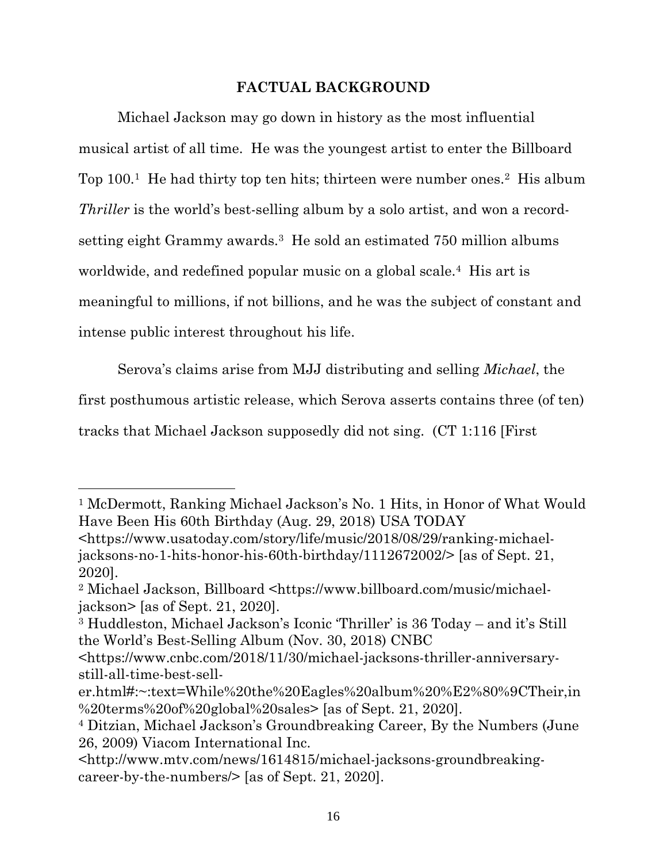## **FACTUAL BACKGROUND**

Michael Jackson may go down in history as the most influential musical artist of all time. He was the youngest artist to enter the Billboard Top 100.<sup>1</sup> He had thirty top ten hits; thirteen were number ones.<sup>2</sup> His album *Thriller* is the world's best-selling album by a solo artist, and won a recordsetting eight Grammy awards.3 He sold an estimated 750 million albums worldwide, and redefined popular music on a global scale.<sup>4</sup> His art is meaningful to millions, if not billions, and he was the subject of constant and intense public interest throughout his life.

Serova's claims arise from MJJ distributing and selling *Michael*, the first posthumous artistic release, which Serova asserts contains three (of ten) tracks that Michael Jackson supposedly did not sing. (CT 1:116 [First

<sup>1</sup> McDermott, Ranking Michael Jackson's No. 1 Hits, in Honor of What Would Have Been His 60th Birthday (Aug. 29, 2018) USA TODAY

<sup>&</sup>lt;https://www.usatoday.com/story/life/music/2018/08/29/ranking-michaeljacksons-no-1-hits-honor-his-60th-birthday/1112672002/> [as of Sept. 21, 2020].

<sup>2</sup> Michael Jackson, Billboard <https://www.billboard.com/music/michaeljackson> [as of Sept. 21, 2020].

<sup>3</sup> Huddleston, Michael Jackson's Iconic 'Thriller' is 36 Today – and it's Still the World's Best-Selling Album (Nov. 30, 2018) CNBC

<sup>&</sup>lt;https://www.cnbc.com/2018/11/30/michael-jacksons-thriller-anniversarystill-all-time-best-sell-

er.html#:~:text=While%20the%20Eagles%20album%20%E2%80%9CTheir,in %20terms%20of%20global%20sales> [as of Sept. 21, 2020].

<sup>4</sup> Ditzian, Michael Jackson's Groundbreaking Career, By the Numbers (June 26, 2009) Viacom International Inc.

<sup>&</sup>lt;http://www.mtv.com/news/1614815/michael-jacksons-groundbreakingcareer-by-the-numbers/> [as of Sept. 21, 2020].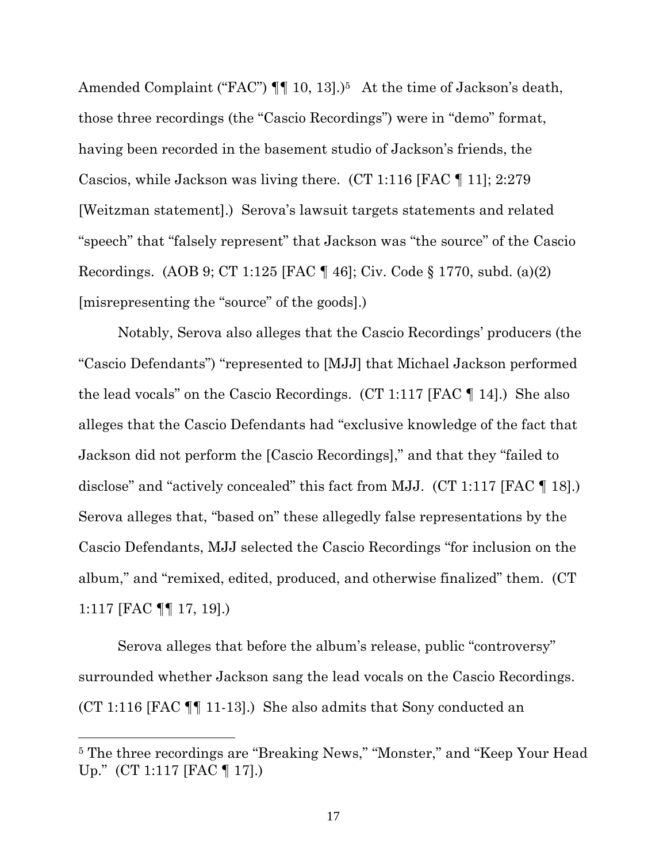Amended Complaint ("FAC")  $\P\P$  10, 13].)<sup>5</sup> At the time of Jackson's death, those three recordings (the "Cascio Recordings") were in "demo" format, having been recorded in the basement studio of Jackson's friends, the Cascios, while Jackson was living there. (CT 1:116 [FAC ¶ 11]; 2:279 [Weitzman statement].) Serova's lawsuit targets statements and related "speech" that "falsely represent" that Jackson was "the source" of the Cascio Recordings. (AOB 9; CT 1:125 [FAC ¶ 46]; Civ. Code § 1770, subd. (a)(2) [misrepresenting the "source" of the goods].)

Notably, Serova also alleges that the Cascio Recordings' producers (the "Cascio Defendants") "represented to [MJJ] that Michael Jackson performed the lead vocals" on the Cascio Recordings. (CT 1:117 [FAC ¶ 14].) She also alleges that the Cascio Defendants had "exclusive knowledge of the fact that Jackson did not perform the [Cascio Recordings]," and that they "failed to disclose" and "actively concealed" this fact from MJJ. (CT 1:117 [FAC ¶ 18].) Serova alleges that, "based on" these allegedly false representations by the Cascio Defendants, MJJ selected the Cascio Recordings "for inclusion on the album," and "remixed, edited, produced, and otherwise finalized" them. (CT 1:117 [FAC ¶¶ 17, 19].)

Serova alleges that before the album's release, public "controversy" surrounded whether Jackson sang the lead vocals on the Cascio Recordings. (CT 1:116 [FAC ¶¶ 11-13].) She also admits that Sony conducted an

<sup>5</sup> The three recordings are "Breaking News," "Monster," and "Keep Your Head Up." (CT 1:117 [FAC ¶ 17].)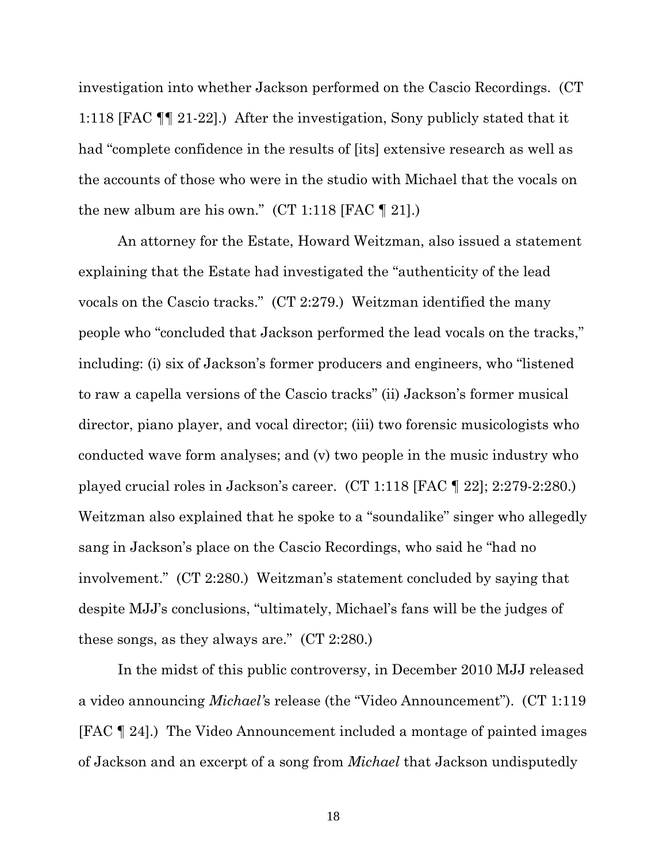investigation into whether Jackson performed on the Cascio Recordings. (CT 1:118 [FAC ¶¶ 21-22].) After the investigation, Sony publicly stated that it had "complete confidence in the results of [its] extensive research as well as the accounts of those who were in the studio with Michael that the vocals on the new album are his own." (CT 1:118 [FAC  $\P$  21].)

An attorney for the Estate, Howard Weitzman, also issued a statement explaining that the Estate had investigated the "authenticity of the lead vocals on the Cascio tracks." (CT 2:279.) Weitzman identified the many people who "concluded that Jackson performed the lead vocals on the tracks," including: (i) six of Jackson's former producers and engineers, who "listened to raw a capella versions of the Cascio tracks" (ii) Jackson's former musical director, piano player, and vocal director; (iii) two forensic musicologists who conducted wave form analyses; and (v) two people in the music industry who played crucial roles in Jackson's career. (CT 1:118 [FAC ¶ 22]; 2:279-2:280.) Weitzman also explained that he spoke to a "soundalike" singer who allegedly sang in Jackson's place on the Cascio Recordings, who said he "had no involvement." (CT 2:280.) Weitzman's statement concluded by saying that despite MJJ's conclusions, "ultimately, Michael's fans will be the judges of these songs, as they always are." (CT 2:280.)

In the midst of this public controversy, in December 2010 MJJ released a video announcing *Michael'*s release (the "Video Announcement"). (CT 1:119 [FAC ¶ 24].) The Video Announcement included a montage of painted images of Jackson and an excerpt of a song from *Michael* that Jackson undisputedly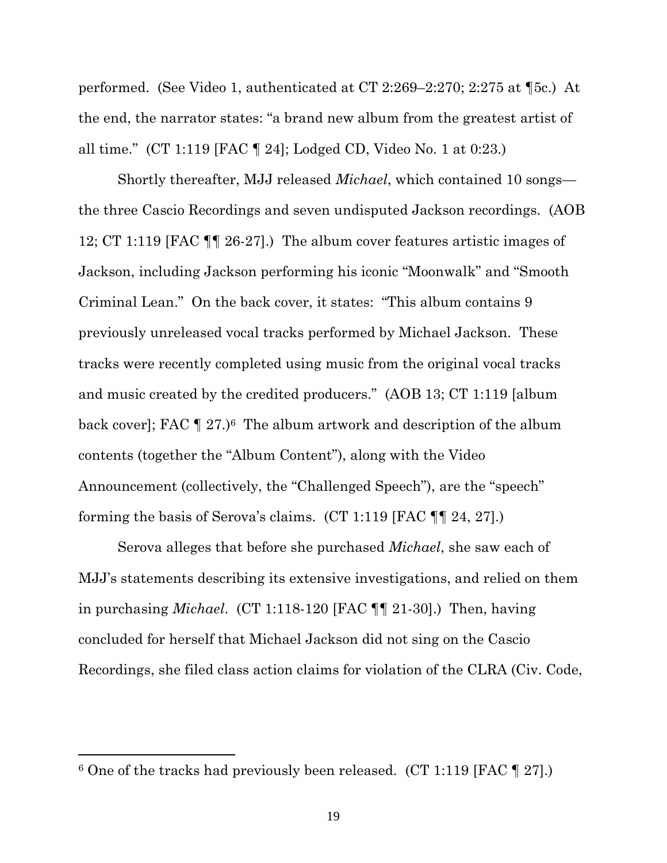performed. (See Video 1, authenticated at CT 2:269–2:270; 2:275 at ¶5c.) At the end, the narrator states: "a brand new album from the greatest artist of all time." (CT 1:119 [FAC ¶ 24]; Lodged CD, Video No. 1 at 0:23.)

Shortly thereafter, MJJ released *Michael*, which contained 10 songs the three Cascio Recordings and seven undisputed Jackson recordings. (AOB 12; CT 1:119 [FAC ¶¶ 26-27].) The album cover features artistic images of Jackson, including Jackson performing his iconic "Moonwalk" and "Smooth Criminal Lean." On the back cover, it states: "This album contains 9 previously unreleased vocal tracks performed by Michael Jackson. These tracks were recently completed using music from the original vocal tracks and music created by the credited producers." (AOB 13; CT 1:119 [album back cover]; FAC  $\P$  27.)<sup>6</sup> The album artwork and description of the album contents (together the "Album Content"), along with the Video Announcement (collectively, the "Challenged Speech"), are the "speech" forming the basis of Serova's claims. (CT 1:119 [FAC ¶¶ 24, 27].)

Serova alleges that before she purchased *Michael*, she saw each of MJJ's statements describing its extensive investigations, and relied on them in purchasing *Michael*. (CT 1:118-120 [FAC ¶¶ 21-30].) Then, having concluded for herself that Michael Jackson did not sing on the Cascio Recordings, she filed class action claims for violation of the CLRA (Civ. Code,

 $6$  One of the tracks had previously been released. (CT 1:119 [FAC  $\P$  27].)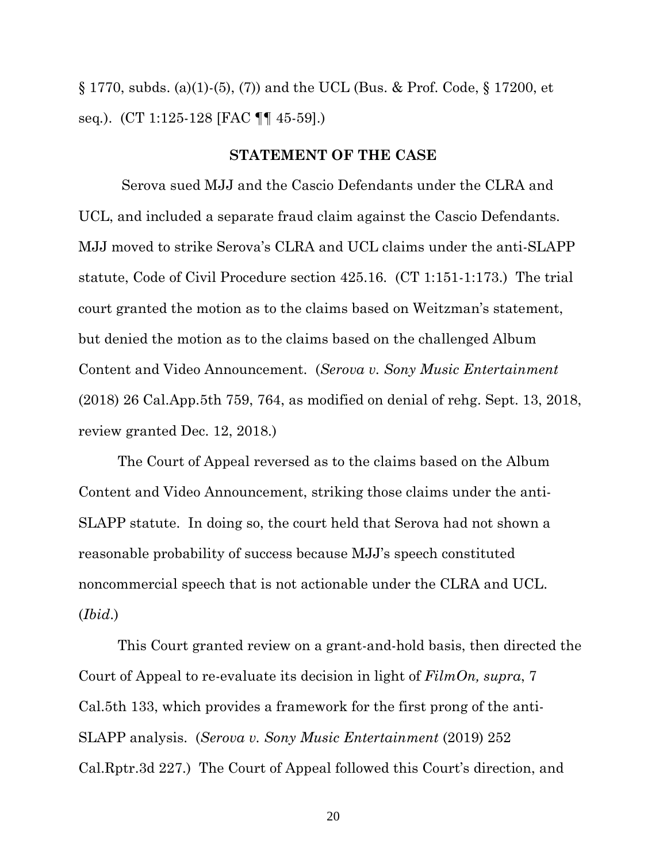$\S 1770$ , subds. (a)(1)-(5), (7)) and the UCL (Bus. & Prof. Code,  $\S 17200$ , et seq*.*). (CT 1:125-128 [FAC ¶¶ 45-59].)

#### **STATEMENT OF THE CASE**

 Serova sued MJJ and the Cascio Defendants under the CLRA and UCL, and included a separate fraud claim against the Cascio Defendants. MJJ moved to strike Serova's CLRA and UCL claims under the anti-SLAPP statute, Code of Civil Procedure section 425.16. (CT 1:151-1:173.) The trial court granted the motion as to the claims based on Weitzman's statement, but denied the motion as to the claims based on the challenged Album Content and Video Announcement. (*Serova v. Sony Music Entertainment* (2018) 26 Cal.App.5th 759, 764, as modified on denial of rehg. Sept. 13, 2018, review granted Dec. 12, 2018.)

The Court of Appeal reversed as to the claims based on the Album Content and Video Announcement, striking those claims under the anti-SLAPP statute. In doing so, the court held that Serova had not shown a reasonable probability of success because MJJ's speech constituted noncommercial speech that is not actionable under the CLRA and UCL. (*Ibid*.)

This Court granted review on a grant-and-hold basis, then directed the Court of Appeal to re-evaluate its decision in light of *FilmOn, supra*, 7 Cal.5th 133, which provides a framework for the first prong of the anti-SLAPP analysis. (*Serova v. Sony Music Entertainment* (2019) 252 Cal.Rptr.3d 227.) The Court of Appeal followed this Court's direction, and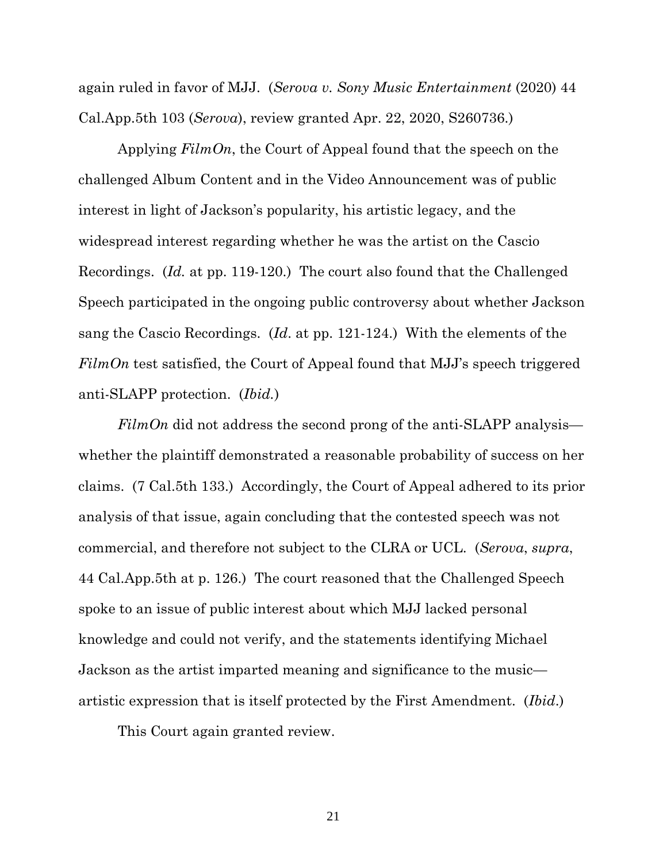again ruled in favor of MJJ. (*Serova v. Sony Music Entertainment* (2020) 44 Cal.App.5th 103 (*Serova*), review granted Apr. 22, 2020, S260736.)

Applying *FilmOn*, the Court of Appeal found that the speech on the challenged Album Content and in the Video Announcement was of public interest in light of Jackson's popularity, his artistic legacy, and the widespread interest regarding whether he was the artist on the Cascio Recordings. (*Id.* at pp. 119-120.) The court also found that the Challenged Speech participated in the ongoing public controversy about whether Jackson sang the Cascio Recordings. (*Id*. at pp. 121-124.) With the elements of the *FilmOn* test satisfied, the Court of Appeal found that MJJ's speech triggered anti-SLAPP protection. (*Ibid.*)

*FilmOn* did not address the second prong of the anti-SLAPP analysis whether the plaintiff demonstrated a reasonable probability of success on her claims. (7 Cal.5th 133.) Accordingly, the Court of Appeal adhered to its prior analysis of that issue, again concluding that the contested speech was not commercial, and therefore not subject to the CLRA or UCL. (*Serova*, *supra*, 44 Cal.App.5th at p. 126.) The court reasoned that the Challenged Speech spoke to an issue of public interest about which MJJ lacked personal knowledge and could not verify, and the statements identifying Michael Jackson as the artist imparted meaning and significance to the music artistic expression that is itself protected by the First Amendment. (*Ibid*.)

This Court again granted review.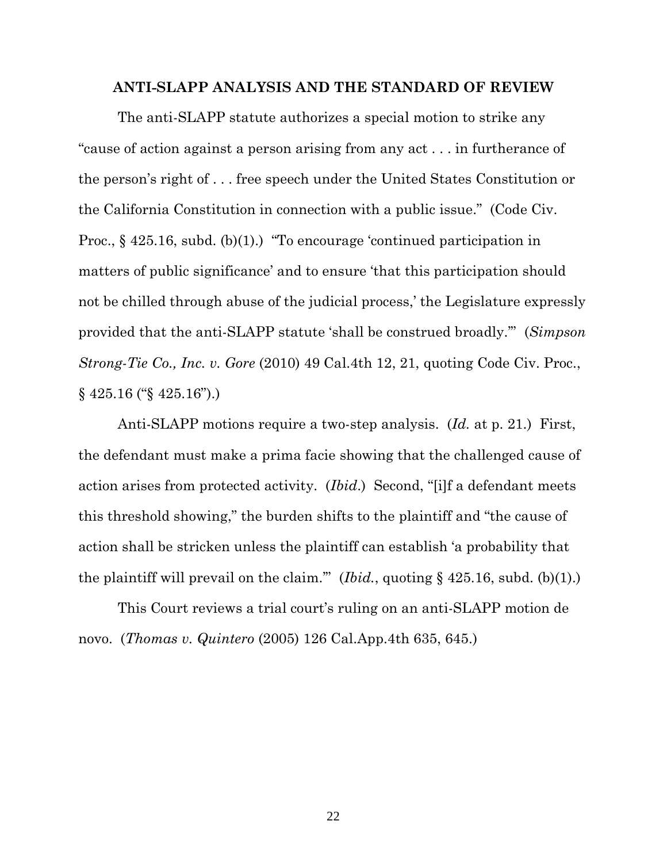#### **ANTI-SLAPP ANALYSIS AND THE STANDARD OF REVIEW**

The anti-SLAPP statute authorizes a special motion to strike any "cause of action against a person arising from any act . . . in furtherance of the person's right of . . . free speech under the United States Constitution or the California Constitution in connection with a public issue." (Code Civ. Proc., § 425.16, subd. (b)(1).) "To encourage 'continued participation in matters of public significance' and to ensure 'that this participation should not be chilled through abuse of the judicial process,' the Legislature expressly provided that the anti-SLAPP statute 'shall be construed broadly.'" (*Simpson Strong-Tie Co., Inc. v. Gore* (2010) 49 Cal.4th 12, 21, quoting Code Civ. Proc., § 425.16 ("§ 425.16").)

Anti-SLAPP motions require a two-step analysis. (*Id.* at p. 21.) First, the defendant must make a prima facie showing that the challenged cause of action arises from protected activity. (*Ibid*.) Second, "[i]f a defendant meets this threshold showing," the burden shifts to the plaintiff and "the cause of action shall be stricken unless the plaintiff can establish 'a probability that the plaintiff will prevail on the claim." (*Ibid.*, quoting  $\S$  425.16, subd. (b)(1).)

This Court reviews a trial court's ruling on an anti-SLAPP motion de novo. (*Thomas v. Quintero* (2005) 126 Cal.App.4th 635, 645.)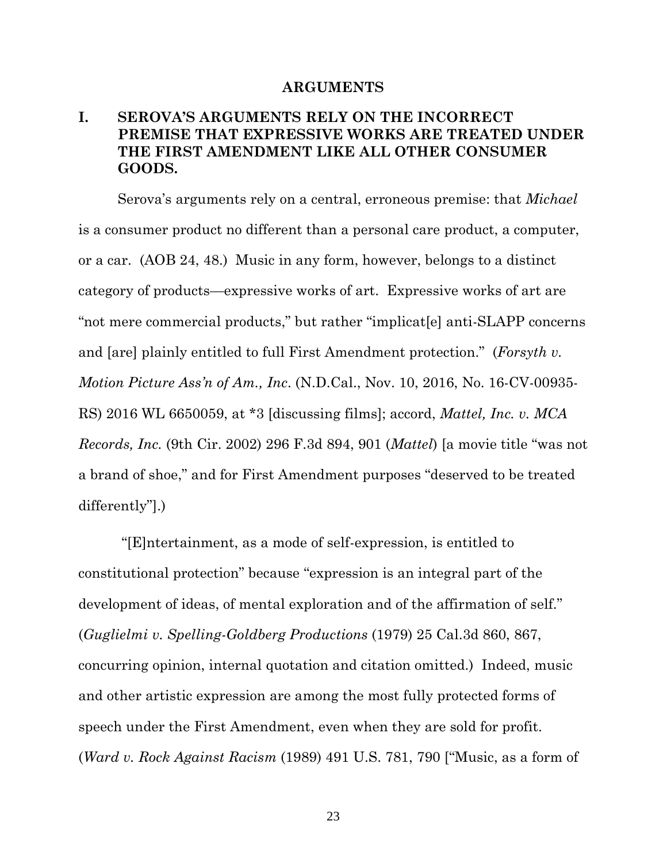#### **ARGUMENTS**

## **I. SEROVA'S ARGUMENTS RELY ON THE INCORRECT PREMISE THAT EXPRESSIVE WORKS ARE TREATED UNDER THE FIRST AMENDMENT LIKE ALL OTHER CONSUMER GOODS.**

Serova's arguments rely on a central, erroneous premise: that *Michael*  is a consumer product no different than a personal care product, a computer, or a car. (AOB 24, 48.) Music in any form, however, belongs to a distinct category of products—expressive works of art. Expressive works of art are "not mere commercial products," but rather "implicat[e] anti-SLAPP concerns and [are] plainly entitled to full First Amendment protection." (*Forsyth v. Motion Picture Ass'n of Am., Inc*. (N.D.Cal., Nov. 10, 2016, No. 16-CV-00935- RS) 2016 WL 6650059, at \*3 [discussing films]; accord, *Mattel, Inc. v. MCA Records, Inc.* (9th Cir. 2002) 296 F.3d 894, 901 (*Mattel*) [a movie title "was not a brand of shoe," and for First Amendment purposes "deserved to be treated differently"].)

 "[E]ntertainment, as a mode of self-expression, is entitled to constitutional protection" because "expression is an integral part of the development of ideas, of mental exploration and of the affirmation of self." (*Guglielmi v. Spelling-Goldberg Productions* (1979) 25 Cal.3d 860, 867, concurring opinion, internal quotation and citation omitted.) Indeed, music and other artistic expression are among the most fully protected forms of speech under the First Amendment, even when they are sold for profit. (*Ward v. Rock Against Racism* (1989) 491 U.S. 781, 790 ["Music, as a form of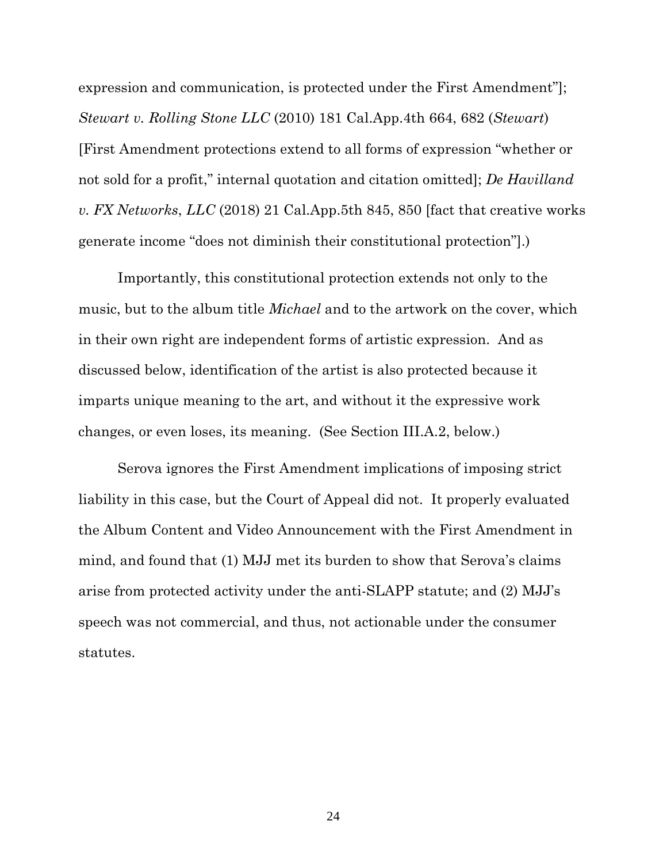expression and communication, is protected under the First Amendment"]; *Stewart v. Rolling Stone LLC* (2010) 181 Cal.App.4th 664, 682 (*Stewart*) [First Amendment protections extend to all forms of expression "whether or not sold for a profit," internal quotation and citation omitted]; *De Havilland v. FX Networks*, *LLC* (2018) 21 Cal.App.5th 845, 850 [fact that creative works generate income "does not diminish their constitutional protection"].)

Importantly, this constitutional protection extends not only to the music, but to the album title *Michael* and to the artwork on the cover, which in their own right are independent forms of artistic expression. And as discussed below, identification of the artist is also protected because it imparts unique meaning to the art, and without it the expressive work changes, or even loses, its meaning. (See Section III.A.2, below.)

Serova ignores the First Amendment implications of imposing strict liability in this case, but the Court of Appeal did not. It properly evaluated the Album Content and Video Announcement with the First Amendment in mind, and found that (1) MJJ met its burden to show that Serova's claims arise from protected activity under the anti-SLAPP statute; and (2) MJJ's speech was not commercial, and thus, not actionable under the consumer statutes.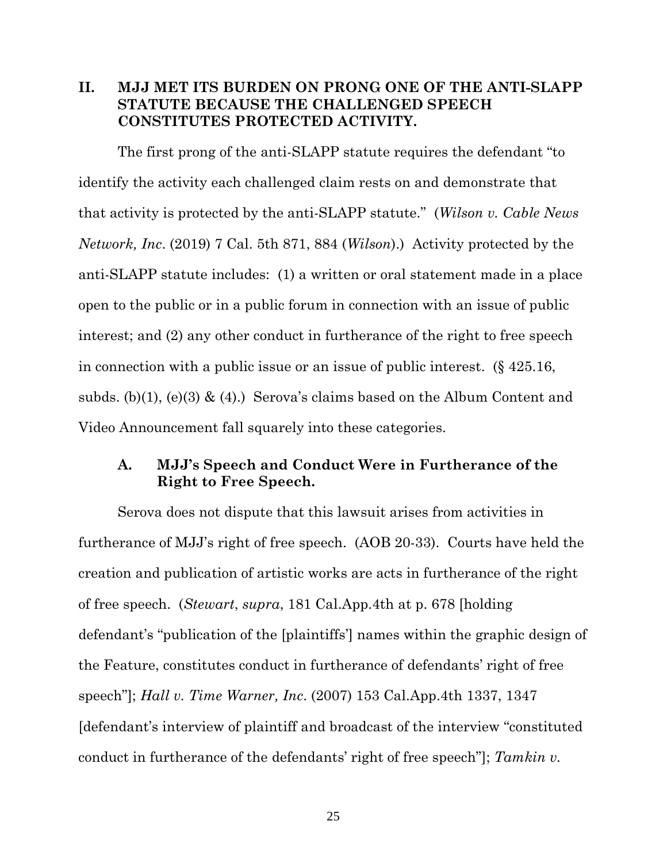## **II. MJJ MET ITS BURDEN ON PRONG ONE OF THE ANTI-SLAPP STATUTE BECAUSE THE CHALLENGED SPEECH CONSTITUTES PROTECTED ACTIVITY.**

The first prong of the anti-SLAPP statute requires the defendant "to identify the activity each challenged claim rests on and demonstrate that that activity is protected by the anti-SLAPP statute." (*Wilson v. Cable News Network, Inc*. (2019) 7 Cal. 5th 871, 884 (*Wilson*).) Activity protected by the anti-SLAPP statute includes: (1) a written or oral statement made in a place open to the public or in a public forum in connection with an issue of public interest; and (2) any other conduct in furtherance of the right to free speech in connection with a public issue or an issue of public interest. (§ 425.16, subds. (b)(1), (e)(3)  $\&$  (4).) Serova's claims based on the Album Content and Video Announcement fall squarely into these categories.

## **A. MJJ's Speech and Conduct Were in Furtherance of the Right to Free Speech.**

Serova does not dispute that this lawsuit arises from activities in furtherance of MJJ's right of free speech. (AOB 20-33). Courts have held the creation and publication of artistic works are acts in furtherance of the right of free speech. (*Stewart*, *supra*, 181 Cal.App.4th at p. 678 [holding defendant's "publication of the [plaintiffs'] names within the graphic design of the Feature, constitutes conduct in furtherance of defendants' right of free speech"]; *Hall v. Time Warner, Inc*. (2007) 153 Cal.App.4th 1337, 1347 [defendant's interview of plaintiff and broadcast of the interview "constituted conduct in furtherance of the defendants' right of free speech"]; *Tamkin v.*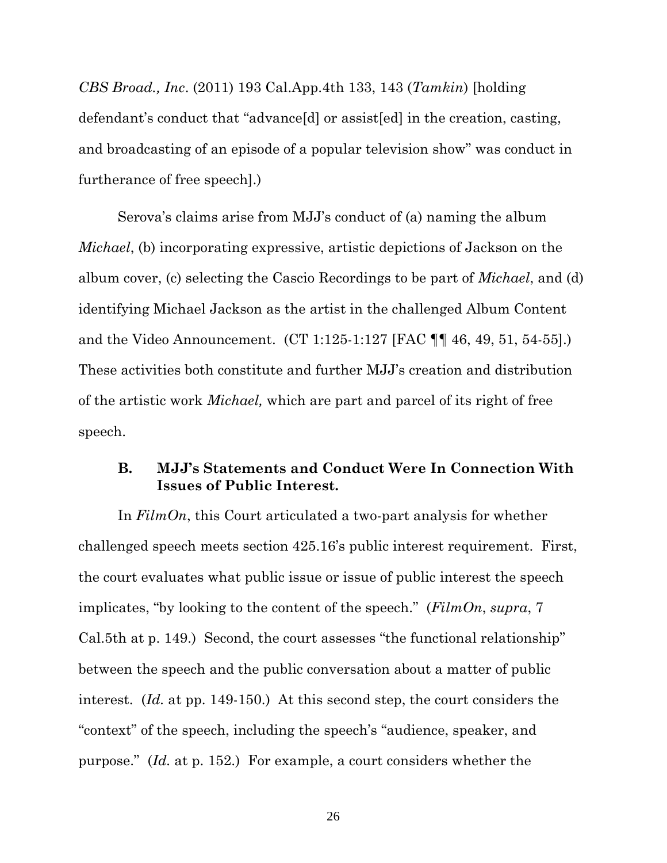*CBS Broad., Inc*. (2011) 193 Cal.App.4th 133, 143 (*Tamkin*) [holding defendant's conduct that "advance[d] or assist[ed] in the creation, casting, and broadcasting of an episode of a popular television show" was conduct in furtherance of free speech].)

Serova's claims arise from MJJ's conduct of (a) naming the album *Michael*, (b) incorporating expressive, artistic depictions of Jackson on the album cover, (c) selecting the Cascio Recordings to be part of *Michael*, and (d) identifying Michael Jackson as the artist in the challenged Album Content and the Video Announcement. (CT 1:125-1:127 [FAC ¶¶ 46, 49, 51, 54-55].) These activities both constitute and further MJJ's creation and distribution of the artistic work *Michael,* which are part and parcel of its right of free speech.

## **B. MJJ's Statements and Conduct Were In Connection With Issues of Public Interest.**

In *FilmOn*, this Court articulated a two-part analysis for whether challenged speech meets section 425.16's public interest requirement. First, the court evaluates what public issue or issue of public interest the speech implicates, "by looking to the content of the speech." (*FilmOn*, *supra*, 7 Cal.5th at p. 149.) Second, the court assesses "the functional relationship" between the speech and the public conversation about a matter of public interest. (*Id.* at pp. 149-150.) At this second step, the court considers the "context" of the speech, including the speech's "audience, speaker, and purpose." (*Id.* at p. 152.) For example, a court considers whether the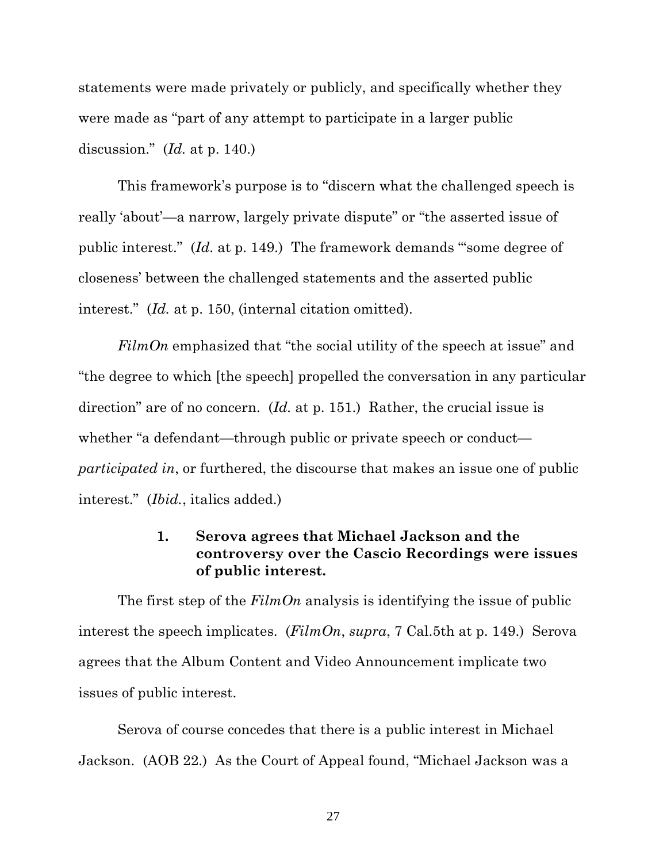statements were made privately or publicly, and specifically whether they were made as "part of any attempt to participate in a larger public discussion." (*Id.* at p. 140.)

This framework's purpose is to "discern what the challenged speech is really 'about'—a narrow, largely private dispute" or "the asserted issue of public interest." (*Id.* at p. 149.) The framework demands "'some degree of closeness' between the challenged statements and the asserted public interest." (*Id.* at p. 150, (internal citation omitted).

*FilmOn* emphasized that "the social utility of the speech at issue" and "the degree to which [the speech] propelled the conversation in any particular direction" are of no concern. (*Id.* at p. 151.) Rather, the crucial issue is whether "a defendant—through public or private speech or conduct *participated in*, or furthered, the discourse that makes an issue one of public interest." (*Ibid.*, italics added.)

## **1. Serova agrees that Michael Jackson and the controversy over the Cascio Recordings were issues of public interest.**

The first step of the *FilmOn* analysis is identifying the issue of public interest the speech implicates. (*FilmOn*, *supra*, 7 Cal.5th at p. 149.) Serova agrees that the Album Content and Video Announcement implicate two issues of public interest.

Serova of course concedes that there is a public interest in Michael Jackson. (AOB 22.) As the Court of Appeal found, "Michael Jackson was a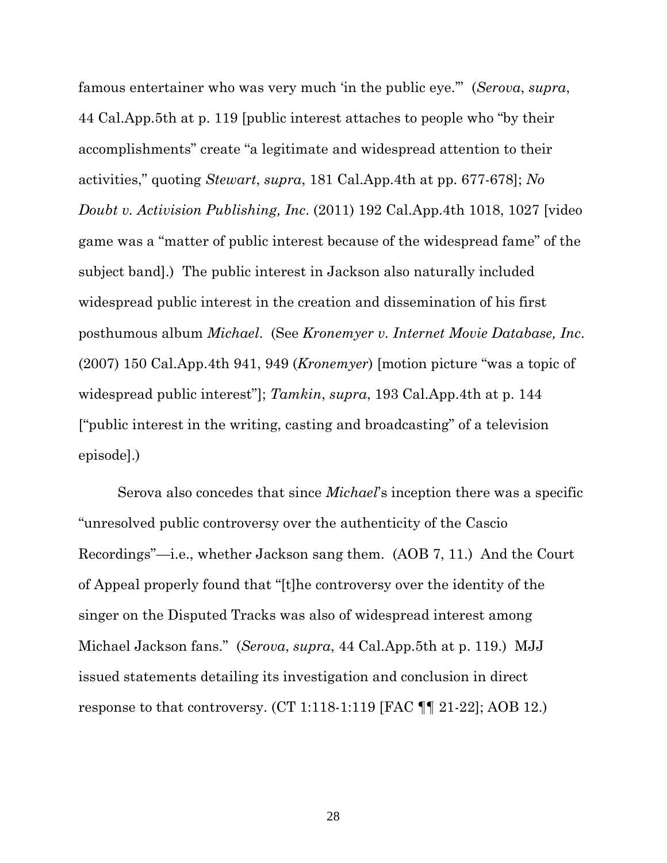famous entertainer who was very much 'in the public eye.'" (*Serova*, *supra*, 44 Cal.App.5th at p. 119 [public interest attaches to people who "by their accomplishments" create "a legitimate and widespread attention to their activities," quoting *Stewart*, *supra*, 181 Cal.App.4th at pp. 677-678]; *No Doubt v. Activision Publishing, Inc*. (2011) 192 Cal.App.4th 1018, 1027 [video game was a "matter of public interest because of the widespread fame" of the subject band].) The public interest in Jackson also naturally included widespread public interest in the creation and dissemination of his first posthumous album *Michael*. (See *Kronemyer v. Internet Movie Database, Inc*. (2007) 150 Cal.App.4th 941, 949 (*Kronemyer*) [motion picture "was a topic of widespread public interest"]; *Tamkin*, *supra*, 193 Cal.App.4th at p. 144 ["public interest in the writing, casting and broadcasting" of a television episode].)

Serova also concedes that since *Michael*'s inception there was a specific "unresolved public controversy over the authenticity of the Cascio Recordings"—i.e., whether Jackson sang them. (AOB 7, 11.) And the Court of Appeal properly found that "[t]he controversy over the identity of the singer on the Disputed Tracks was also of widespread interest among Michael Jackson fans." (*Serova*, *supra*, 44 Cal.App.5th at p. 119.) MJJ issued statements detailing its investigation and conclusion in direct response to that controversy. (CT 1:118-1:119 [FAC ¶¶ 21-22]; AOB 12.)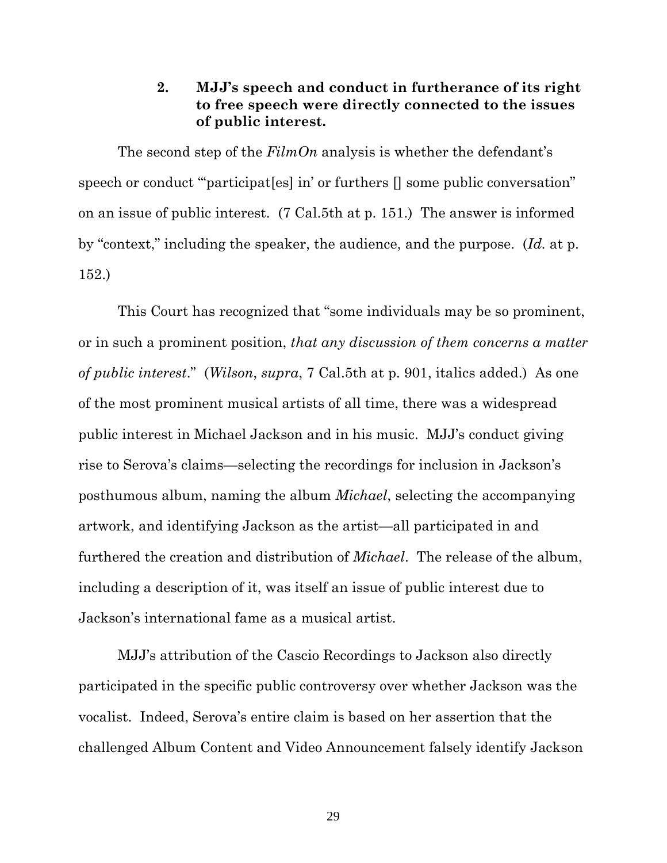## **2. MJJ's speech and conduct in furtherance of its right to free speech were directly connected to the issues of public interest.**

The second step of the *FilmOn* analysis is whether the defendant's speech or conduct ""participat [es] in' or furthers  $\parallel$  some public conversation" on an issue of public interest. (7 Cal.5th at p. 151.) The answer is informed by "context," including the speaker, the audience, and the purpose. (*Id.* at p. 152.)

This Court has recognized that "some individuals may be so prominent, or in such a prominent position, *that any discussion of them concerns a matter of public interest*." (*Wilson*, *supra*, 7 Cal.5th at p. 901, italics added.) As one of the most prominent musical artists of all time, there was a widespread public interest in Michael Jackson and in his music. MJJ's conduct giving rise to Serova's claims—selecting the recordings for inclusion in Jackson's posthumous album, naming the album *Michael*, selecting the accompanying artwork, and identifying Jackson as the artist—all participated in and furthered the creation and distribution of *Michael*. The release of the album, including a description of it, was itself an issue of public interest due to Jackson's international fame as a musical artist.

MJJ's attribution of the Cascio Recordings to Jackson also directly participated in the specific public controversy over whether Jackson was the vocalist. Indeed, Serova's entire claim is based on her assertion that the challenged Album Content and Video Announcement falsely identify Jackson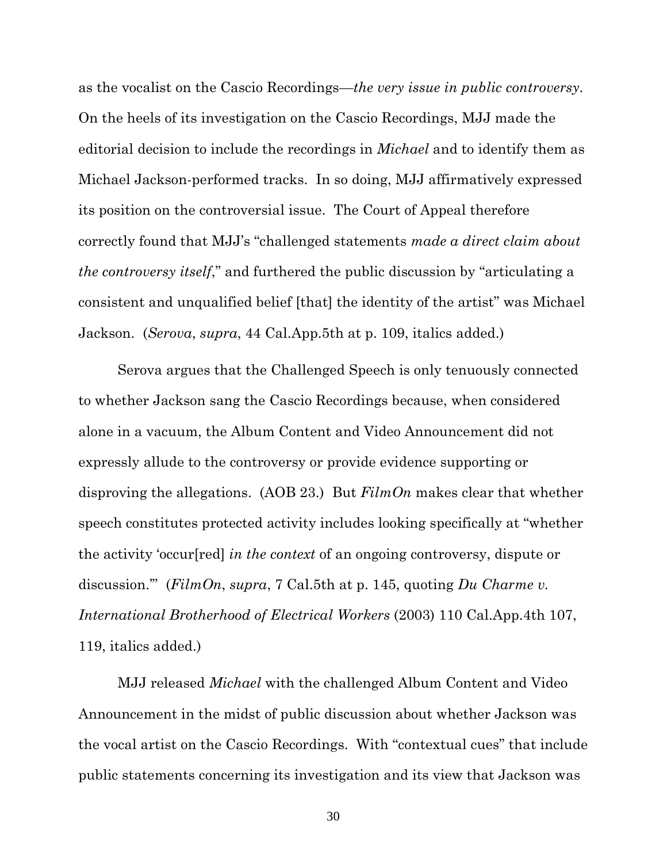as the vocalist on the Cascio Recordings—*the very issue in public controversy*. On the heels of its investigation on the Cascio Recordings, MJJ made the editorial decision to include the recordings in *Michael* and to identify them as Michael Jackson-performed tracks. In so doing, MJJ affirmatively expressed its position on the controversial issue. The Court of Appeal therefore correctly found that MJJ's "challenged statements *made a direct claim about the controversy itself*," and furthered the public discussion by "articulating a consistent and unqualified belief [that] the identity of the artist" was Michael Jackson. (*Serova*, *supra*, 44 Cal.App.5th at p. 109, italics added.)

Serova argues that the Challenged Speech is only tenuously connected to whether Jackson sang the Cascio Recordings because, when considered alone in a vacuum, the Album Content and Video Announcement did not expressly allude to the controversy or provide evidence supporting or disproving the allegations. (AOB 23.) But *FilmOn* makes clear that whether speech constitutes protected activity includes looking specifically at "whether the activity 'occur[red] *in the context* of an ongoing controversy, dispute or discussion.'" (*FilmOn*, *supra*, 7 Cal.5th at p. 145, quoting *Du Charme v. International Brotherhood of Electrical Workers* (2003) 110 Cal.App.4th 107, 119, italics added.)

MJJ released *Michael* with the challenged Album Content and Video Announcement in the midst of public discussion about whether Jackson was the vocal artist on the Cascio Recordings. With "contextual cues" that include public statements concerning its investigation and its view that Jackson was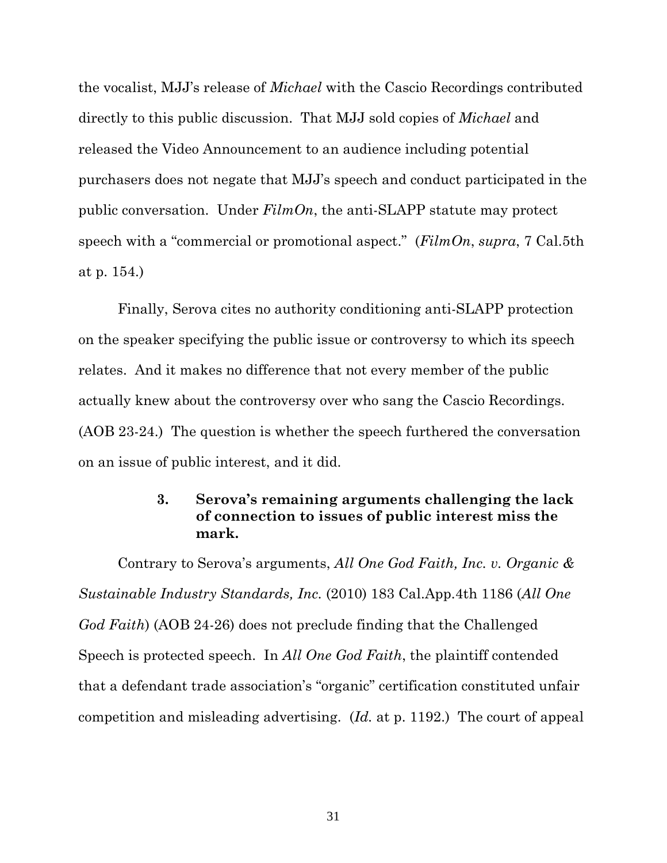the vocalist, MJJ's release of *Michael* with the Cascio Recordings contributed directly to this public discussion. That MJJ sold copies of *Michael* and released the Video Announcement to an audience including potential purchasers does not negate that MJJ's speech and conduct participated in the public conversation. Under *FilmOn*, the anti-SLAPP statute may protect speech with a "commercial or promotional aspect." (*FilmOn*, *supra*, 7 Cal.5th at p. 154.)

Finally, Serova cites no authority conditioning anti-SLAPP protection on the speaker specifying the public issue or controversy to which its speech relates. And it makes no difference that not every member of the public actually knew about the controversy over who sang the Cascio Recordings. (AOB 23-24.) The question is whether the speech furthered the conversation on an issue of public interest, and it did.

## **3. Serova's remaining arguments challenging the lack of connection to issues of public interest miss the mark.**

Contrary to Serova's arguments, *All One God Faith, Inc. v. Organic & Sustainable Industry Standards, Inc.* (2010) 183 Cal.App.4th 1186 (*All One God Faith*) (AOB 24-26) does not preclude finding that the Challenged Speech is protected speech. In *All One God Faith*, the plaintiff contended that a defendant trade association's "organic" certification constituted unfair competition and misleading advertising. (*Id.* at p. 1192.) The court of appeal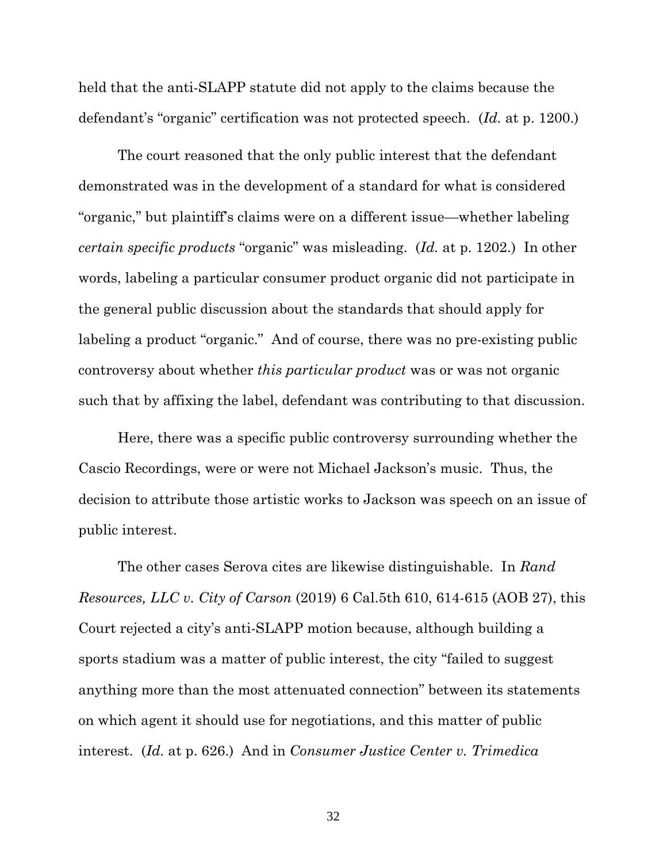held that the anti-SLAPP statute did not apply to the claims because the defendant's "organic" certification was not protected speech. (*Id.* at p. 1200.)

The court reasoned that the only public interest that the defendant demonstrated was in the development of a standard for what is considered "organic," but plaintiff's claims were on a different issue—whether labeling *certain specific products* "organic" was misleading. (*Id.* at p. 1202.) In other words, labeling a particular consumer product organic did not participate in the general public discussion about the standards that should apply for labeling a product "organic." And of course, there was no pre-existing public controversy about whether *this particular product* was or was not organic such that by affixing the label, defendant was contributing to that discussion.

Here, there was a specific public controversy surrounding whether the Cascio Recordings, were or were not Michael Jackson's music. Thus, the decision to attribute those artistic works to Jackson was speech on an issue of public interest.

The other cases Serova cites are likewise distinguishable. In *Rand Resources, LLC v. City of Carson* (2019) 6 Cal.5th 610, 614-615 (AOB 27), this Court rejected a city's anti-SLAPP motion because, although building a sports stadium was a matter of public interest, the city "failed to suggest anything more than the most attenuated connection" between its statements on which agent it should use for negotiations, and this matter of public interest. (*Id.* at p. 626.) And in *Consumer Justice Center v. Trimedica*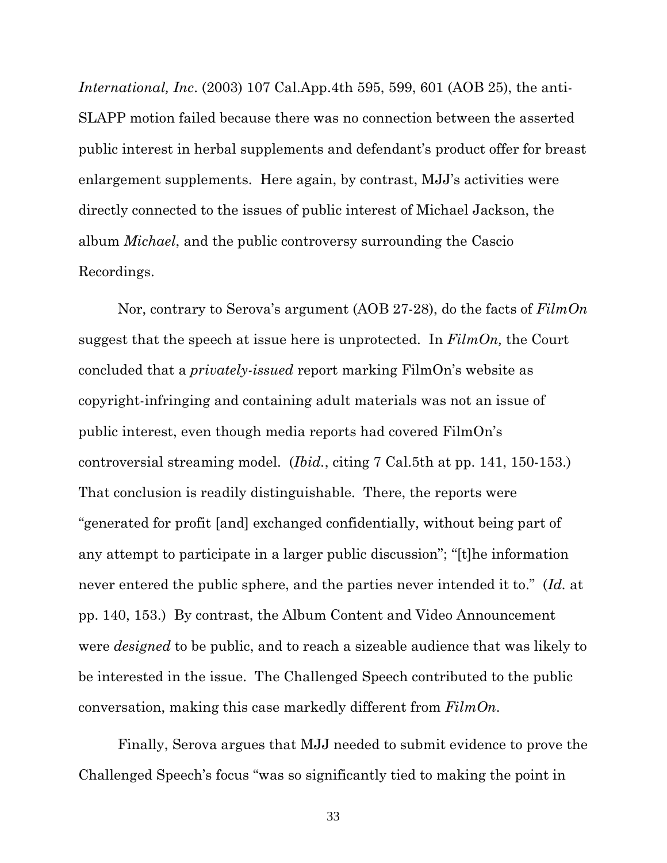*International, Inc*. (2003) 107 Cal.App.4th 595, 599, 601 (AOB 25), the anti-SLAPP motion failed because there was no connection between the asserted public interest in herbal supplements and defendant's product offer for breast enlargement supplements. Here again, by contrast, MJJ's activities were directly connected to the issues of public interest of Michael Jackson, the album *Michael*, and the public controversy surrounding the Cascio Recordings.

Nor, contrary to Serova's argument (AOB 27-28), do the facts of *FilmOn*  suggest that the speech at issue here is unprotected. In *FilmOn,* the Court concluded that a *privately-issued* report marking FilmOn's website as copyright-infringing and containing adult materials was not an issue of public interest, even though media reports had covered FilmOn's controversial streaming model. (*Ibid.*, citing 7 Cal.5th at pp. 141, 150-153.) That conclusion is readily distinguishable. There, the reports were "generated for profit [and] exchanged confidentially, without being part of any attempt to participate in a larger public discussion"; "[t]he information never entered the public sphere, and the parties never intended it to." (*Id.* at pp. 140, 153.) By contrast, the Album Content and Video Announcement were *designed* to be public, and to reach a sizeable audience that was likely to be interested in the issue. The Challenged Speech contributed to the public conversation, making this case markedly different from *FilmOn*.

Finally, Serova argues that MJJ needed to submit evidence to prove the Challenged Speech's focus "was so significantly tied to making the point in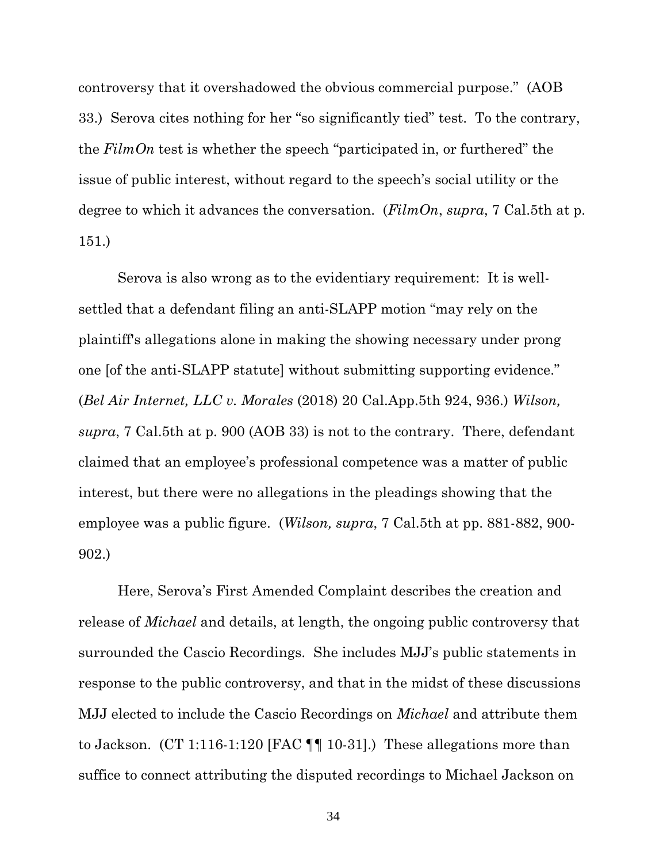controversy that it overshadowed the obvious commercial purpose." (AOB 33.) Serova cites nothing for her "so significantly tied" test. To the contrary, the *FilmOn* test is whether the speech "participated in, or furthered" the issue of public interest, without regard to the speech's social utility or the degree to which it advances the conversation. (*FilmOn*, *supra*, 7 Cal.5th at p. 151.)

Serova is also wrong as to the evidentiary requirement: It is wellsettled that a defendant filing an anti-SLAPP motion "may rely on the plaintiff's allegations alone in making the showing necessary under prong one [of the anti-SLAPP statute] without submitting supporting evidence." (*Bel Air Internet, LLC v. Morales* (2018) 20 Cal.App.5th 924, 936.) *Wilson, supra*, 7 Cal.5th at p. 900 (AOB 33) is not to the contrary. There, defendant claimed that an employee's professional competence was a matter of public interest, but there were no allegations in the pleadings showing that the employee was a public figure. (*Wilson, supra*, 7 Cal.5th at pp. 881-882, 900- 902.)

Here, Serova's First Amended Complaint describes the creation and release of *Michael* and details, at length, the ongoing public controversy that surrounded the Cascio Recordings. She includes MJJ's public statements in response to the public controversy, and that in the midst of these discussions MJJ elected to include the Cascio Recordings on *Michael* and attribute them to Jackson. (CT 1:116-1:120 [FAC ¶¶ 10-31].) These allegations more than suffice to connect attributing the disputed recordings to Michael Jackson on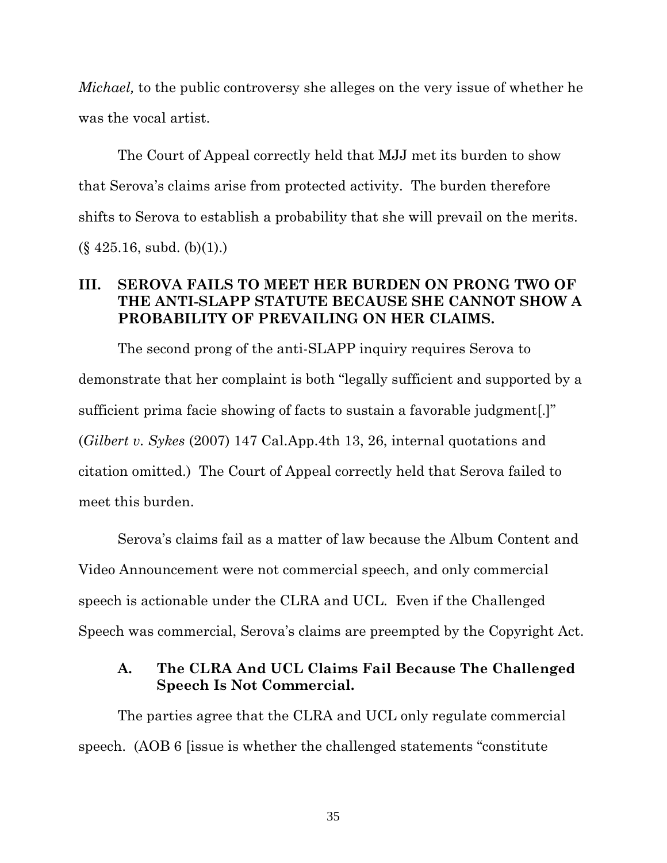*Michael*, to the public controversy she alleges on the very issue of whether he was the vocal artist.

The Court of Appeal correctly held that MJJ met its burden to show that Serova's claims arise from protected activity. The burden therefore shifts to Serova to establish a probability that she will prevail on the merits.  $(\S$  425.16, subd. (b)(1).)

## **III. SEROVA FAILS TO MEET HER BURDEN ON PRONG TWO OF THE ANTI-SLAPP STATUTE BECAUSE SHE CANNOT SHOW A PROBABILITY OF PREVAILING ON HER CLAIMS.**

The second prong of the anti-SLAPP inquiry requires Serova to demonstrate that her complaint is both "legally sufficient and supported by a sufficient prima facie showing of facts to sustain a favorable judgment[.]" (*Gilbert v. Sykes* (2007) 147 Cal.App.4th 13, 26, internal quotations and citation omitted.) The Court of Appeal correctly held that Serova failed to meet this burden.

Serova's claims fail as a matter of law because the Album Content and Video Announcement were not commercial speech, and only commercial speech is actionable under the CLRA and UCL. Even if the Challenged Speech was commercial, Serova's claims are preempted by the Copyright Act.

## **A. The CLRA And UCL Claims Fail Because The Challenged Speech Is Not Commercial.**

The parties agree that the CLRA and UCL only regulate commercial speech. (AOB 6 [issue is whether the challenged statements "constitute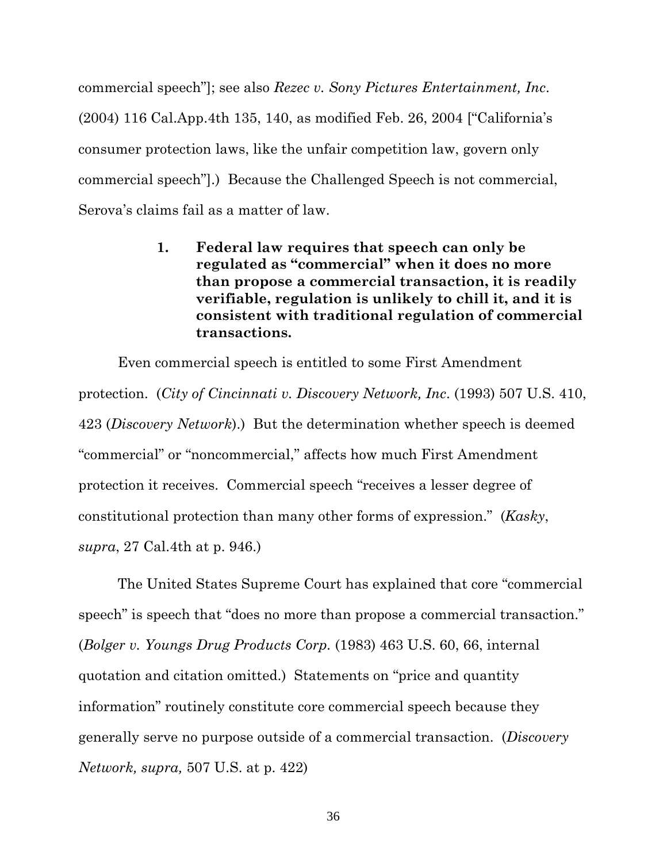commercial speech"]; see also *Rezec v. Sony Pictures Entertainment, Inc*. (2004) 116 Cal.App.4th 135, 140, as modified Feb. 26, 2004 ["California's consumer protection laws, like the unfair competition law, govern only commercial speech"].) Because the Challenged Speech is not commercial, Serova's claims fail as a matter of law.

> **1. Federal law requires that speech can only be regulated as "commercial" when it does no more than propose a commercial transaction, it is readily verifiable, regulation is unlikely to chill it, and it is consistent with traditional regulation of commercial transactions.**

Even commercial speech is entitled to some First Amendment protection. (*City of Cincinnati v. Discovery Network, Inc*. (1993) 507 U.S. 410, 423 (*Discovery Network*).) But the determination whether speech is deemed "commercial" or "noncommercial," affects how much First Amendment protection it receives. Commercial speech "receives a lesser degree of constitutional protection than many other forms of expression." (*Kasky*, *supra*, 27 Cal.4th at p. 946.)

The United States Supreme Court has explained that core "commercial speech" is speech that "does no more than propose a commercial transaction." (*Bolger v. Youngs Drug Products Corp.* (1983) 463 U.S. 60, 66, internal quotation and citation omitted.) Statements on "price and quantity information" routinely constitute core commercial speech because they generally serve no purpose outside of a commercial transaction. (*Discovery Network, supra,* 507 U.S. at p. 422)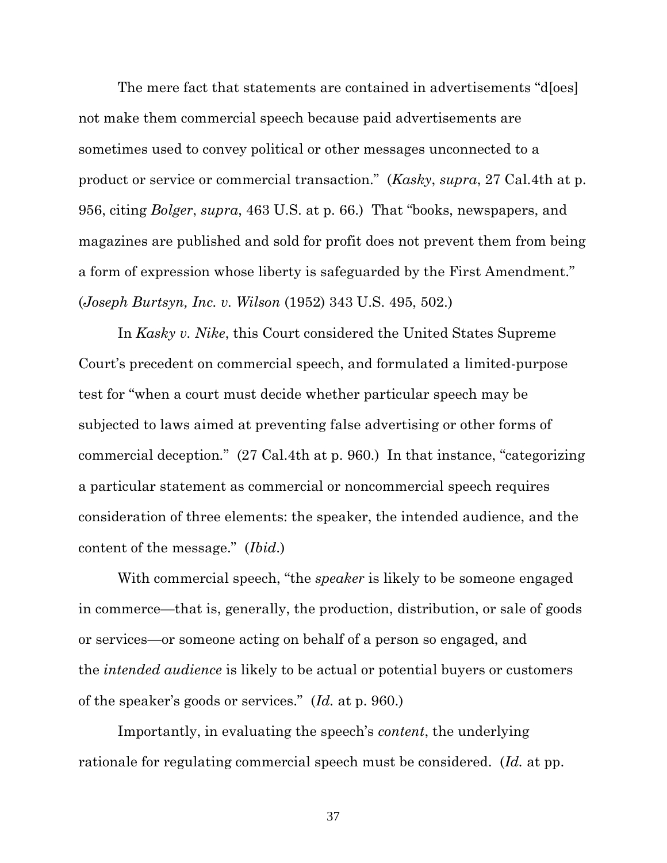The mere fact that statements are contained in advertisements "d[oes] not make them commercial speech because paid advertisements are sometimes used to convey political or other messages unconnected to a product or service or commercial transaction." (*Kasky*, *supra*, 27 Cal.4th at p. 956, citing *Bolger*, *supra*, 463 U.S. at p. 66.) That "books, newspapers, and magazines are published and sold for profit does not prevent them from being a form of expression whose liberty is safeguarded by the First Amendment." (*Joseph Burtsyn, Inc. v. Wilson* (1952) 343 U.S. 495, 502.)

In *Kasky v. Nike*, this Court considered the United States Supreme Court's precedent on commercial speech, and formulated a limited-purpose test for "when a court must decide whether particular speech may be subjected to laws aimed at preventing false advertising or other forms of commercial deception*.*" (27 Cal.4th at p. 960.) In that instance, "categorizing a particular statement as commercial or noncommercial speech requires consideration of three elements: the speaker, the intended audience, and the content of the message." (*Ibid*.)

With commercial speech, "the *speaker* is likely to be someone engaged in commerce—that is, generally, the production, distribution, or sale of goods or services—or someone acting on behalf of a person so engaged, and the *intended audience* is likely to be actual or potential buyers or customers of the speaker's goods or services." (*Id.* at p. 960.)

Importantly, in evaluating the speech's *content*, the underlying rationale for regulating commercial speech must be considered. (*Id.* at pp.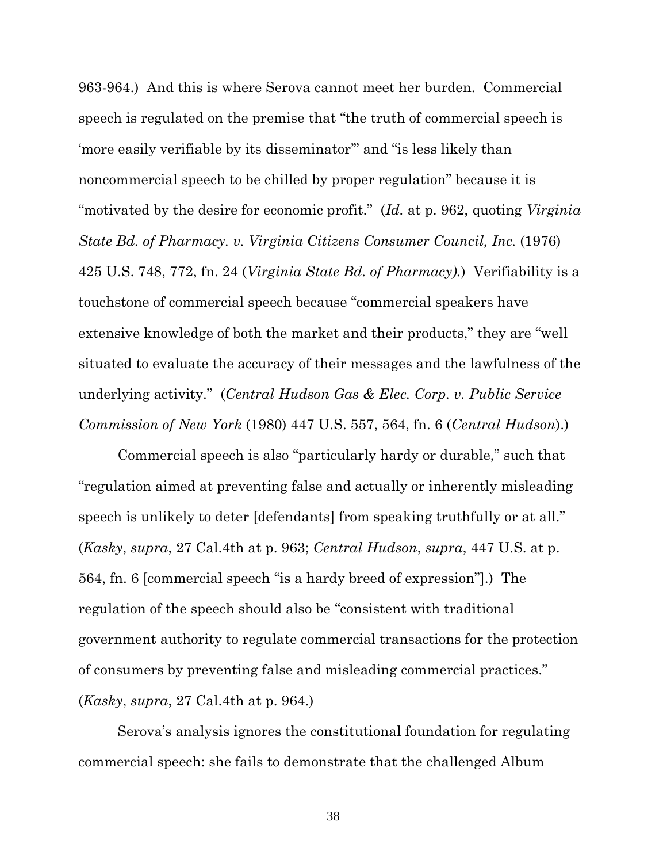963-964.) And this is where Serova cannot meet her burden. Commercial speech is regulated on the premise that "the truth of commercial speech is 'more easily verifiable by its disseminator'" and "is less likely than noncommercial speech to be chilled by proper regulation" because it is "motivated by the desire for economic profit." (*Id.* at p. 962, quoting *Virginia State Bd. of Pharmacy. v. Virginia Citizens Consumer Council, Inc.* (1976) 425 U.S. 748, 772, fn. 24 (*Virginia State Bd. of Pharmacy).*) Verifiability is a touchstone of commercial speech because "commercial speakers have extensive knowledge of both the market and their products," they are "well situated to evaluate the accuracy of their messages and the lawfulness of the underlying activity." (*Central Hudson Gas & Elec. Corp. v. Public Service Commission of New York* (1980) 447 U.S. 557, 564, fn. 6 (*Central Hudson*).)

Commercial speech is also "particularly hardy or durable," such that "regulation aimed at preventing false and actually or inherently misleading speech is unlikely to deter [defendants] from speaking truthfully or at all." (*Kasky*, *supra*, 27 Cal.4th at p. 963; *Central Hudson*, *supra*, 447 U.S. at p. 564, fn. 6 [commercial speech "is a hardy breed of expression"].) The regulation of the speech should also be "consistent with traditional government authority to regulate commercial transactions for the protection of consumers by preventing false and misleading commercial practices." (*Kasky*, *supra*, 27 Cal.4th at p. 964.)

Serova's analysis ignores the constitutional foundation for regulating commercial speech: she fails to demonstrate that the challenged Album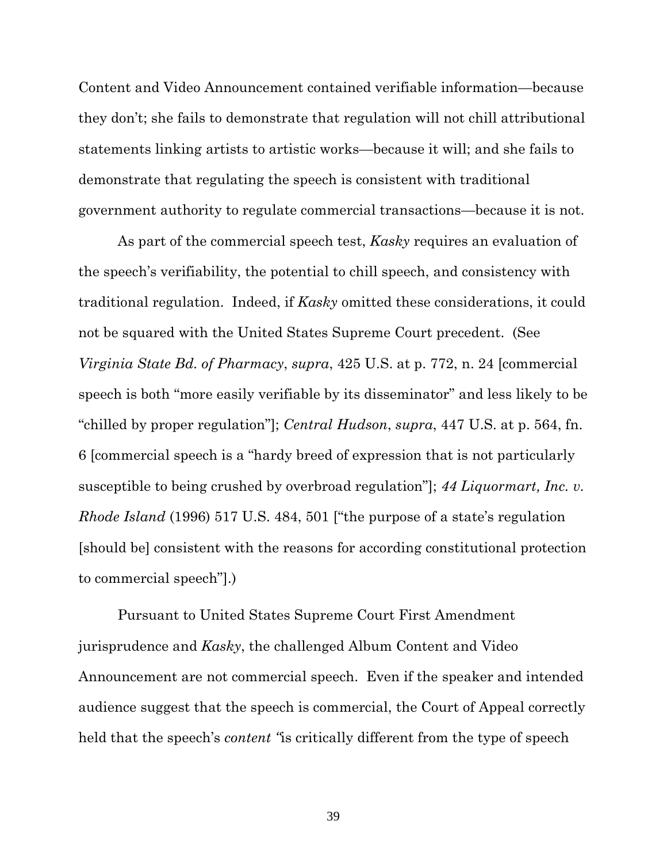Content and Video Announcement contained verifiable information—because they don't; she fails to demonstrate that regulation will not chill attributional statements linking artists to artistic works—because it will; and she fails to demonstrate that regulating the speech is consistent with traditional government authority to regulate commercial transactions—because it is not.

As part of the commercial speech test, *Kasky* requires an evaluation of the speech's verifiability, the potential to chill speech, and consistency with traditional regulation. Indeed, if *Kasky* omitted these considerations, it could not be squared with the United States Supreme Court precedent. (See *Virginia State Bd. of Pharmacy*, *supra*, 425 U.S. at p. 772, n. 24 [commercial speech is both "more easily verifiable by its disseminator" and less likely to be "chilled by proper regulation"]; *Central Hudson*, *supra*, 447 U.S. at p. 564, fn. 6 [commercial speech is a "hardy breed of expression that is not particularly susceptible to being crushed by overbroad regulation"]; *44 Liquormart, Inc. v. Rhode Island* (1996) 517 U.S. 484, 501 ["the purpose of a state's regulation [should be] consistent with the reasons for according constitutional protection to commercial speech"].)

Pursuant to United States Supreme Court First Amendment jurisprudence and *Kasky*, the challenged Album Content and Video Announcement are not commercial speech. Even if the speaker and intended audience suggest that the speech is commercial, the Court of Appeal correctly held that the speech's *content "*is critically different from the type of speech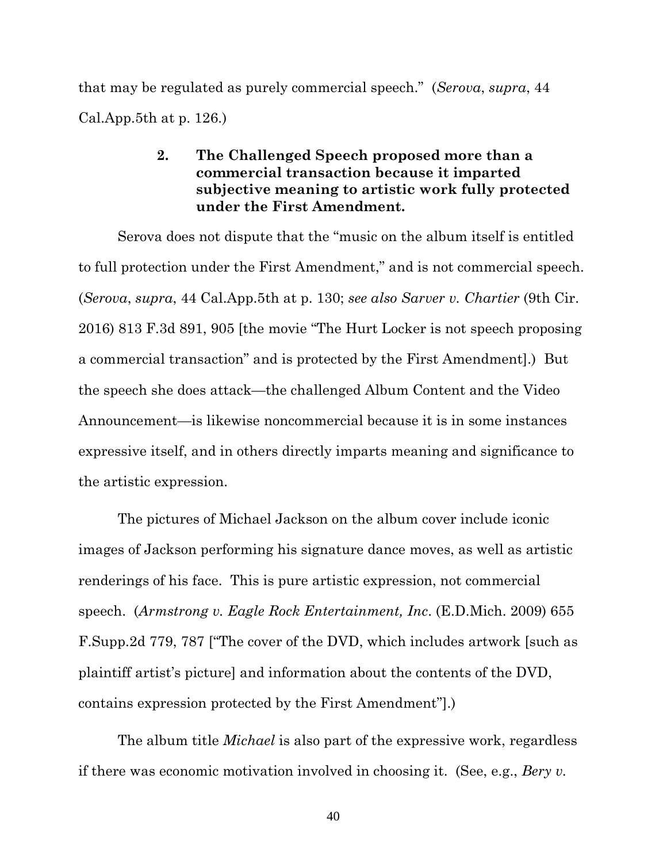that may be regulated as purely commercial speech." (*Serova*, *supra*, 44 Cal.App.5th at p. 126.)

## **2. The Challenged Speech proposed more than a commercial transaction because it imparted subjective meaning to artistic work fully protected under the First Amendment.**

Serova does not dispute that the "music on the album itself is entitled to full protection under the First Amendment," and is not commercial speech. (*Serova*, *supra*, 44 Cal.App.5th at p. 130; *see also Sarver v. Chartier* (9th Cir. 2016) 813 F.3d 891, 905 [the movie "The Hurt Locker is not speech proposing a commercial transaction" and is protected by the First Amendment].) But the speech she does attack—the challenged Album Content and the Video Announcement—is likewise noncommercial because it is in some instances expressive itself, and in others directly imparts meaning and significance to the artistic expression.

The pictures of Michael Jackson on the album cover include iconic images of Jackson performing his signature dance moves, as well as artistic renderings of his face. This is pure artistic expression, not commercial speech. (*Armstrong v. Eagle Rock Entertainment, Inc*. (E.D.Mich. 2009) 655 F.Supp.2d 779, 787 ["The cover of the DVD, which includes artwork [such as plaintiff artist's picture] and information about the contents of the DVD, contains expression protected by the First Amendment"].)

The album title *Michael* is also part of the expressive work, regardless if there was economic motivation involved in choosing it. (See, e.g., *Bery v.*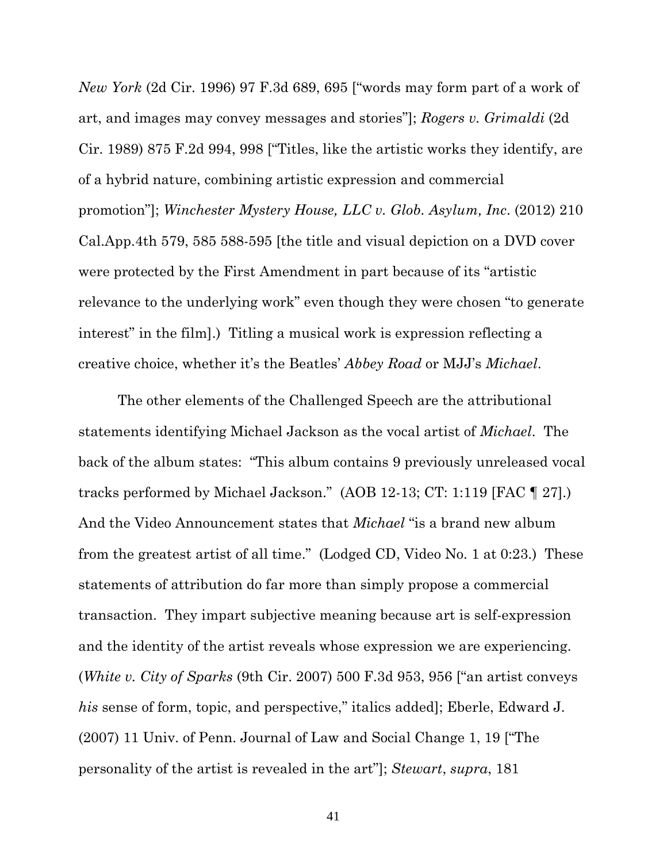*New York* (2d Cir. 1996) 97 F.3d 689, 695 ["words may form part of a work of art, and images may convey messages and stories"]; *Rogers v. Grimaldi* (2d Cir. 1989) 875 F.2d 994, 998 ["Titles, like the artistic works they identify, are of a hybrid nature, combining artistic expression and commercial promotion"]; *Winchester Mystery House, LLC v. Glob. Asylum, Inc*. (2012) 210 Cal.App.4th 579, 585 588-595 [the title and visual depiction on a DVD cover were protected by the First Amendment in part because of its "artistic relevance to the underlying work" even though they were chosen "to generate interest" in the film].) Titling a musical work is expression reflecting a creative choice, whether it's the Beatles' *Abbey Road* or MJJ's *Michael*.

The other elements of the Challenged Speech are the attributional statements identifying Michael Jackson as the vocal artist of *Michael*. The back of the album states: "This album contains 9 previously unreleased vocal tracks performed by Michael Jackson." (AOB 12-13; CT: 1:119 [FAC ¶ 27].) And the Video Announcement states that *Michael* "is a brand new album from the greatest artist of all time." (Lodged CD, Video No. 1 at 0:23.) These statements of attribution do far more than simply propose a commercial transaction. They impart subjective meaning because art is self-expression and the identity of the artist reveals whose expression we are experiencing. (*White v. City of Sparks* (9th Cir. 2007) 500 F.3d 953, 956 ["an artist conveys *his* sense of form, topic, and perspective," italics added]; Eberle, Edward J. (2007) 11 Univ. of Penn. Journal of Law and Social Change 1, 19 ["The personality of the artist is revealed in the art"]; *Stewart*, *supra*, 181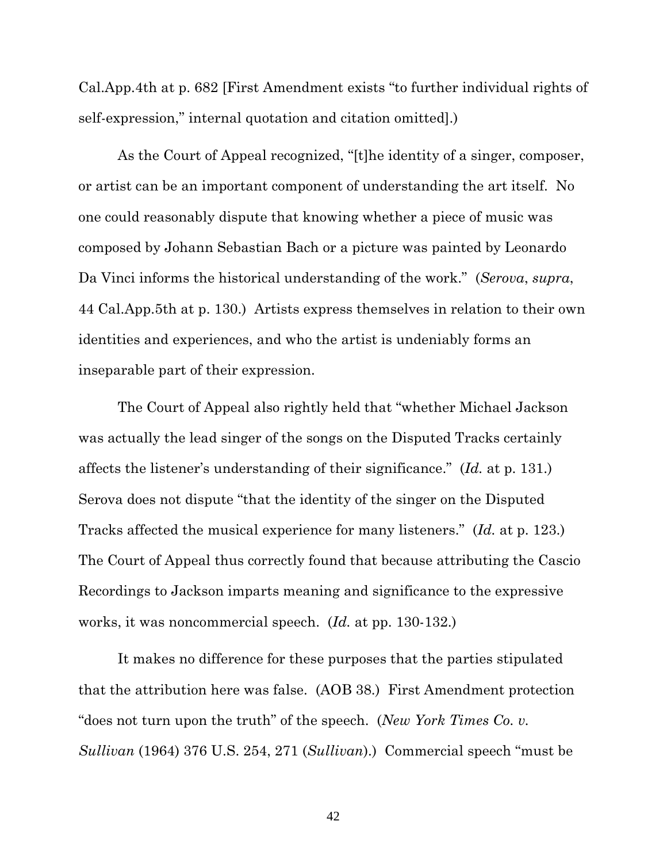Cal.App.4th at p. 682 [First Amendment exists "to further individual rights of self-expression," internal quotation and citation omitted].)

As the Court of Appeal recognized, "[t]he identity of a singer, composer, or artist can be an important component of understanding the art itself. No one could reasonably dispute that knowing whether a piece of music was composed by Johann Sebastian Bach or a picture was painted by Leonardo Da Vinci informs the historical understanding of the work." (*Serova*, *supra*, 44 Cal.App.5th at p. 130.) Artists express themselves in relation to their own identities and experiences, and who the artist is undeniably forms an inseparable part of their expression.

The Court of Appeal also rightly held that "whether Michael Jackson was actually the lead singer of the songs on the Disputed Tracks certainly affects the listener's understanding of their significance." (*Id.* at p. 131.) Serova does not dispute "that the identity of the singer on the Disputed Tracks affected the musical experience for many listeners." (*Id.* at p. 123.) The Court of Appeal thus correctly found that because attributing the Cascio Recordings to Jackson imparts meaning and significance to the expressive works, it was noncommercial speech. (*Id.* at pp. 130-132.)

It makes no difference for these purposes that the parties stipulated that the attribution here was false. (AOB 38.) First Amendment protection "does not turn upon the truth" of the speech. (*New York Times Co. v. Sullivan* (1964) 376 U.S. 254, 271 (*Sullivan*).) Commercial speech "must be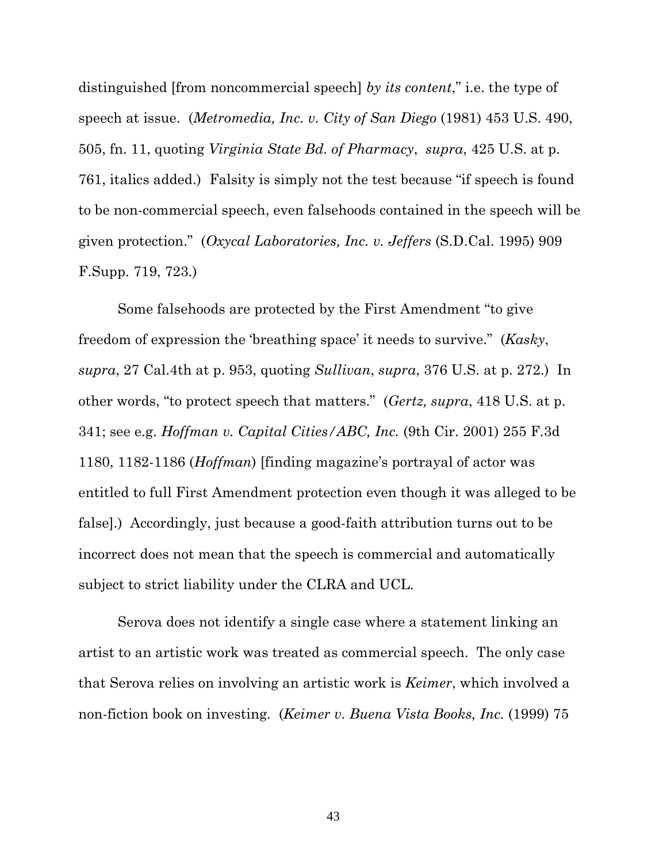distinguished [from noncommercial speech] *by its content*," i.e. the type of speech at issue. (*Metromedia, Inc. v. City of San Diego* (1981) 453 U.S. 490, 505, fn. 11, quoting *Virginia State Bd. of Pharmacy*, *supra*, 425 U.S. at p. 761, italics added.) Falsity is simply not the test because "if speech is found to be non-commercial speech, even falsehoods contained in the speech will be given protection." (*Oxycal Laboratories, Inc. v. Jeffers* (S.D.Cal. 1995) 909 F.Supp. 719, 723.)

Some falsehoods are protected by the First Amendment "to give freedom of expression the 'breathing space' it needs to survive." (*Kasky*, *supra*, 27 Cal.4th at p. 953, quoting *Sullivan*, *supra*, 376 U.S. at p. 272.) In other words, "to protect speech that matters." (*Gertz, supra*, 418 U.S. at p. 341; see e.g. *Hoffman v. Capital Cities/ABC, Inc.* (9th Cir. 2001) 255 F.3d 1180, 1182-1186 (*Hoffman*) [finding magazine's portrayal of actor was entitled to full First Amendment protection even though it was alleged to be false].) Accordingly, just because a good-faith attribution turns out to be incorrect does not mean that the speech is commercial and automatically subject to strict liability under the CLRA and UCL.

Serova does not identify a single case where a statement linking an artist to an artistic work was treated as commercial speech. The only case that Serova relies on involving an artistic work is *Keimer*, which involved a non-fiction book on investing. (*Keimer v. Buena Vista Books, Inc.* (1999) 75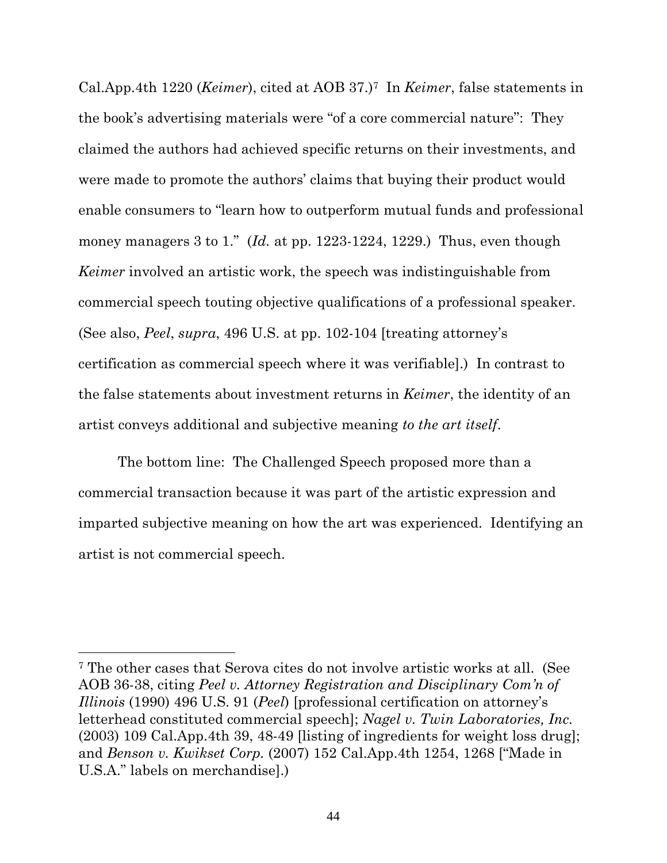Cal.App.4th 1220 (*Keimer*), cited at AOB 37.)7 In *Keimer*, false statements in the book's advertising materials were "of a core commercial nature": They claimed the authors had achieved specific returns on their investments, and were made to promote the authors' claims that buying their product would enable consumers to "learn how to outperform mutual funds and professional money managers 3 to 1." (*Id.* at pp. 1223-1224, 1229.) Thus, even though *Keimer* involved an artistic work, the speech was indistinguishable from commercial speech touting objective qualifications of a professional speaker. (See also, *Peel*, *supra*, 496 U.S. at pp. 102-104 [treating attorney's certification as commercial speech where it was verifiable].) In contrast to the false statements about investment returns in *Keimer*, the identity of an artist conveys additional and subjective meaning *to the art itself*.

The bottom line: The Challenged Speech proposed more than a commercial transaction because it was part of the artistic expression and imparted subjective meaning on how the art was experienced. Identifying an artist is not commercial speech.

<sup>7</sup> The other cases that Serova cites do not involve artistic works at all. (See AOB 36-38, citing *Peel v. Attorney Registration and Disciplinary Com'n of Illinois* (1990) 496 U.S. 91 (*Peel*) [professional certification on attorney's letterhead constituted commercial speech]; *Nagel v. Twin Laboratories, Inc.*  (2003) 109 Cal.App.4th 39, 48-49 [listing of ingredients for weight loss drug]; and *Benson v. Kwikset Corp.* (2007) 152 Cal.App.4th 1254, 1268 ["Made in U.S.A." labels on merchandise].)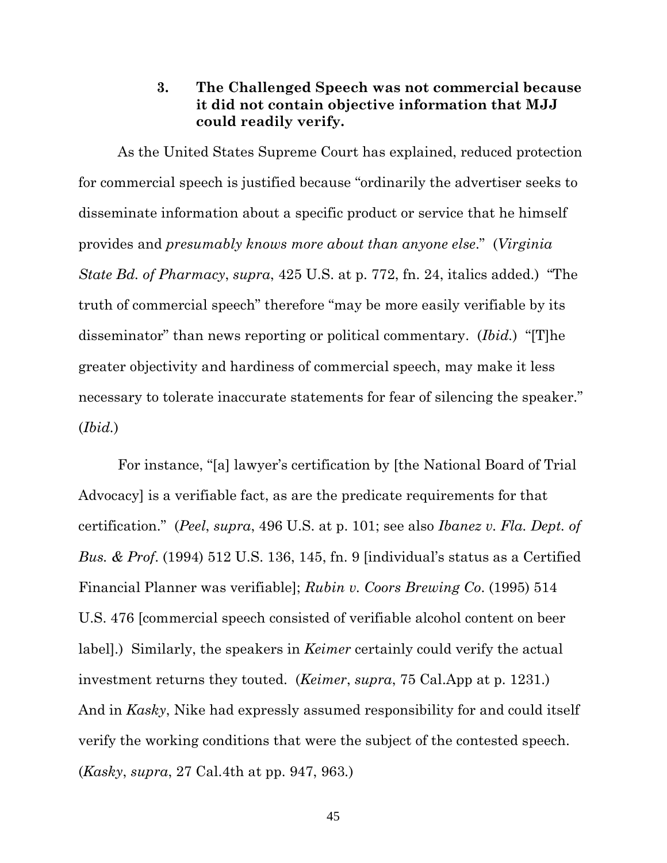### **3. The Challenged Speech was not commercial because it did not contain objective information that MJJ could readily verify.**

As the United States Supreme Court has explained, reduced protection for commercial speech is justified because "ordinarily the advertiser seeks to disseminate information about a specific product or service that he himself provides and *presumably knows more about than anyone else*." (*Virginia State Bd. of Pharmacy*, *supra*, 425 U.S. at p. 772, fn. 24, italics added.) "The truth of commercial speech" therefore "may be more easily verifiable by its disseminator" than news reporting or political commentary. (*Ibid.*) "[T]he greater objectivity and hardiness of commercial speech, may make it less necessary to tolerate inaccurate statements for fear of silencing the speaker." (*Ibid.*)

For instance, "[a] lawyer's certification by [the National Board of Trial Advocacy] is a verifiable fact, as are the predicate requirements for that certification." (*Peel*, *supra*, 496 U.S. at p. 101; see also *Ibanez v. Fla. Dept. of Bus. & Prof*. (1994) 512 U.S. 136, 145, fn. 9 [individual's status as a Certified Financial Planner was verifiable]; *Rubin v. Coors Brewing Co*. (1995) 514 U.S. 476 [commercial speech consisted of verifiable alcohol content on beer label].) Similarly, the speakers in *Keimer* certainly could verify the actual investment returns they touted. (*Keimer*, *supra*, 75 Cal.App at p. 1231.) And in *Kasky*, Nike had expressly assumed responsibility for and could itself verify the working conditions that were the subject of the contested speech. (*Kasky*, *supra*, 27 Cal.4th at pp. 947, 963*.*)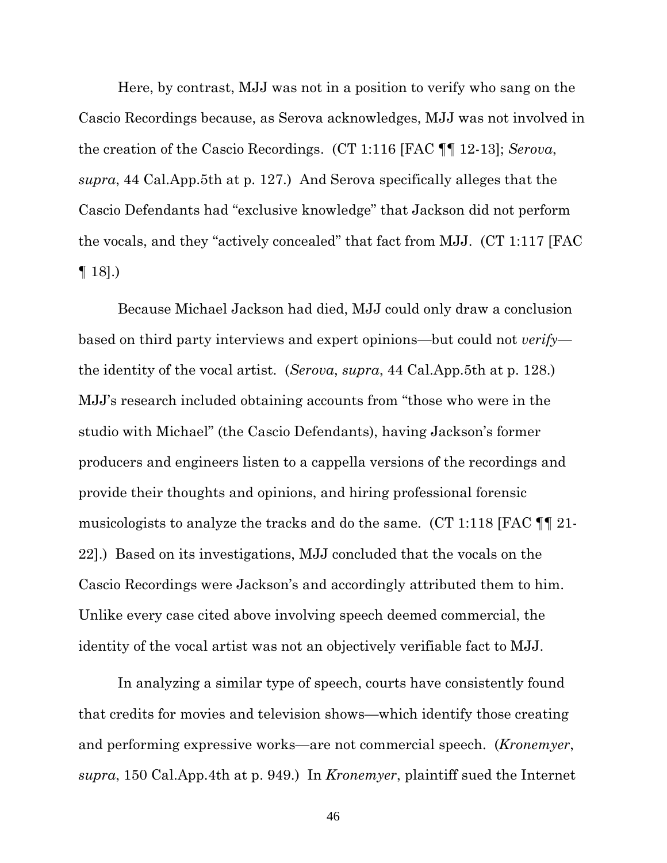Here, by contrast, MJJ was not in a position to verify who sang on the Cascio Recordings because, as Serova acknowledges, MJJ was not involved in the creation of the Cascio Recordings. (CT 1:116 [FAC ¶¶ 12-13]; *Serova*, *supra*, 44 Cal.App.5th at p. 127.) And Serova specifically alleges that the Cascio Defendants had "exclusive knowledge" that Jackson did not perform the vocals, and they "actively concealed" that fact from MJJ. (CT 1:117 [FAC  $\P$  18].)

Because Michael Jackson had died, MJJ could only draw a conclusion based on third party interviews and expert opinions—but could not *verify* the identity of the vocal artist. (*Serova*, *supra*, 44 Cal.App.5th at p. 128.) MJJ's research included obtaining accounts from "those who were in the studio with Michael" (the Cascio Defendants), having Jackson's former producers and engineers listen to a cappella versions of the recordings and provide their thoughts and opinions, and hiring professional forensic musicologists to analyze the tracks and do the same. (CT 1:118 [FAC ¶¶ 21- 22].) Based on its investigations, MJJ concluded that the vocals on the Cascio Recordings were Jackson's and accordingly attributed them to him. Unlike every case cited above involving speech deemed commercial, the identity of the vocal artist was not an objectively verifiable fact to MJJ.

In analyzing a similar type of speech, courts have consistently found that credits for movies and television shows—which identify those creating and performing expressive works—are not commercial speech. (*Kronemyer*, *supra*, 150 Cal.App.4th at p. 949.) In *Kronemyer*, plaintiff sued the Internet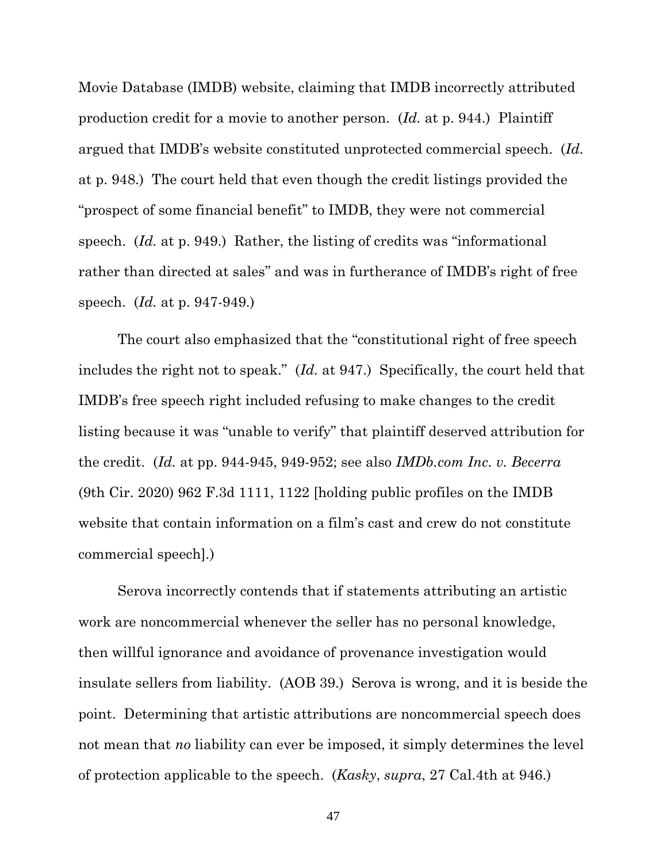Movie Database (IMDB) website, claiming that IMDB incorrectly attributed production credit for a movie to another person. (*Id.* at p. 944.) Plaintiff argued that IMDB's website constituted unprotected commercial speech. (*Id.* at p. 948.) The court held that even though the credit listings provided the "prospect of some financial benefit" to IMDB, they were not commercial speech. (*Id.* at p. 949.) Rather, the listing of credits was "informational rather than directed at sales" and was in furtherance of IMDB's right of free speech. (*Id.* at p. 947-949.)

The court also emphasized that the "constitutional right of free speech includes the right not to speak." (*Id.* at 947.) Specifically, the court held that IMDB's free speech right included refusing to make changes to the credit listing because it was "unable to verify" that plaintiff deserved attribution for the credit. (*Id.* at pp. 944-945, 949-952; see also *IMDb.com Inc. v. Becerra* (9th Cir. 2020) 962 F.3d 1111, 1122 [holding public profiles on the IMDB website that contain information on a film's cast and crew do not constitute commercial speech].)

Serova incorrectly contends that if statements attributing an artistic work are noncommercial whenever the seller has no personal knowledge, then willful ignorance and avoidance of provenance investigation would insulate sellers from liability. (AOB 39.) Serova is wrong, and it is beside the point. Determining that artistic attributions are noncommercial speech does not mean that *no* liability can ever be imposed, it simply determines the level of protection applicable to the speech. (*Kasky*, *supra*, 27 Cal.4th at 946.)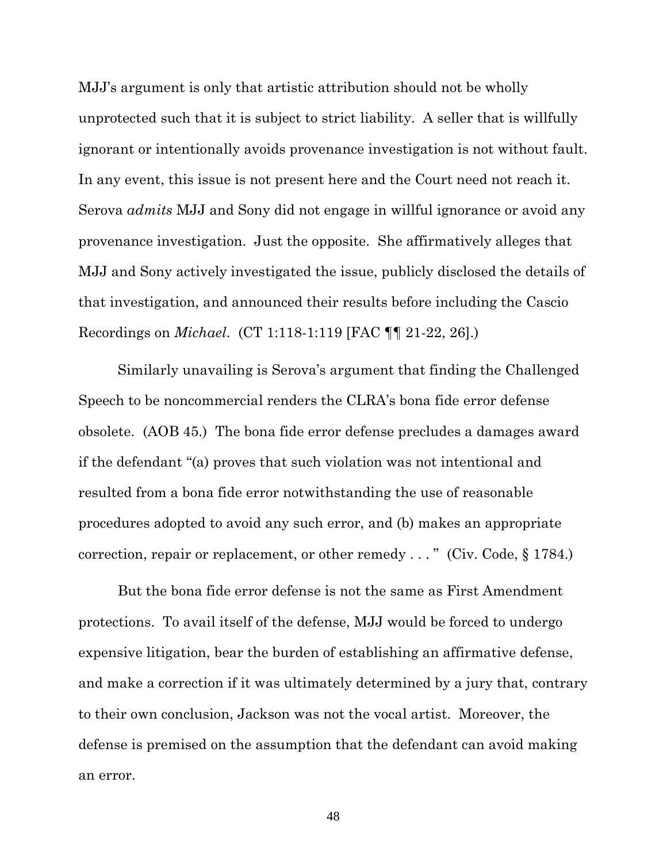MJJ's argument is only that artistic attribution should not be wholly unprotected such that it is subject to strict liability. A seller that is willfully ignorant or intentionally avoids provenance investigation is not without fault. In any event, this issue is not present here and the Court need not reach it. Serova *admits* MJJ and Sony did not engage in willful ignorance or avoid any provenance investigation. Just the opposite. She affirmatively alleges that MJJ and Sony actively investigated the issue, publicly disclosed the details of that investigation, and announced their results before including the Cascio Recordings on *Michael*. (CT 1:118-1:119 [FAC ¶¶ 21-22, 26].)

Similarly unavailing is Serova's argument that finding the Challenged Speech to be noncommercial renders the CLRA's bona fide error defense obsolete. (AOB 45.) The bona fide error defense precludes a damages award if the defendant "(a) proves that such violation was not intentional and resulted from a bona fide error notwithstanding the use of reasonable procedures adopted to avoid any such error, and (b) makes an appropriate correction, repair or replacement, or other remedy . . . " (Civ. Code, § 1784.)

But the bona fide error defense is not the same as First Amendment protections. To avail itself of the defense, MJJ would be forced to undergo expensive litigation, bear the burden of establishing an affirmative defense, and make a correction if it was ultimately determined by a jury that, contrary to their own conclusion, Jackson was not the vocal artist. Moreover, the defense is premised on the assumption that the defendant can avoid making an error.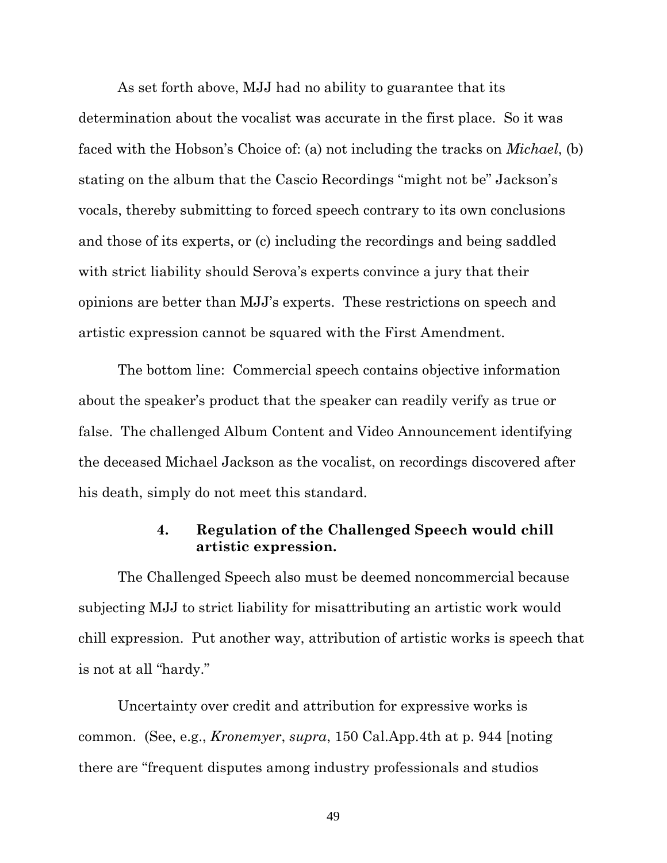As set forth above, MJJ had no ability to guarantee that its determination about the vocalist was accurate in the first place. So it was faced with the Hobson's Choice of: (a) not including the tracks on *Michael*, (b) stating on the album that the Cascio Recordings "might not be" Jackson's vocals, thereby submitting to forced speech contrary to its own conclusions and those of its experts, or (c) including the recordings and being saddled with strict liability should Serova's experts convince a jury that their opinions are better than MJJ's experts. These restrictions on speech and artistic expression cannot be squared with the First Amendment.

The bottom line: Commercial speech contains objective information about the speaker's product that the speaker can readily verify as true or false. The challenged Album Content and Video Announcement identifying the deceased Michael Jackson as the vocalist, on recordings discovered after his death, simply do not meet this standard.

### **4. Regulation of the Challenged Speech would chill artistic expression.**

The Challenged Speech also must be deemed noncommercial because subjecting MJJ to strict liability for misattributing an artistic work would chill expression. Put another way, attribution of artistic works is speech that is not at all "hardy."

Uncertainty over credit and attribution for expressive works is common. (See, e.g., *Kronemyer*, *supra*, 150 Cal.App.4th at p. 944 [noting there are "frequent disputes among industry professionals and studios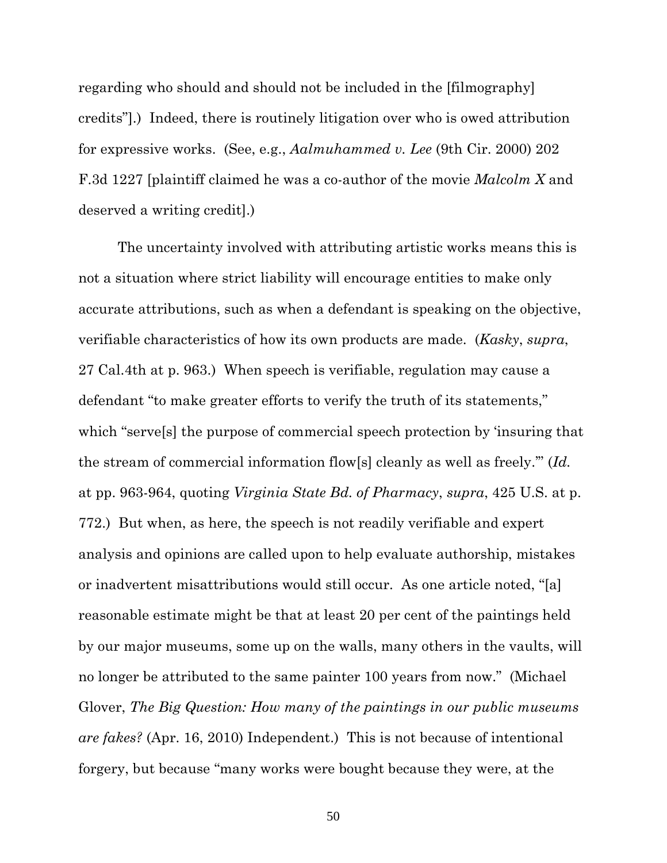regarding who should and should not be included in the [filmography] credits"].) Indeed, there is routinely litigation over who is owed attribution for expressive works. (See, e.g., *Aalmuhammed v. Lee* (9th Cir. 2000) 202 F.3d 1227 [plaintiff claimed he was a co-author of the movie *Malcolm X* and deserved a writing credit].)

The uncertainty involved with attributing artistic works means this is not a situation where strict liability will encourage entities to make only accurate attributions, such as when a defendant is speaking on the objective, verifiable characteristics of how its own products are made. (*Kasky*, *supra*, 27 Cal.4th at p. 963.) When speech is verifiable, regulation may cause a defendant "to make greater efforts to verify the truth of its statements," which "serve[s] the purpose of commercial speech protection by 'insuring that the stream of commercial information flow[s] cleanly as well as freely.'" (*Id.* at pp. 963-964, quoting *Virginia State Bd. of Pharmacy*, *supra*, 425 U.S. at p. 772.) But when, as here, the speech is not readily verifiable and expert analysis and opinions are called upon to help evaluate authorship, mistakes or inadvertent misattributions would still occur. As one article noted, "[a] reasonable estimate might be that at least 20 per cent of the paintings held by our major museums, some up on the walls, many others in the vaults, will no longer be attributed to the same painter 100 years from now." (Michael Glover, *The Big Question: How many of the paintings in our public museums are fakes?* (Apr. 16, 2010) Independent.) This is not because of intentional forgery, but because "many works were bought because they were, at the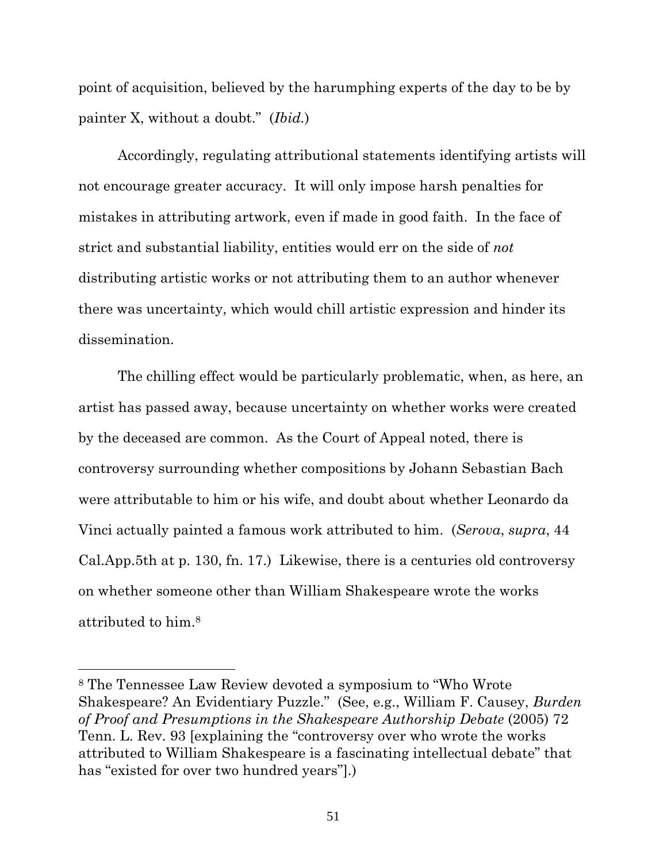point of acquisition, believed by the harumphing experts of the day to be by painter X, without a doubt." (*Ibid.*)

Accordingly, regulating attributional statements identifying artists will not encourage greater accuracy. It will only impose harsh penalties for mistakes in attributing artwork, even if made in good faith. In the face of strict and substantial liability, entities would err on the side of *not*  distributing artistic works or not attributing them to an author whenever there was uncertainty, which would chill artistic expression and hinder its dissemination.

The chilling effect would be particularly problematic, when, as here, an artist has passed away, because uncertainty on whether works were created by the deceased are common. As the Court of Appeal noted, there is controversy surrounding whether compositions by Johann Sebastian Bach were attributable to him or his wife, and doubt about whether Leonardo da Vinci actually painted a famous work attributed to him. (*Serova*, *supra*, 44 Cal.App.5th at p. 130, fn. 17.) Likewise, there is a centuries old controversy on whether someone other than William Shakespeare wrote the works attributed to him.<sup>8</sup>

<sup>8</sup> The Tennessee Law Review devoted a symposium to "Who Wrote Shakespeare? An Evidentiary Puzzle." (See, e.g., William F. Causey, *Burden of Proof and Presumptions in the Shakespeare Authorship Debate* (2005) 72 Tenn. L. Rev. 93 [explaining the "controversy over who wrote the works attributed to William Shakespeare is a fascinating intellectual debate" that has "existed for over two hundred years"].)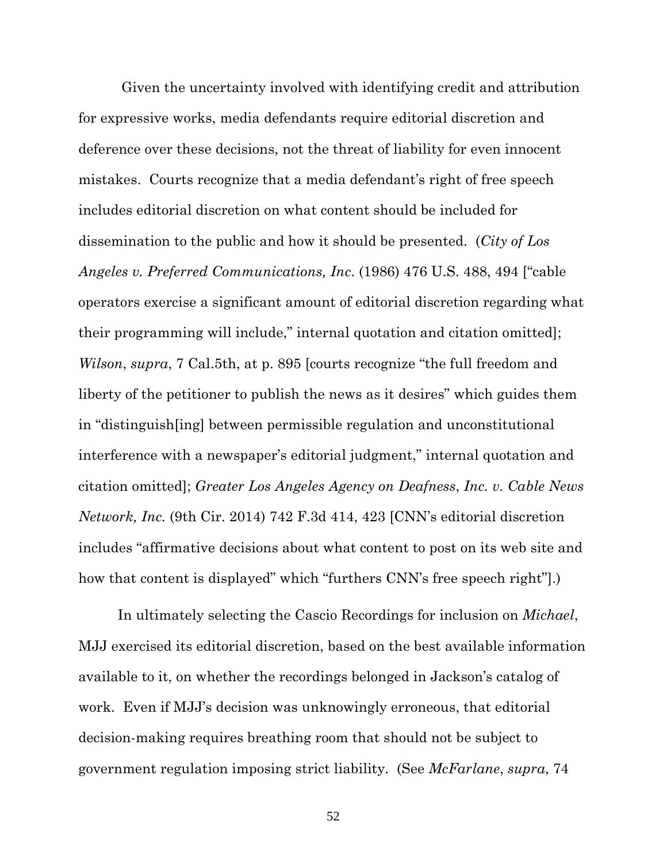Given the uncertainty involved with identifying credit and attribution for expressive works, media defendants require editorial discretion and deference over these decisions, not the threat of liability for even innocent mistakes. Courts recognize that a media defendant's right of free speech includes editorial discretion on what content should be included for dissemination to the public and how it should be presented. (*City of Los Angeles v. Preferred Communications, Inc*. (1986) 476 U.S. 488, 494 ["cable operators exercise a significant amount of editorial discretion regarding what their programming will include," internal quotation and citation omitted]; *Wilson*, *supra*, 7 Cal.5th, at p. 895 [courts recognize "the full freedom and liberty of the petitioner to publish the news as it desires" which guides them in "distinguish[ing] between permissible regulation and unconstitutional interference with a newspaper's editorial judgment," internal quotation and citation omitted]; *Greater Los Angeles Agency on Deafness*, *Inc. v. Cable News Network, Inc.* (9th Cir. 2014) 742 F.3d 414, 423 [CNN's editorial discretion includes "affirmative decisions about what content to post on its web site and how that content is displayed" which "furthers CNN's free speech right"].)

In ultimately selecting the Cascio Recordings for inclusion on *Michael*, MJJ exercised its editorial discretion, based on the best available information available to it, on whether the recordings belonged in Jackson's catalog of work. Even if MJJ's decision was unknowingly erroneous, that editorial decision-making requires breathing room that should not be subject to government regulation imposing strict liability. (See *McFarlane*, *supra*, 74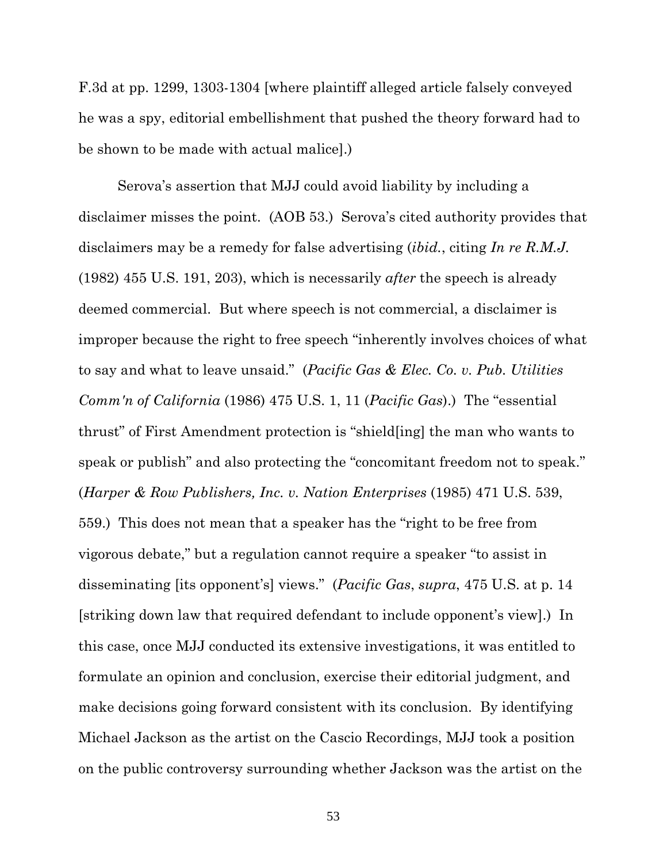F.3d at pp. 1299, 1303-1304 [where plaintiff alleged article falsely conveyed he was a spy, editorial embellishment that pushed the theory forward had to be shown to be made with actual malice].)

Serova's assertion that MJJ could avoid liability by including a disclaimer misses the point. (AOB 53.) Serova's cited authority provides that disclaimers may be a remedy for false advertising (*ibid.*, citing *In re R.M.J.* (1982) 455 U.S. 191, 203), which is necessarily *after* the speech is already deemed commercial. But where speech is not commercial, a disclaimer is improper because the right to free speech "inherently involves choices of what to say and what to leave unsaid." (*Pacific Gas & Elec. Co. v. Pub. Utilities Comm'n of California* (1986) 475 U.S. 1, 11 (*Pacific Gas*).) The "essential thrust" of First Amendment protection is "shield[ing] the man who wants to speak or publish" and also protecting the "concomitant freedom not to speak." (*Harper & Row Publishers, Inc. v. Nation Enterprises* (1985) 471 U.S. 539, 559.) This does not mean that a speaker has the "right to be free from vigorous debate," but a regulation cannot require a speaker "to assist in disseminating [its opponent's] views." (*Pacific Gas*, *supra*, 475 U.S. at p. 14 [striking down law that required defendant to include opponent's view].) In this case, once MJJ conducted its extensive investigations, it was entitled to formulate an opinion and conclusion, exercise their editorial judgment, and make decisions going forward consistent with its conclusion. By identifying Michael Jackson as the artist on the Cascio Recordings, MJJ took a position on the public controversy surrounding whether Jackson was the artist on the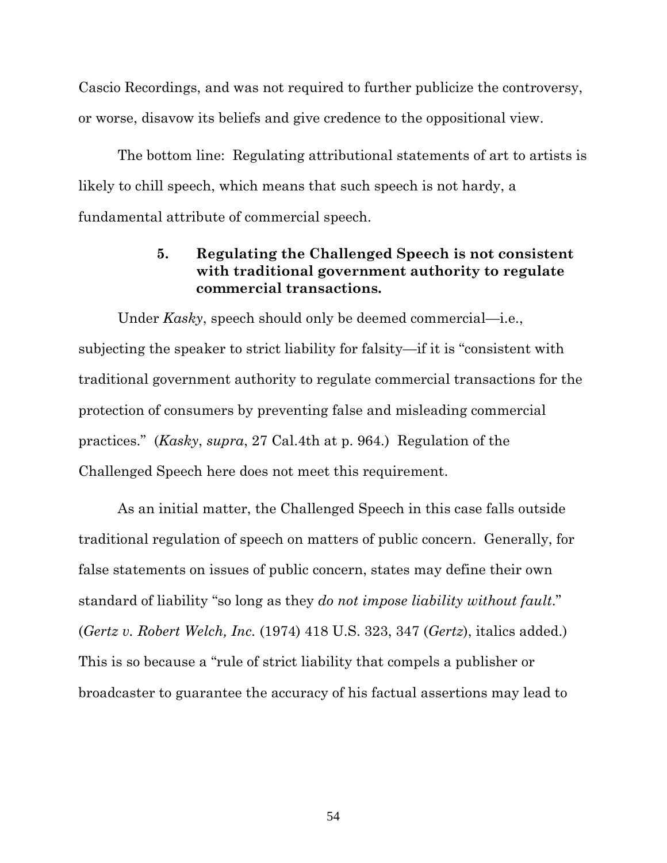Cascio Recordings, and was not required to further publicize the controversy, or worse, disavow its beliefs and give credence to the oppositional view.

The bottom line: Regulating attributional statements of art to artists is likely to chill speech, which means that such speech is not hardy, a fundamental attribute of commercial speech.

### **5. Regulating the Challenged Speech is not consistent with traditional government authority to regulate commercial transactions.**

Under *Kasky*, speech should only be deemed commercial—i.e., subjecting the speaker to strict liability for falsity—if it is "consistent with traditional government authority to regulate commercial transactions for the protection of consumers by preventing false and misleading commercial practices." (*Kasky*, *supra*, 27 Cal.4th at p. 964.) Regulation of the Challenged Speech here does not meet this requirement.

As an initial matter, the Challenged Speech in this case falls outside traditional regulation of speech on matters of public concern. Generally, for false statements on issues of public concern, states may define their own standard of liability "so long as they *do not impose liability without fault*." (*Gertz v. Robert Welch, Inc.* (1974) 418 U.S. 323, 347 (*Gertz*), italics added.) This is so because a "rule of strict liability that compels a publisher or broadcaster to guarantee the accuracy of his factual assertions may lead to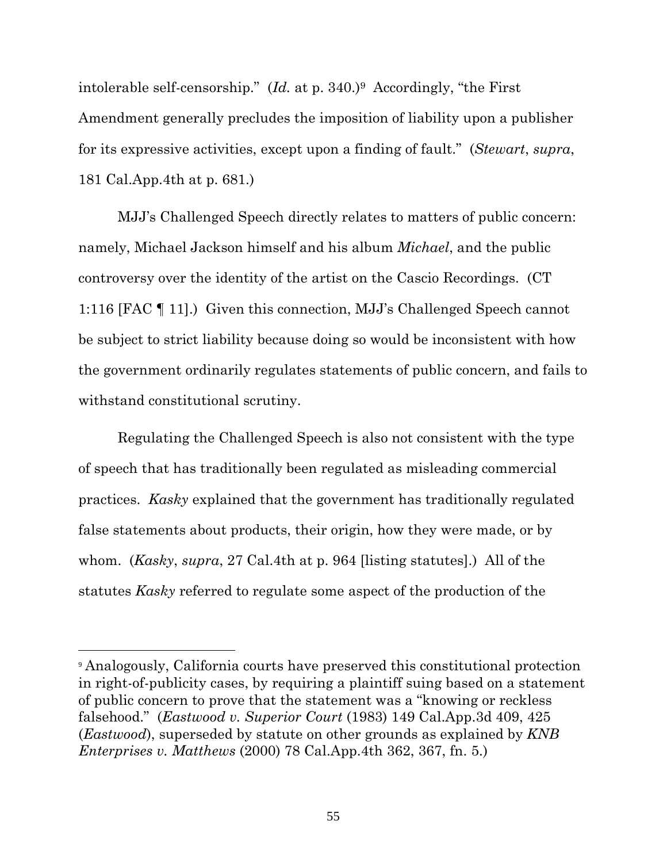intolerable self-censorship." (*Id.* at p. 340.)9 Accordingly, "the First Amendment generally precludes the imposition of liability upon a publisher for its expressive activities, except upon a finding of fault." (*Stewart*, *supra*, 181 Cal.App.4th at p. 681.)

MJJ's Challenged Speech directly relates to matters of public concern: namely, Michael Jackson himself and his album *Michael*, and the public controversy over the identity of the artist on the Cascio Recordings. (CT 1:116 [FAC ¶ 11].) Given this connection, MJJ's Challenged Speech cannot be subject to strict liability because doing so would be inconsistent with how the government ordinarily regulates statements of public concern, and fails to withstand constitutional scrutiny.

Regulating the Challenged Speech is also not consistent with the type of speech that has traditionally been regulated as misleading commercial practices. *Kasky* explained that the government has traditionally regulated false statements about products, their origin, how they were made, or by whom. (*Kasky*, *supra*, 27 Cal.4th at p. 964 [listing statutes].) All of the statutes *Kasky* referred to regulate some aspect of the production of the

<sup>9</sup> Analogously, California courts have preserved this constitutional protection in right-of-publicity cases, by requiring a plaintiff suing based on a statement of public concern to prove that the statement was a "knowing or reckless falsehood." (*Eastwood v. Superior Court* (1983) 149 Cal.App.3d 409, 425 (*Eastwood*), superseded by statute on other grounds as explained by *KNB Enterprises v. Matthews* (2000) 78 Cal.App.4th 362, 367, fn. 5.)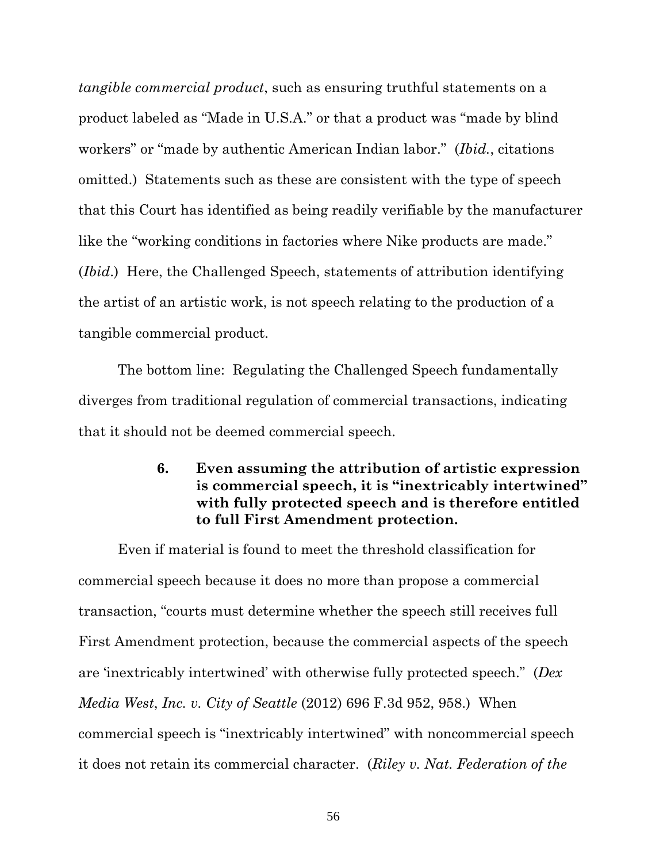*tangible commercial product*, such as ensuring truthful statements on a product labeled as "Made in U.S.A." or that a product was "made by blind workers" or "made by authentic American Indian labor." (*Ibid.*, citations omitted.) Statements such as these are consistent with the type of speech that this Court has identified as being readily verifiable by the manufacturer like the "working conditions in factories where Nike products are made." (*Ibid*.) Here, the Challenged Speech, statements of attribution identifying the artist of an artistic work, is not speech relating to the production of a tangible commercial product.

The bottom line: Regulating the Challenged Speech fundamentally diverges from traditional regulation of commercial transactions, indicating that it should not be deemed commercial speech.

## **6. Even assuming the attribution of artistic expression is commercial speech, it is "inextricably intertwined" with fully protected speech and is therefore entitled to full First Amendment protection.**

Even if material is found to meet the threshold classification for commercial speech because it does no more than propose a commercial transaction, "courts must determine whether the speech still receives full First Amendment protection, because the commercial aspects of the speech are 'inextricably intertwined' with otherwise fully protected speech." (*Dex Media West*, *Inc. v. City of Seattle* (2012) 696 F.3d 952, 958.) When commercial speech is "inextricably intertwined" with noncommercial speech it does not retain its commercial character. (*Riley v. Nat. Federation of the*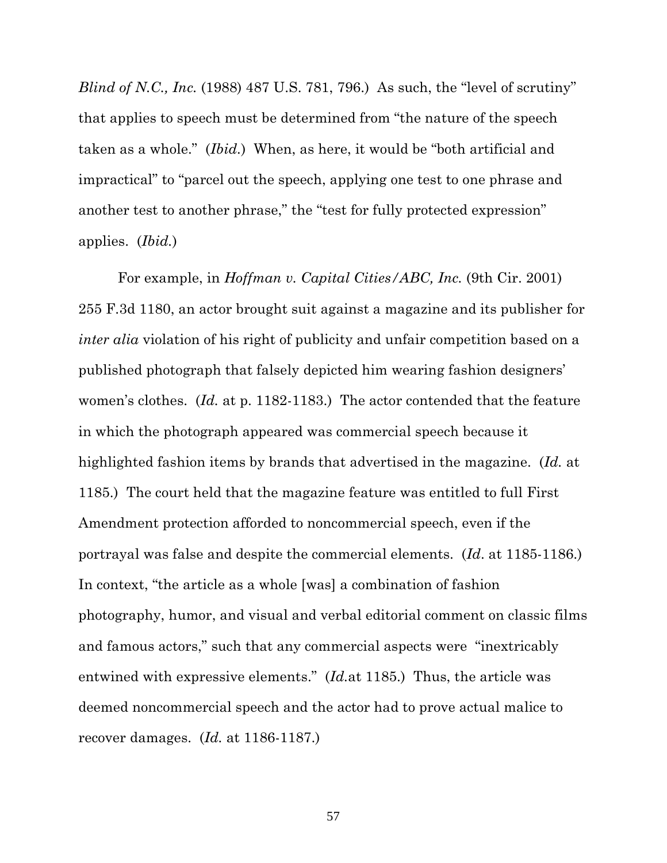*Blind of N.C., Inc.* (1988) 487 U.S. 781, 796.) As such, the "level of scrutiny" that applies to speech must be determined from "the nature of the speech taken as a whole." (*Ibid.*) When, as here, it would be "both artificial and impractical" to "parcel out the speech, applying one test to one phrase and another test to another phrase," the "test for fully protected expression" applies. (*Ibid.*)

For example, in *Hoffman v. Capital Cities/ABC, Inc.* (9th Cir. 2001) 255 F.3d 1180, an actor brought suit against a magazine and its publisher for *inter alia* violation of his right of publicity and unfair competition based on a published photograph that falsely depicted him wearing fashion designers' women's clothes. (*Id.* at p. 1182-1183.) The actor contended that the feature in which the photograph appeared was commercial speech because it highlighted fashion items by brands that advertised in the magazine. (*Id.* at 1185.) The court held that the magazine feature was entitled to full First Amendment protection afforded to noncommercial speech, even if the portrayal was false and despite the commercial elements. (*Id*. at 1185-1186.) In context, "the article as a whole [was] a combination of fashion photography, humor, and visual and verbal editorial comment on classic films and famous actors," such that any commercial aspects were "inextricably entwined with expressive elements." (*Id.*at 1185.) Thus, the article was deemed noncommercial speech and the actor had to prove actual malice to recover damages. (*Id.* at 1186-1187.)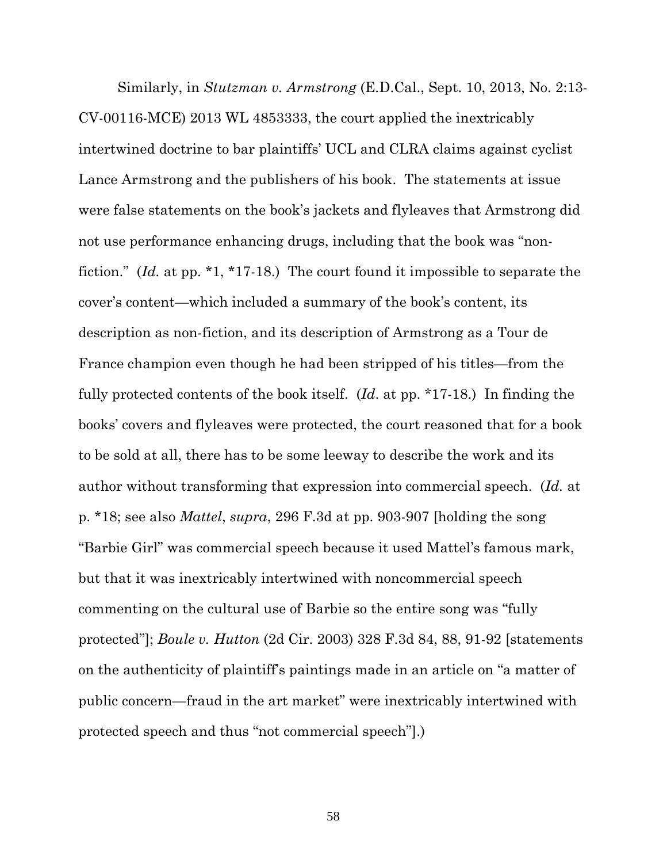Similarly, in *Stutzman v. Armstrong* (E.D.Cal., Sept. 10, 2013, No. 2:13- CV-00116-MCE) 2013 WL 4853333, the court applied the inextricably intertwined doctrine to bar plaintiffs' UCL and CLRA claims against cyclist Lance Armstrong and the publishers of his book. The statements at issue were false statements on the book's jackets and flyleaves that Armstrong did not use performance enhancing drugs, including that the book was "nonfiction." (*Id.* at pp. \*1, \*17-18.) The court found it impossible to separate the cover's content—which included a summary of the book's content, its description as non-fiction, and its description of Armstrong as a Tour de France champion even though he had been stripped of his titles—from the fully protected contents of the book itself. (*Id*. at pp. \*17-18.) In finding the books' covers and flyleaves were protected, the court reasoned that for a book to be sold at all, there has to be some leeway to describe the work and its author without transforming that expression into commercial speech. (*Id.* at p. \*18; see also *Mattel*, *supra*, 296 F.3d at pp. 903-907 [holding the song "Barbie Girl" was commercial speech because it used Mattel's famous mark, but that it was inextricably intertwined with noncommercial speech commenting on the cultural use of Barbie so the entire song was "fully protected"]; *Boule v. Hutton* (2d Cir. 2003) 328 F.3d 84, 88, 91-92 [statements on the authenticity of plaintiff's paintings made in an article on "a matter of public concern—fraud in the art market" were inextricably intertwined with protected speech and thus "not commercial speech"].)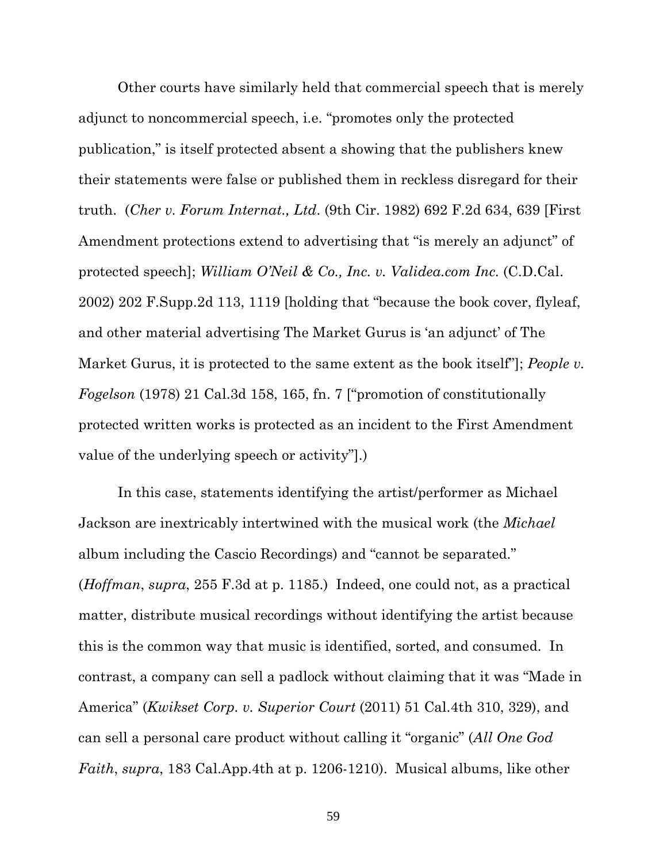Other courts have similarly held that commercial speech that is merely adjunct to noncommercial speech, i.e. "promotes only the protected publication," is itself protected absent a showing that the publishers knew their statements were false or published them in reckless disregard for their truth. (*Cher v. Forum Internat., Ltd*. (9th Cir. 1982) 692 F.2d 634, 639 [First Amendment protections extend to advertising that "is merely an adjunct" of protected speech]; *William O'Neil & Co., Inc. v. Validea.com Inc.* (C.D.Cal. 2002) 202 F.Supp.2d 113, 1119 [holding that "because the book cover, flyleaf, and other material advertising The Market Gurus is 'an adjunct' of The Market Gurus, it is protected to the same extent as the book itself"]; *People v. Fogelson* (1978) 21 Cal.3d 158, 165, fn. 7 ["promotion of constitutionally protected written works is protected as an incident to the First Amendment value of the underlying speech or activity"].)

In this case, statements identifying the artist/performer as Michael Jackson are inextricably intertwined with the musical work (the *Michael* album including the Cascio Recordings) and "cannot be separated." (*Hoffman*, *supra*, 255 F.3d at p. 1185.) Indeed, one could not, as a practical matter, distribute musical recordings without identifying the artist because this is the common way that music is identified, sorted, and consumed. In contrast, a company can sell a padlock without claiming that it was "Made in America" (*Kwikset Corp. v. Superior Court* (2011) 51 Cal.4th 310, 329), and can sell a personal care product without calling it "organic" (*All One God Faith*, *supra*, 183 Cal.App.4th at p. 1206-1210). Musical albums, like other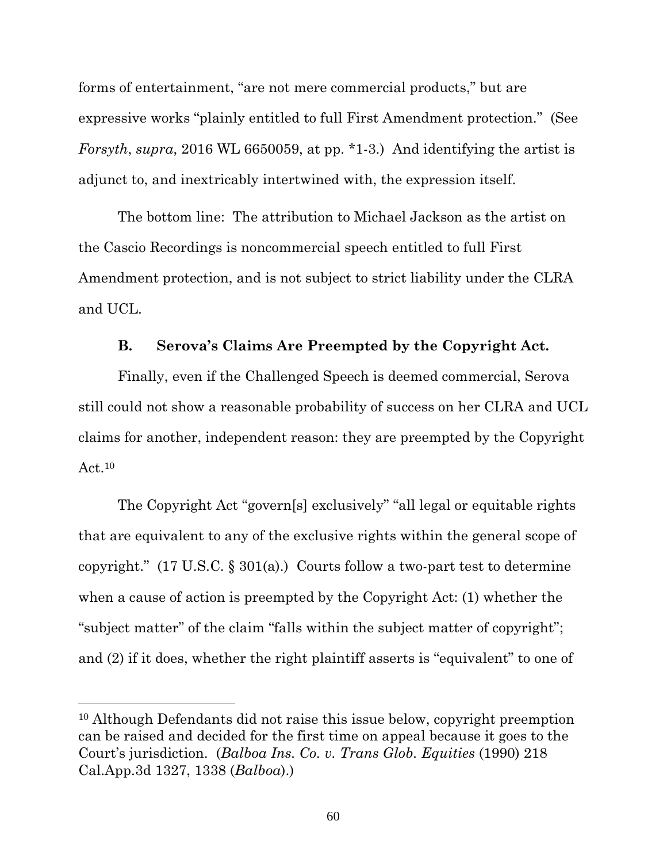forms of entertainment, "are not mere commercial products," but are expressive works "plainly entitled to full First Amendment protection." (See *Forsyth*, *supra*, 2016 WL 6650059, at pp. \*1-3.) And identifying the artist is adjunct to, and inextricably intertwined with, the expression itself.

The bottom line: The attribution to Michael Jackson as the artist on the Cascio Recordings is noncommercial speech entitled to full First Amendment protection, and is not subject to strict liability under the CLRA and UCL.

#### **B. Serova's Claims Are Preempted by the Copyright Act.**

Finally, even if the Challenged Speech is deemed commercial, Serova still could not show a reasonable probability of success on her CLRA and UCL claims for another, independent reason: they are preempted by the Copyright  $Act.<sup>10</sup>$ 

The Copyright Act "govern[s] exclusively" "all legal or equitable rights that are equivalent to any of the exclusive rights within the general scope of copyright."  $(17 \text{ U.S.C.} \S 301(a))$  Courts follow a two-part test to determine when a cause of action is preempted by the Copyright Act: (1) whether the "subject matter" of the claim "falls within the subject matter of copyright"; and (2) if it does, whether the right plaintiff asserts is "equivalent" to one of

<sup>10</sup> Although Defendants did not raise this issue below, copyright preemption can be raised and decided for the first time on appeal because it goes to the Court's jurisdiction. (*Balboa Ins. Co. v. Trans Glob. Equities* (1990) 218 Cal.App.3d 1327, 1338 (*Balboa*).)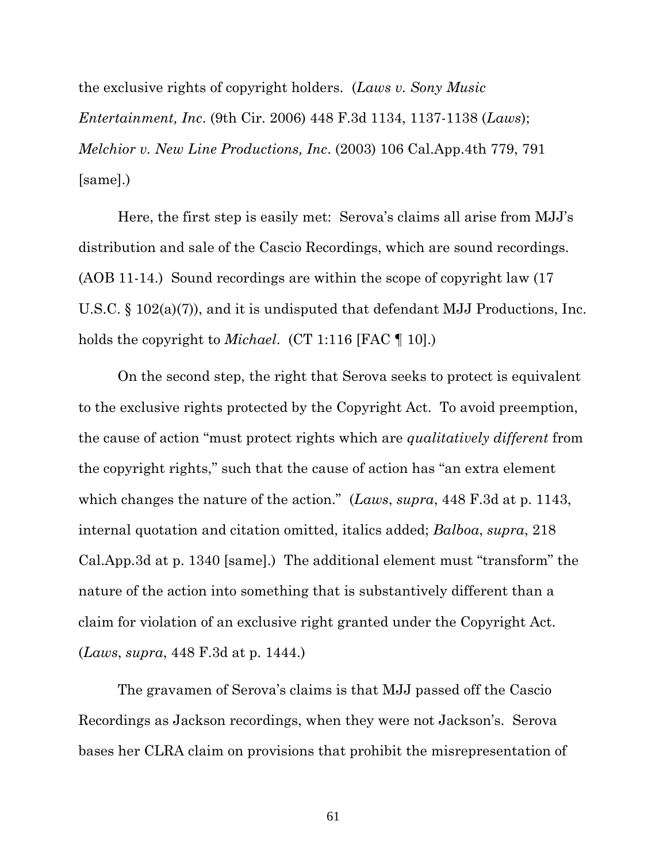the exclusive rights of copyright holders. (*Laws v. Sony Music Entertainment, Inc*. (9th Cir. 2006) 448 F.3d 1134, 1137-1138 (*Laws*); *Melchior v. New Line Productions, Inc*. (2003) 106 Cal.App.4th 779, 791 [same].)

Here, the first step is easily met: Serova's claims all arise from MJJ's distribution and sale of the Cascio Recordings, which are sound recordings. (AOB 11-14.) Sound recordings are within the scope of copyright law (17 U.S.C. § 102(a)(7)), and it is undisputed that defendant MJJ Productions, Inc. holds the copyright to *Michael*. (CT 1:116 [FAC ¶ 10].)

On the second step, the right that Serova seeks to protect is equivalent to the exclusive rights protected by the Copyright Act. To avoid preemption, the cause of action "must protect rights which are *qualitatively different* from the copyright rights," such that the cause of action has "an extra element which changes the nature of the action." (*Laws*, *supra*, 448 F.3d at p. 1143, internal quotation and citation omitted, italics added; *Balboa*, *supra*, 218 Cal.App.3d at p. 1340 [same].) The additional element must "transform" the nature of the action into something that is substantively different than a claim for violation of an exclusive right granted under the Copyright Act. (*Laws*, *supra*, 448 F.3d at p. 1444.)

The gravamen of Serova's claims is that MJJ passed off the Cascio Recordings as Jackson recordings, when they were not Jackson's. Serova bases her CLRA claim on provisions that prohibit the misrepresentation of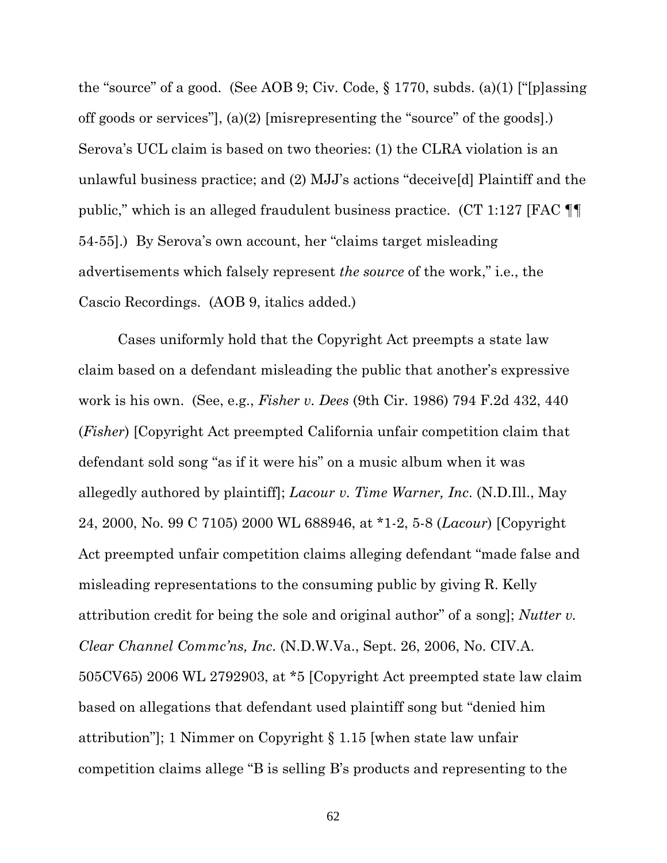the "source" of a good. (See AOB 9; Civ. Code,  $\S 1770$ , subds. (a)(1) ["[p]assing off goods or services"], (a)(2) [misrepresenting the "source" of the goods].) Serova's UCL claim is based on two theories: (1) the CLRA violation is an unlawful business practice; and (2) MJJ's actions "deceive[d] Plaintiff and the public," which is an alleged fraudulent business practice. (CT 1:127 [FAC ¶¶ 54-55].) By Serova's own account, her "claims target misleading advertisements which falsely represent *the source* of the work," i.e., the Cascio Recordings. (AOB 9, italics added.)

Cases uniformly hold that the Copyright Act preempts a state law claim based on a defendant misleading the public that another's expressive work is his own. (See, e.g., *Fisher v. Dees* (9th Cir. 1986) 794 F.2d 432, 440 (*Fisher*) [Copyright Act preempted California unfair competition claim that defendant sold song "as if it were his" on a music album when it was allegedly authored by plaintiff]; *Lacour v. Time Warner, Inc*. (N.D.Ill., May 24, 2000, No. 99 C 7105) 2000 WL 688946, at \*1-2, 5-8 (*Lacour*) [Copyright Act preempted unfair competition claims alleging defendant "made false and misleading representations to the consuming public by giving R. Kelly attribution credit for being the sole and original author" of a song]; *Nutter v. Clear Channel Commc'ns, Inc*. (N.D.W.Va., Sept. 26, 2006, No. CIV.A. 505CV65) 2006 WL 2792903, at \*5 [Copyright Act preempted state law claim based on allegations that defendant used plaintiff song but "denied him attribution"]; 1 Nimmer on Copyright § 1.15 [when state law unfair competition claims allege "B is selling B's products and representing to the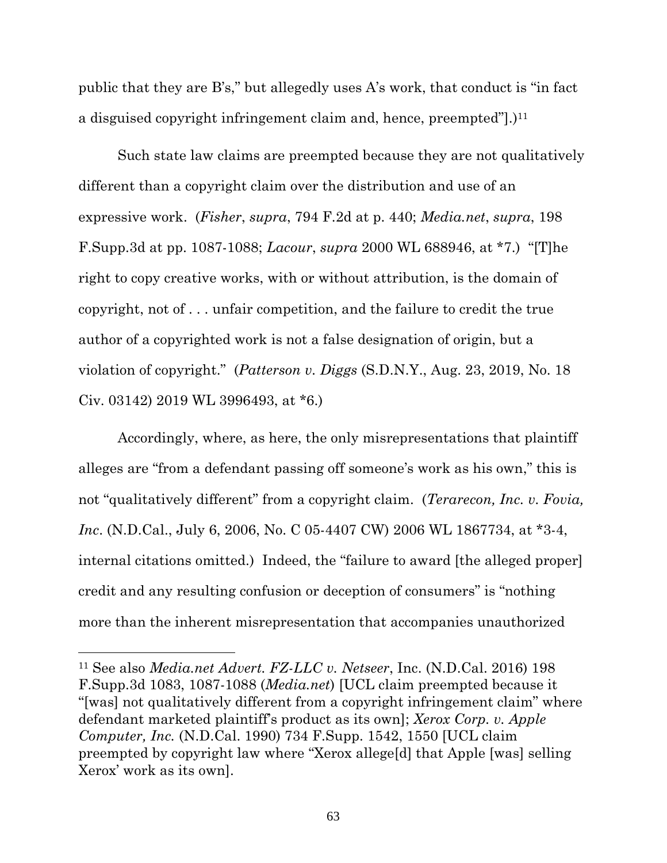public that they are B's," but allegedly uses A's work, that conduct is "in fact a disguised copyright infringement claim and, hence, preempted".) $11$ 

Such state law claims are preempted because they are not qualitatively different than a copyright claim over the distribution and use of an expressive work. (*Fisher*, *supra*, 794 F.2d at p. 440; *Media.net*, *supra*, 198 F.Supp.3d at pp. 1087-1088; *Lacour*, *supra* 2000 WL 688946, at \*7.) "[T]he right to copy creative works, with or without attribution, is the domain of copyright, not of . . . unfair competition, and the failure to credit the true author of a copyrighted work is not a false designation of origin, but a violation of copyright." (*Patterson v. Diggs* (S.D.N.Y., Aug. 23, 2019, No. 18 Civ. 03142) 2019 WL 3996493, at \*6.)

Accordingly, where, as here, the only misrepresentations that plaintiff alleges are "from a defendant passing off someone's work as his own," this is not "qualitatively different" from a copyright claim. (*Terarecon, Inc. v. Fovia, Inc*. (N.D.Cal., July 6, 2006, No. C 05-4407 CW) 2006 WL 1867734, at \*3-4, internal citations omitted.) Indeed, the "failure to award [the alleged proper] credit and any resulting confusion or deception of consumers" is "nothing more than the inherent misrepresentation that accompanies unauthorized

<sup>11</sup> See also *Media.net Advert. FZ-LLC v. Netseer*, Inc. (N.D.Cal. 2016) 198 F.Supp.3d 1083, 1087-1088 (*Media.net*) [UCL claim preempted because it "[was] not qualitatively different from a copyright infringement claim" where defendant marketed plaintiff's product as its own]; *Xerox Corp. v. Apple Computer, Inc.* (N.D.Cal. 1990) 734 F.Supp. 1542, 1550 [UCL claim preempted by copyright law where "Xerox allege[d] that Apple [was] selling Xerox' work as its own].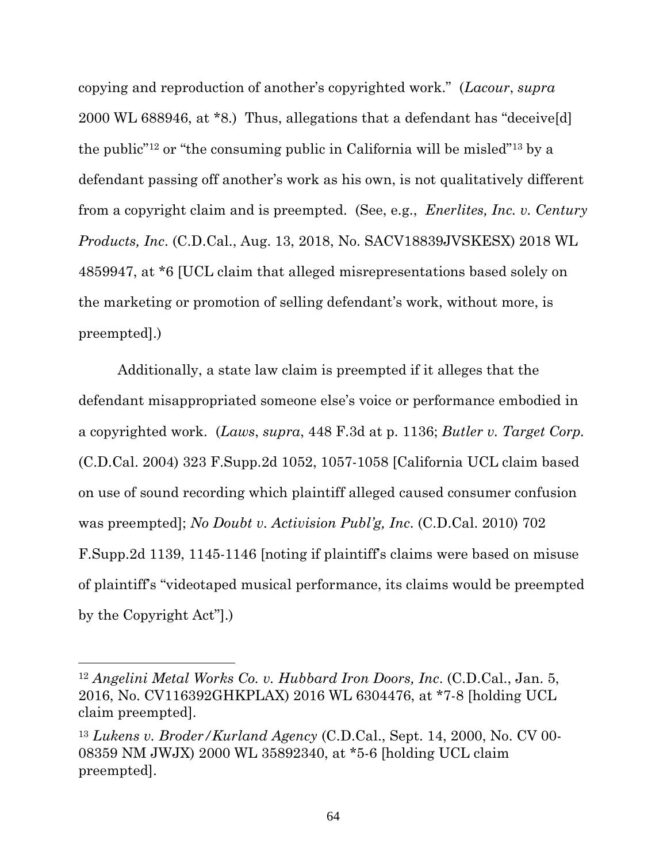copying and reproduction of another's copyrighted work." (*Lacour*, *supra* 2000 WL 688946, at \*8.) Thus, allegations that a defendant has "deceive[d] the public"12 or "the consuming public in California will be misled"13 by a defendant passing off another's work as his own, is not qualitatively different from a copyright claim and is preempted. (See, e.g., *Enerlites, Inc. v. Century Products, Inc*. (C.D.Cal., Aug. 13, 2018, No. SACV18839JVSKESX) 2018 WL 4859947, at \*6 [UCL claim that alleged misrepresentations based solely on the marketing or promotion of selling defendant's work, without more, is preempted].)

Additionally, a state law claim is preempted if it alleges that the defendant misappropriated someone else's voice or performance embodied in a copyrighted work. (*Laws*, *supra*, 448 F.3d at p. 1136; *Butler v. Target Corp.*  (C.D.Cal. 2004) 323 F.Supp.2d 1052, 1057-1058 [California UCL claim based on use of sound recording which plaintiff alleged caused consumer confusion was preempted]; *No Doubt v. Activision Publ'g, Inc*. (C.D.Cal. 2010) 702 F.Supp.2d 1139, 1145-1146 [noting if plaintiff's claims were based on misuse of plaintiff's "videotaped musical performance, its claims would be preempted by the Copyright Act"].)

<sup>12</sup> *Angelini Metal Works Co. v. Hubbard Iron Doors, Inc*. (C.D.Cal., Jan. 5, 2016, No. CV116392GHKPLAX) 2016 WL 6304476, at \*7-8 [holding UCL claim preempted].

<sup>13</sup> *Lukens v. Broder/Kurland Agency* (C.D.Cal., Sept. 14, 2000, No. CV 00- 08359 NM JWJX) 2000 WL 35892340, at \*5-6 [holding UCL claim preempted].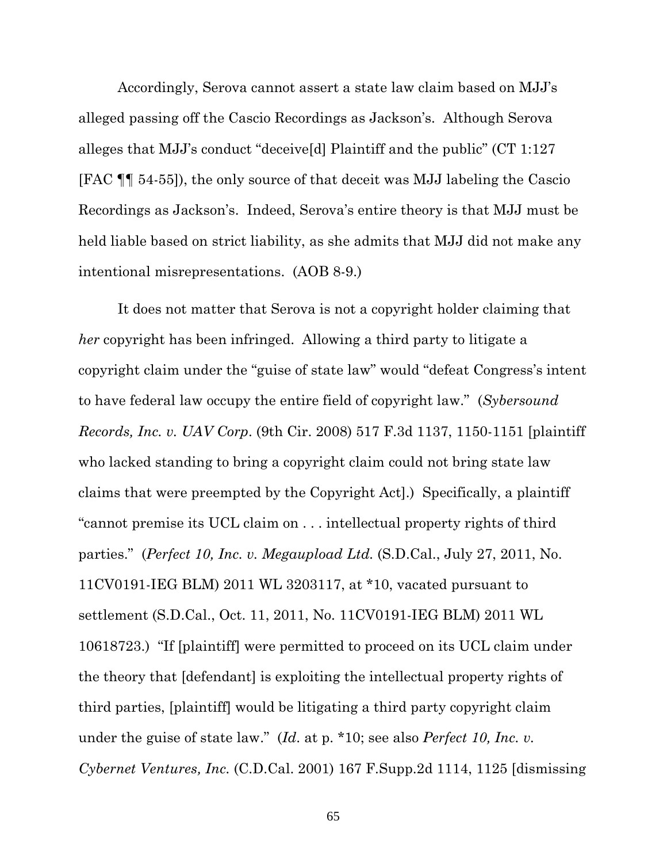Accordingly, Serova cannot assert a state law claim based on MJJ's alleged passing off the Cascio Recordings as Jackson's. Although Serova alleges that MJJ's conduct "deceive[d] Plaintiff and the public" (CT 1:127 [FAC ¶¶ 54-55]), the only source of that deceit was MJJ labeling the Cascio Recordings as Jackson's. Indeed, Serova's entire theory is that MJJ must be held liable based on strict liability, as she admits that MJJ did not make any intentional misrepresentations. (AOB 8-9.)

It does not matter that Serova is not a copyright holder claiming that *her* copyright has been infringed. Allowing a third party to litigate a copyright claim under the "guise of state law" would "defeat Congress's intent to have federal law occupy the entire field of copyright law." (*Sybersound Records, Inc. v. UAV Corp*. (9th Cir. 2008) 517 F.3d 1137, 1150-1151 [plaintiff who lacked standing to bring a copyright claim could not bring state law claims that were preempted by the Copyright Act].) Specifically, a plaintiff "cannot premise its UCL claim on . . . intellectual property rights of third parties." (*Perfect 10, Inc. v. Megaupload Ltd.* (S.D.Cal., July 27, 2011, No. 11CV0191-IEG BLM) 2011 WL 3203117, at \*10, vacated pursuant to settlement (S.D.Cal., Oct. 11, 2011, No. 11CV0191-IEG BLM) 2011 WL 10618723.) "If [plaintiff] were permitted to proceed on its UCL claim under the theory that [defendant] is exploiting the intellectual property rights of third parties, [plaintiff] would be litigating a third party copyright claim under the guise of state law." (*Id*. at p. \*10; see also *Perfect 10, Inc. v. Cybernet Ventures, Inc.* (C.D.Cal. 2001) 167 F.Supp.2d 1114, 1125 [dismissing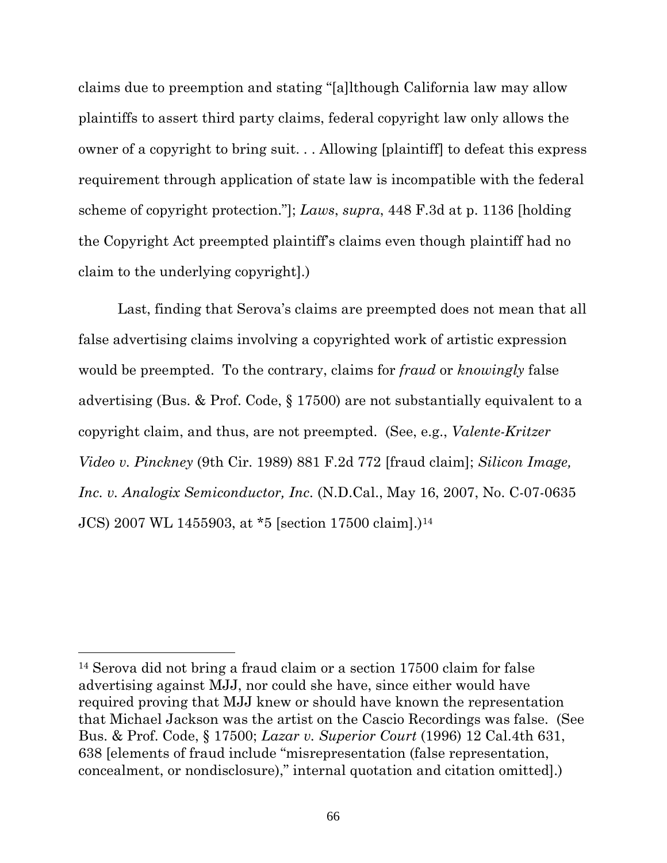claims due to preemption and stating "[a]lthough California law may allow plaintiffs to assert third party claims, federal copyright law only allows the owner of a copyright to bring suit. . . Allowing [plaintiff] to defeat this express requirement through application of state law is incompatible with the federal scheme of copyright protection."]; *Laws*, *supra*, 448 F.3d at p. 1136 [holding the Copyright Act preempted plaintiff's claims even though plaintiff had no claim to the underlying copyright].)

Last, finding that Serova's claims are preempted does not mean that all false advertising claims involving a copyrighted work of artistic expression would be preempted. To the contrary, claims for *fraud* or *knowingly* false advertising (Bus. & Prof. Code, § 17500) are not substantially equivalent to a copyright claim, and thus, are not preempted. (See, e.g., *Valente-Kritzer Video v. Pinckney* (9th Cir. 1989) 881 F.2d 772 [fraud claim]; *Silicon Image, Inc. v. Analogix Semiconductor, Inc*. (N.D.Cal., May 16, 2007, No. C-07-0635 JCS) 2007 WL 1455903, at \*5 [section 17500 claim].)<sup>14</sup>

<sup>14</sup> Serova did not bring a fraud claim or a section 17500 claim for false advertising against MJJ, nor could she have, since either would have required proving that MJJ knew or should have known the representation that Michael Jackson was the artist on the Cascio Recordings was false. (See Bus. & Prof. Code, § 17500; *Lazar v. Superior Court* (1996) 12 Cal.4th 631, 638 [elements of fraud include "misrepresentation (false representation, concealment, or nondisclosure)," internal quotation and citation omitted].)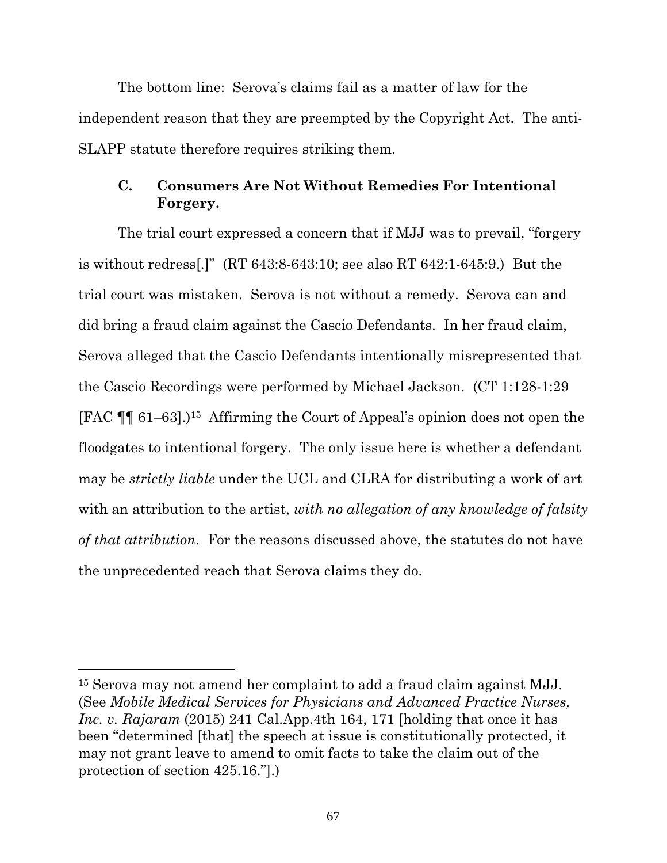The bottom line: Serova's claims fail as a matter of law for the independent reason that they are preempted by the Copyright Act. The anti-SLAPP statute therefore requires striking them.

### **C. Consumers Are Not Without Remedies For Intentional Forgery.**

The trial court expressed a concern that if MJJ was to prevail, "forgery is without redress[.]" (RT 643:8-643:10; see also RT 642:1-645:9.) But the trial court was mistaken. Serova is not without a remedy. Serova can and did bring a fraud claim against the Cascio Defendants. In her fraud claim, Serova alleged that the Cascio Defendants intentionally misrepresented that the Cascio Recordings were performed by Michael Jackson. (CT 1:128-1:29 [FAC  $\P$ ] 61–63].<sup>15</sup> Affirming the Court of Appeal's opinion does not open the floodgates to intentional forgery. The only issue here is whether a defendant may be *strictly liable* under the UCL and CLRA for distributing a work of art with an attribution to the artist, *with no allegation of any knowledge of falsity of that attribution*. For the reasons discussed above, the statutes do not have the unprecedented reach that Serova claims they do.

<sup>15</sup> Serova may not amend her complaint to add a fraud claim against MJJ. (See *Mobile Medical Services for Physicians and Advanced Practice Nurses, Inc. v. Rajaram* (2015) 241 Cal.App.4th 164, 171 [holding that once it has been "determined [that] the speech at issue is constitutionally protected, it may not grant leave to amend to omit facts to take the claim out of the protection of section 425.16."].)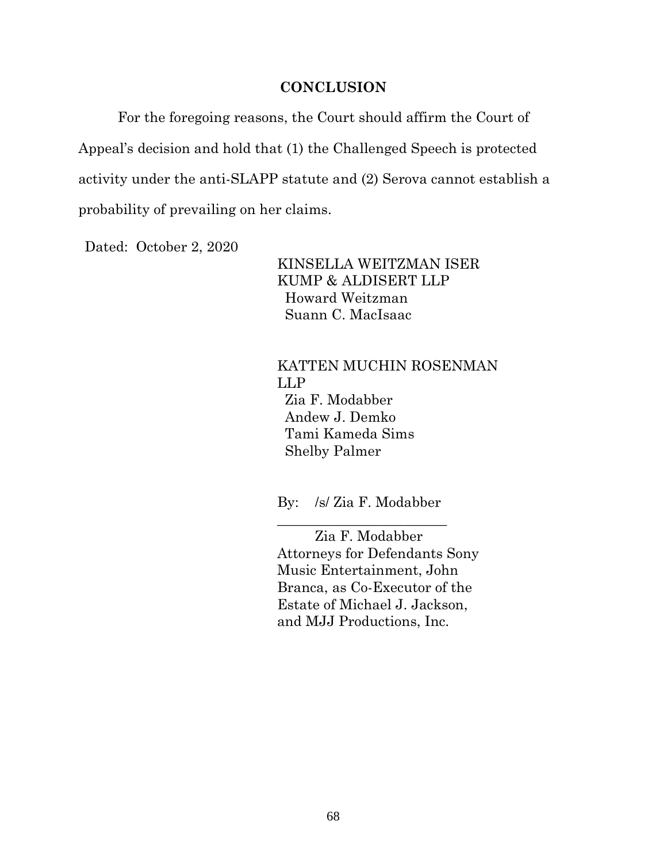#### **CONCLUSION**

For the foregoing reasons, the Court should affirm the Court of Appeal's decision and hold that (1) the Challenged Speech is protected activity under the anti-SLAPP statute and (2) Serova cannot establish a probability of prevailing on her claims.

Dated: October 2, 2020

KINSELLA WEITZMAN ISER KUMP & ALDISERT LLP Howard Weitzman Suann C. MacIsaac

#### KATTEN MUCHIN ROSENMAN LLP Zia F. Modabber

 Andew J. Demko Tami Kameda Sims Shelby Palmer

By: /s/ Zia F. Modabber \_\_\_\_\_\_\_\_\_\_\_\_\_\_\_\_\_\_\_\_\_\_\_\_

Zia F. Modabber Attorneys for Defendants Sony Music Entertainment, John Branca, as Co-Executor of the Estate of Michael J. Jackson, and MJJ Productions, Inc.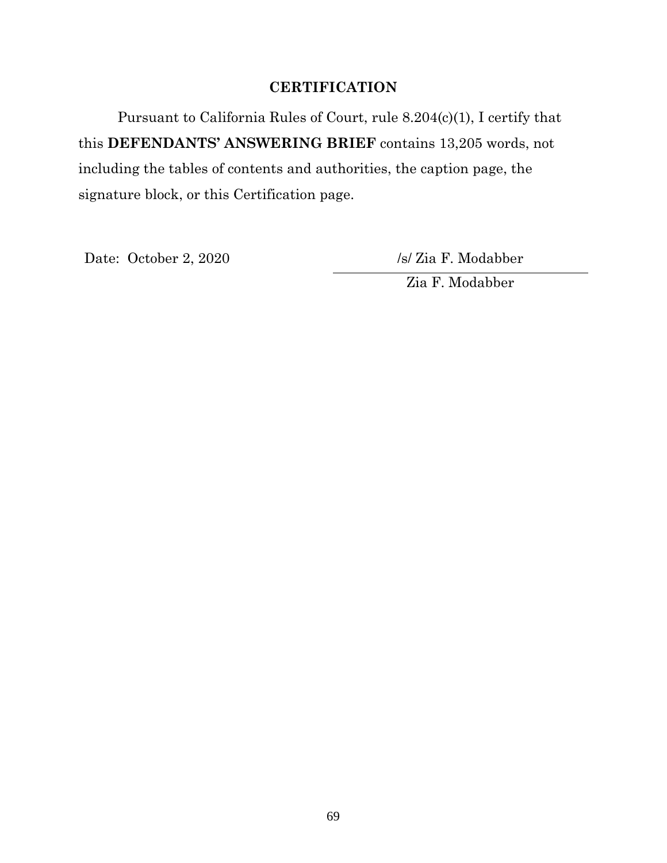## **CERTIFICATION**

Pursuant to California Rules of Court, rule 8.204(c)(1), I certify that this **DEFENDANTS' ANSWERING BRIEF** contains 13,205 words, not including the tables of contents and authorities, the caption page, the signature block, or this Certification page.

Date: October 2, 2020 /s/ Zia F. Modabber

Zia F. Modabber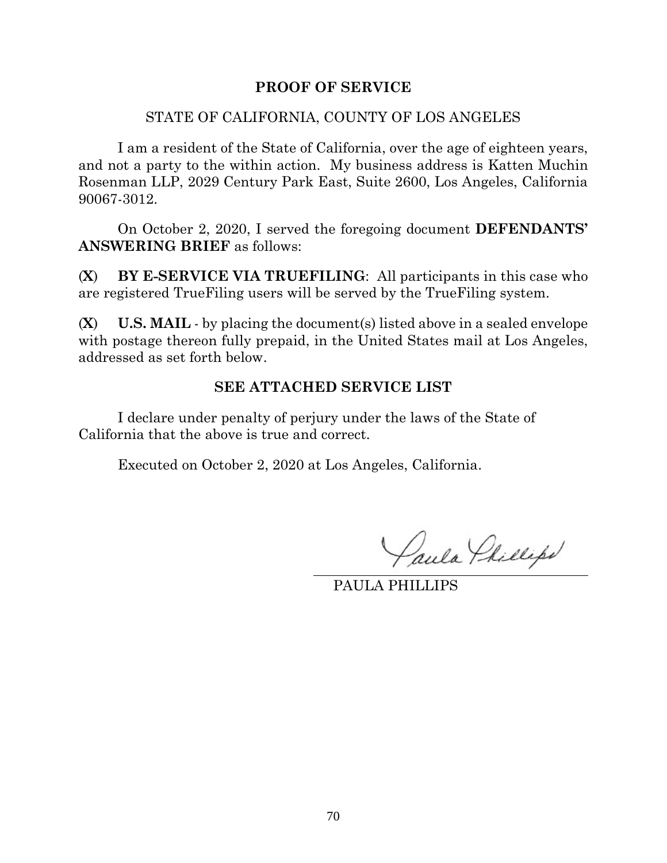#### **PROOF OF SERVICE**

#### STATE OF CALIFORNIA, COUNTY OF LOS ANGELES

I am a resident of the State of California, over the age of eighteen years, and not a party to the within action. My business address is Katten Muchin Rosenman LLP, 2029 Century Park East, Suite 2600, Los Angeles, California 90067-3012.

On October 2, 2020, I served the foregoing document **DEFENDANTS' ANSWERING BRIEF** as follows:

(**X**) **BY E-SERVICE VIA TRUEFILING**: All participants in this case who are registered TrueFiling users will be served by the TrueFiling system.

(**X**) **U.S. MAIL** - by placing the document(s) listed above in a sealed envelope with postage thereon fully prepaid, in the United States mail at Los Angeles, addressed as set forth below.

#### **SEE ATTACHED SERVICE LIST**

I declare under penalty of perjury under the laws of the State of California that the above is true and correct.

Executed on October 2, 2020 at Los Angeles, California.

Paula Phillips

PAULA PHILLIPS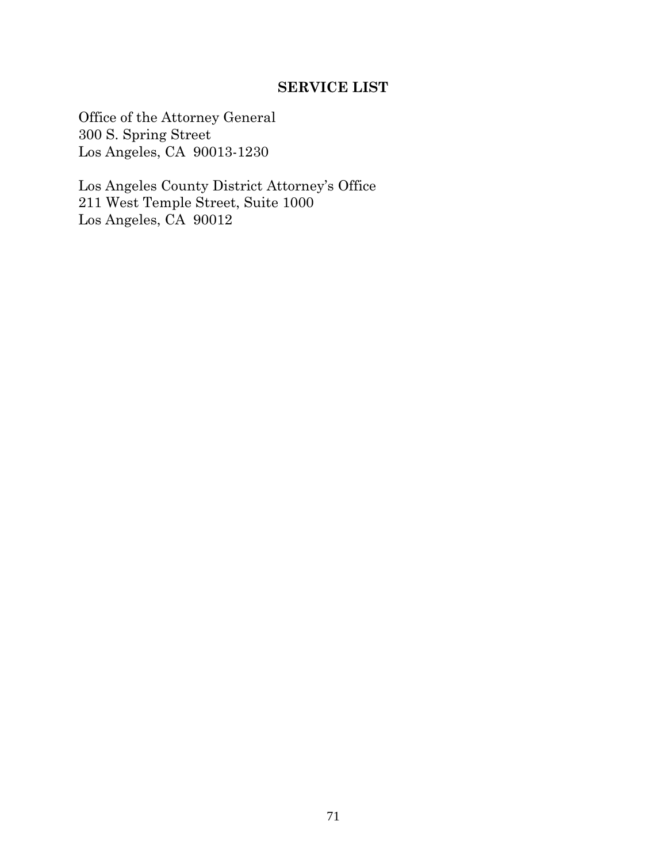### **SERVICE LIST**

Office of the Attorney General 300 S. Spring Street Los Angeles, CA 90013-1230

Los Angeles County District Attorney's Office 211 West Temple Street, Suite 1000 Los Angeles, CA 90012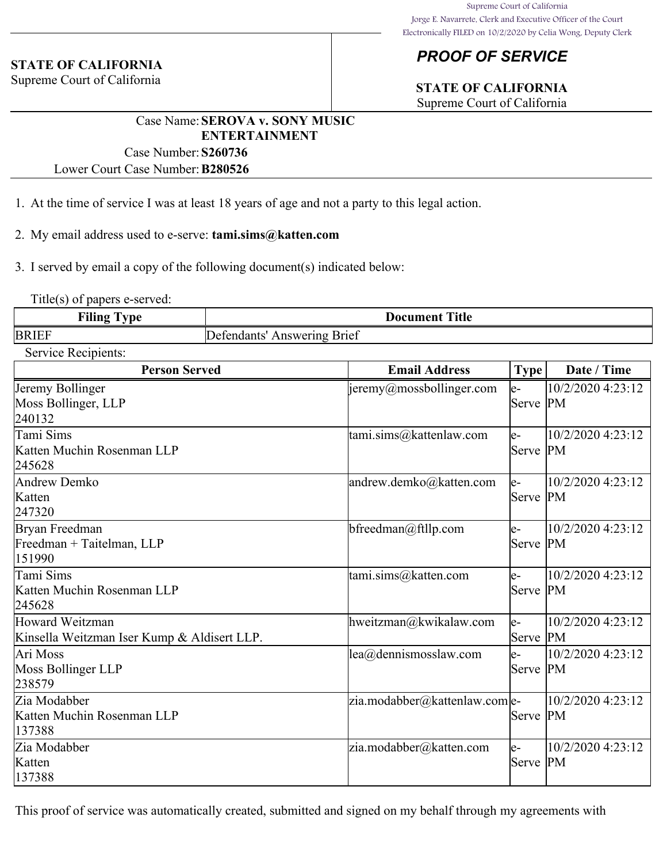#### **STATE OF CALIFORNIA**

Supreme Court of California

# *PROOF OF SERVICE*

# **STATE OF CALIFORNIA**

Supreme Court of California

## Case Name:**SEROVA v. SONY MUSIC ENTERTAINMENT**

Case Number:**S260736** Lower Court Case Number:**B280526**

1. At the time of service I was at least 18 years of age and not a party to this legal action.

2. My email address used to e-serve: **tami.sims@katten.com**

3. I served by email a copy of the following document(s) indicated below:

Title(s) of papers e-served:

| Filing<br>-<br>vpe<br>- | <b>Title</b><br>Document       |
|-------------------------|--------------------------------|
| <b>BRIEF</b>            | Answering Brief<br>Defendants' |

Service Recipients:

| DUI VIUU IXUUIPIUIIIS.<br><b>Person Served</b>                 | <b>Email Address</b>                             | <b>Type</b>       | Date / Time                    |
|----------------------------------------------------------------|--------------------------------------------------|-------------------|--------------------------------|
| Jeremy Bollinger<br>Moss Bollinger, LLP<br>240132              | $\vert$ jeremy@mossbollinger.com                 | le-<br> Serve  PM | 10/2/2020 4:23:12              |
| Tami Sims<br>Katten Muchin Rosenman LLP<br>245628              | tami.sims@kattenlaw.com                          | le-<br> Serve  PM | 10/2/2020 4:23:12              |
| Andrew Demko<br>Katten<br>247320                               | andrew.demko@katten.com                          | le-<br>Serve PM   | 10/2/2020 4:23:12              |
| Bryan Freedman<br>Freedman + Taitelman, LLP<br>151990          | bfreedman@ftllp.com                              | le-<br>Serve PM   | 10/2/2020 4:23:12              |
| Tami Sims<br>Katten Muchin Rosenman LLP<br>245628              | tami.sims@katten.com                             | le-<br>Serve PM   | 10/2/2020 4:23:12              |
| Howard Weitzman<br>Kinsella Weitzman Iser Kump & Aldisert LLP. | hweitzman@kwikalaw.com                           | le-<br>Serve      | 10/2/2020 4:23:12<br><b>PM</b> |
| Ari Moss<br>Moss Bollinger LLP<br>238579                       | $\text{lea}(\widehat{\omega})$ dennismosslaw.com | le-<br>Serve PM   | 10/2/2020 4:23:12              |
| Zia Modabber<br>Katten Muchin Rosenman LLP<br>137388           | zia.modabber@kattenlaw.com e-                    | Serve PM          | 10/2/2020 4:23:12              |
| Zia Modabber<br>Katten<br>137388                               | zia.modabber@katten.com                          | le-<br>Serve PM   | 10/2/2020 4:23:12              |

This proof of service was automatically created, submitted and signed on my behalf through my agreements with